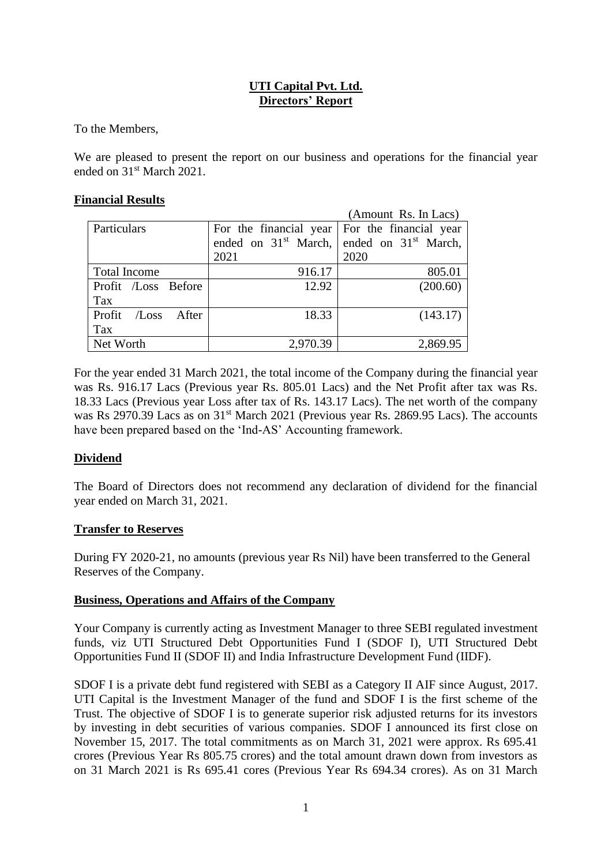# **UTI Capital Pvt. Ltd. Directors' Report**

To the Members,

We are pleased to present the report on our business and operations for the financial year ended on 31<sup>st</sup> March 2021.

# **Financial Results**

|                          |                                                 | (Amount Rs. In Lacs)                          |
|--------------------------|-------------------------------------------------|-----------------------------------------------|
| Particulars              | For the financial year   For the financial year |                                               |
|                          |                                                 | ended on $31st$ March, ended on $31st$ March, |
|                          | 2021                                            | 2020                                          |
| <b>Total Income</b>      | 916.17                                          | 805.01                                        |
| Profit /Loss Before      | 12.92                                           | (200.60)                                      |
| Tax                      |                                                 |                                               |
| Profit<br>After<br>/Loss | 18.33                                           | (143.17)                                      |
| Tax                      |                                                 |                                               |
| Net Worth                | 2,970.39                                        | 2,869.95                                      |

For the year ended 31 March 2021, the total income of the Company during the financial year was Rs. 916.17 Lacs (Previous year Rs. 805.01 Lacs) and the Net Profit after tax was Rs. 18.33 Lacs (Previous year Loss after tax of Rs. 143.17 Lacs). The net worth of the company was Rs 2970.39 Lacs as on 31<sup>st</sup> March 2021 (Previous year Rs. 2869.95 Lacs). The accounts have been prepared based on the 'Ind-AS' Accounting framework.

# **Dividend**

The Board of Directors does not recommend any declaration of dividend for the financial year ended on March 31, 2021.

# **Transfer to Reserves**

During FY 2020-21, no amounts (previous year Rs Nil) have been transferred to the General Reserves of the Company.

# **Business, Operations and Affairs of the Company**

Your Company is currently acting as Investment Manager to three SEBI regulated investment funds, viz UTI Structured Debt Opportunities Fund I (SDOF I), UTI Structured Debt Opportunities Fund II (SDOF II) and India Infrastructure Development Fund (IIDF).

SDOF I is a private debt fund registered with SEBI as a Category II AIF since August, 2017. UTI Capital is the Investment Manager of the fund and SDOF I is the first scheme of the Trust. The objective of SDOF I is to generate superior risk adjusted returns for its investors by investing in debt securities of various companies. SDOF I announced its first close on November 15, 2017. The total commitments as on March 31, 2021 were approx. Rs 695.41 crores (Previous Year Rs 805.75 crores) and the total amount drawn down from investors as on 31 March 2021 is Rs 695.41 cores (Previous Year Rs 694.34 crores). As on 31 March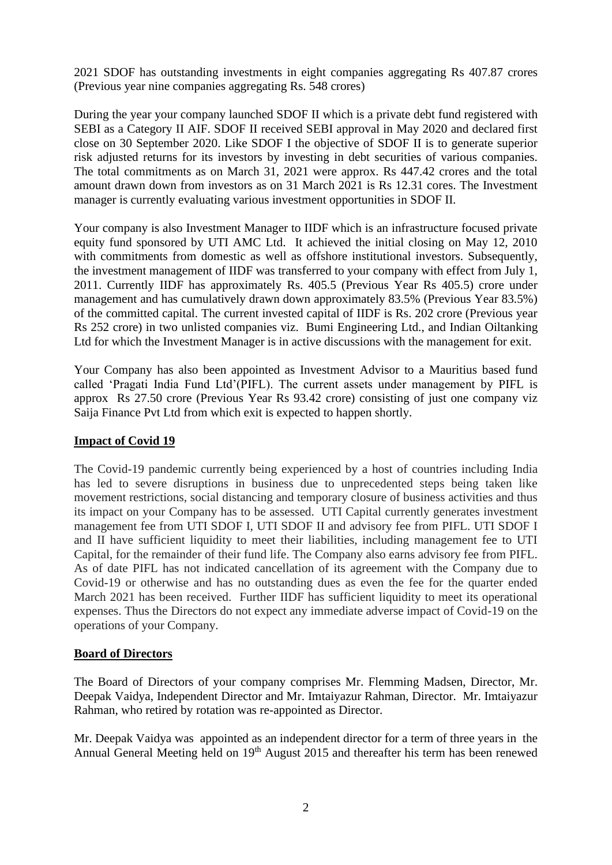2021 SDOF has outstanding investments in eight companies aggregating Rs 407.87 crores (Previous year nine companies aggregating Rs. 548 crores)

During the year your company launched SDOF II which is a private debt fund registered with SEBI as a Category II AIF. SDOF II received SEBI approval in May 2020 and declared first close on 30 September 2020. Like SDOF I the objective of SDOF II is to generate superior risk adjusted returns for its investors by investing in debt securities of various companies. The total commitments as on March 31, 2021 were approx. Rs 447.42 crores and the total amount drawn down from investors as on 31 March 2021 is Rs 12.31 cores. The Investment manager is currently evaluating various investment opportunities in SDOF II.

Your company is also Investment Manager to IIDF which is an infrastructure focused private equity fund sponsored by UTI AMC Ltd. It achieved the initial closing on May 12, 2010 with commitments from domestic as well as offshore institutional investors. Subsequently, the investment management of IIDF was transferred to your company with effect from July 1, 2011. Currently IIDF has approximately Rs. 405.5 (Previous Year Rs 405.5) crore under management and has cumulatively drawn down approximately 83.5% (Previous Year 83.5%) of the committed capital. The current invested capital of IIDF is Rs. 202 crore (Previous year Rs 252 crore) in two unlisted companies viz. Bumi Engineering Ltd., and Indian Oiltanking Ltd for which the Investment Manager is in active discussions with the management for exit.

Your Company has also been appointed as Investment Advisor to a Mauritius based fund called 'Pragati India Fund Ltd'(PIFL). The current assets under management by PIFL is approx Rs 27.50 crore (Previous Year Rs 93.42 crore) consisting of just one company viz Saija Finance Pvt Ltd from which exit is expected to happen shortly.

# **Impact of Covid 19**

The Covid-19 pandemic currently being experienced by a host of countries including India has led to severe disruptions in business due to unprecedented steps being taken like movement restrictions, social distancing and temporary closure of business activities and thus its impact on your Company has to be assessed. UTI Capital currently generates investment management fee from UTI SDOF I, UTI SDOF II and advisory fee from PIFL. UTI SDOF I and II have sufficient liquidity to meet their liabilities, including management fee to UTI Capital, for the remainder of their fund life. The Company also earns advisory fee from PIFL. As of date PIFL has not indicated cancellation of its agreement with the Company due to Covid-19 or otherwise and has no outstanding dues as even the fee for the quarter ended March 2021 has been received. Further IIDF has sufficient liquidity to meet its operational expenses. Thus the Directors do not expect any immediate adverse impact of Covid-19 on the operations of your Company.

# **Board of Directors**

The Board of Directors of your company comprises Mr. Flemming Madsen, Director, Mr. Deepak Vaidya, Independent Director and Mr. Imtaiyazur Rahman, Director. Mr. Imtaiyazur Rahman, who retired by rotation was re-appointed as Director.

Mr. Deepak Vaidya was appointed as an independent director for a term of three years in the Annual General Meeting held on 19<sup>th</sup> August 2015 and thereafter his term has been renewed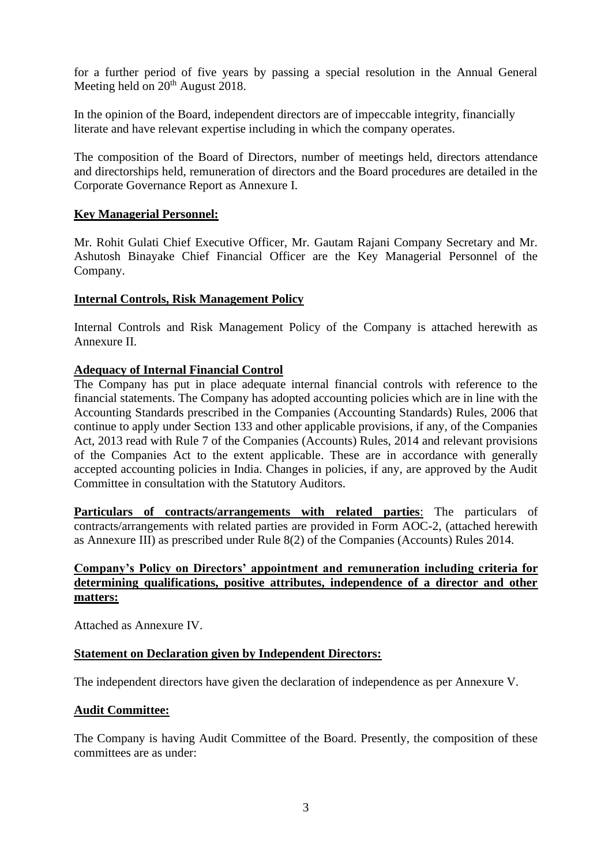for a further period of five years by passing a special resolution in the Annual General Meeting held on  $20<sup>th</sup>$  August 2018.

In the opinion of the Board, independent directors are of impeccable integrity, financially literate and have relevant expertise including in which the company operates.

The composition of the Board of Directors, number of meetings held, directors attendance and directorships held, remuneration of directors and the Board procedures are detailed in the Corporate Governance Report as Annexure I.

# **Key Managerial Personnel:**

Mr. Rohit Gulati Chief Executive Officer, Mr. Gautam Rajani Company Secretary and Mr. Ashutosh Binayake Chief Financial Officer are the Key Managerial Personnel of the Company.

# **Internal Controls, Risk Management Policy**

Internal Controls and Risk Management Policy of the Company is attached herewith as Annexure II.

# **Adequacy of Internal Financial Control**

The Company has put in place adequate internal financial controls with reference to the financial statements. The Company has adopted accounting policies which are in line with the Accounting Standards prescribed in the Companies (Accounting Standards) Rules, 2006 that continue to apply under Section 133 and other applicable provisions, if any, of the Companies Act, 2013 read with Rule 7 of the Companies (Accounts) Rules, 2014 and relevant provisions of the Companies Act to the extent applicable. These are in accordance with generally accepted accounting policies in India. Changes in policies, if any, are approved by the Audit Committee in consultation with the Statutory Auditors.

**Particulars of contracts/arrangements with related parties**: The particulars of contracts/arrangements with related parties are provided in Form AOC-2, (attached herewith as Annexure III) as prescribed under Rule 8(2) of the Companies (Accounts) Rules 2014.

# **Company's Policy on Directors' appointment and remuneration including criteria for determining qualifications, positive attributes, independence of a director and other matters:**

Attached as Annexure IV.

# **Statement on Declaration given by Independent Directors:**

The independent directors have given the declaration of independence as per Annexure V.

# **Audit Committee:**

The Company is having Audit Committee of the Board. Presently, the composition of these committees are as under: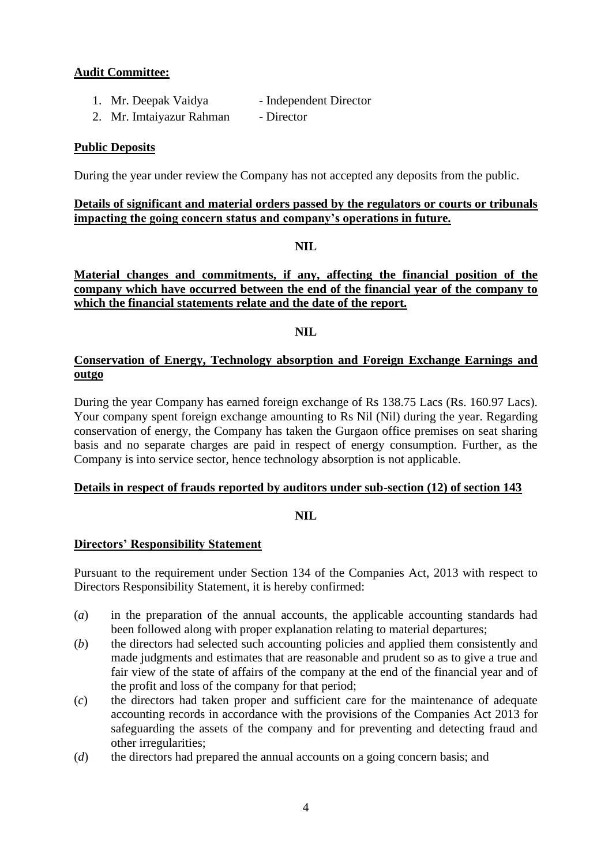# **Audit Committee:**

- 1. Mr. Deepak Vaidya Independent Director
- 2. Mr. Imtaiyazur Rahman Director

# **Public Deposits**

During the year under review the Company has not accepted any deposits from the public.

# **Details of significant and material orders passed by the regulators or courts or tribunals impacting the going concern status and company's operations in future.**

# **NIL**

# **Material changes and commitments, if any, affecting the financial position of the company which have occurred between the end of the financial year of the company to which the financial statements relate and the date of the report.**

# **NIL**

# **Conservation of Energy, Technology absorption and Foreign Exchange Earnings and outgo**

During the year Company has earned foreign exchange of Rs 138.75 Lacs (Rs. 160.97 Lacs). Your company spent foreign exchange amounting to Rs Nil (Nil) during the year. Regarding conservation of energy, the Company has taken the Gurgaon office premises on seat sharing basis and no separate charges are paid in respect of energy consumption. Further, as the Company is into service sector, hence technology absorption is not applicable.

# **Details in respect of frauds reported by auditors under sub-section (12) of [section 143](http://ebook.mca.gov.in/Actpagedisplay.aspx?PAGENAME=17527)**

# **NIL**

# **Directors' Responsibility Statement**

Pursuant to the requirement under Section 134 of the Companies Act, 2013 with respect to Directors Responsibility Statement, it is hereby confirmed:

- (*a*) in the preparation of the annual accounts, the applicable accounting standards had been followed along with proper explanation relating to material departures;
- (*b*) the directors had selected such accounting policies and applied them consistently and made judgments and estimates that are reasonable and prudent so as to give a true and fair view of the state of affairs of the company at the end of the financial year and of the profit and loss of the company for that period;
- (*c*) the directors had taken proper and sufficient care for the maintenance of adequate accounting records in accordance with the provisions of the Companies Act 2013 for safeguarding the assets of the company and for preventing and detecting fraud and other irregularities;
- (*d*) the directors had prepared the annual accounts on a going concern basis; and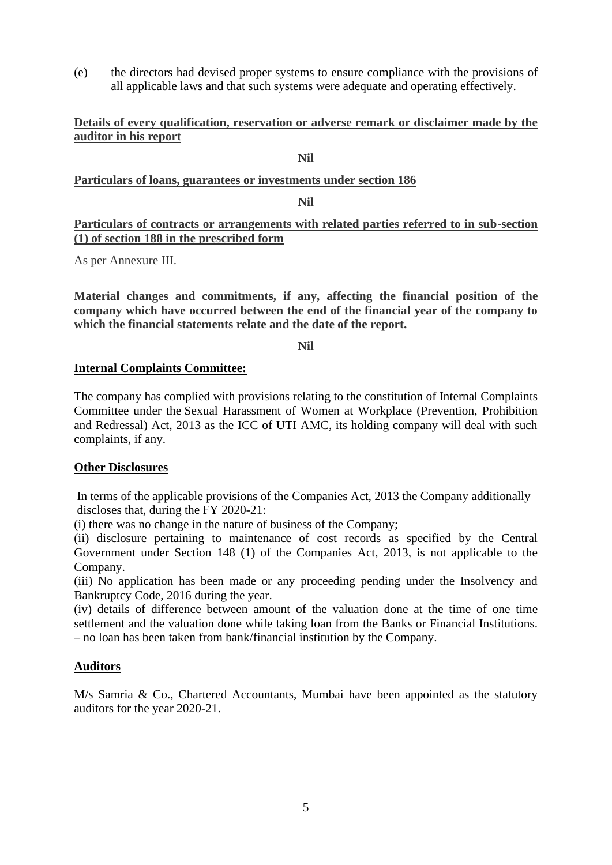(e) the directors had devised proper systems to ensure compliance with the provisions of all applicable laws and that such systems were adequate and operating effectively.

# **Details of every qualification, reservation or adverse remark or disclaimer made by the auditor in his report**

# **Nil**

# **Particulars of loans, guarantees or investments under section 186**

# **Nil**

# **Particulars of contracts or arrangements with related parties referred to in sub-section (1) of section 188 in the prescribed form**

As per Annexure III.

**Material changes and commitments, if any, affecting the financial position of the company which have occurred between the end of the financial year of the company to which the financial statements relate and the date of the report.** 

**Nil**

# **Internal Complaints Committee:**

The company has complied with provisions relating to the constitution of Internal Complaints Committee under the Sexual Harassment of Women at Workplace (Prevention, Prohibition and Redressal) Act, 2013 as the ICC of UTI AMC, its holding company will deal with such complaints, if any.

# **Other Disclosures**

In terms of the applicable provisions of the Companies Act, 2013 the Company additionally discloses that, during the FY 2020-21:

(i) there was no change in the nature of business of the Company;

(ii) disclosure pertaining to maintenance of cost records as specified by the Central Government under Section 148 (1) of the Companies Act, 2013, is not applicable to the Company.

(iii) No application has been made or any proceeding pending under the Insolvency and Bankruptcy Code, 2016 during the year.

(iv) details of difference between amount of the valuation done at the time of one time settlement and the valuation done while taking loan from the Banks or Financial Institutions. – no loan has been taken from bank/financial institution by the Company.

# **Auditors**

M/s Samria & Co., Chartered Accountants, Mumbai have been appointed as the statutory auditors for the year 2020-21.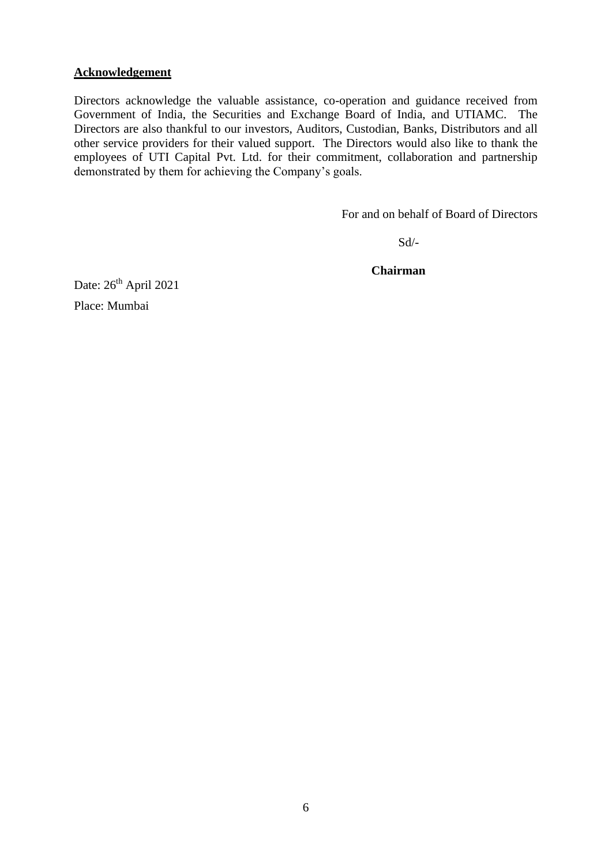# **Acknowledgement**

Directors acknowledge the valuable assistance, co-operation and guidance received from Government of India, the Securities and Exchange Board of India, and UTIAMC. The Directors are also thankful to our investors, Auditors, Custodian, Banks, Distributors and all other service providers for their valued support. The Directors would also like to thank the employees of UTI Capital Pvt. Ltd. for their commitment, collaboration and partnership demonstrated by them for achieving the Company's goals.

For and on behalf of Board of Directors

Sd/-

 **Chairman**

Date:  $26<sup>th</sup>$  April 2021

Place: Mumbai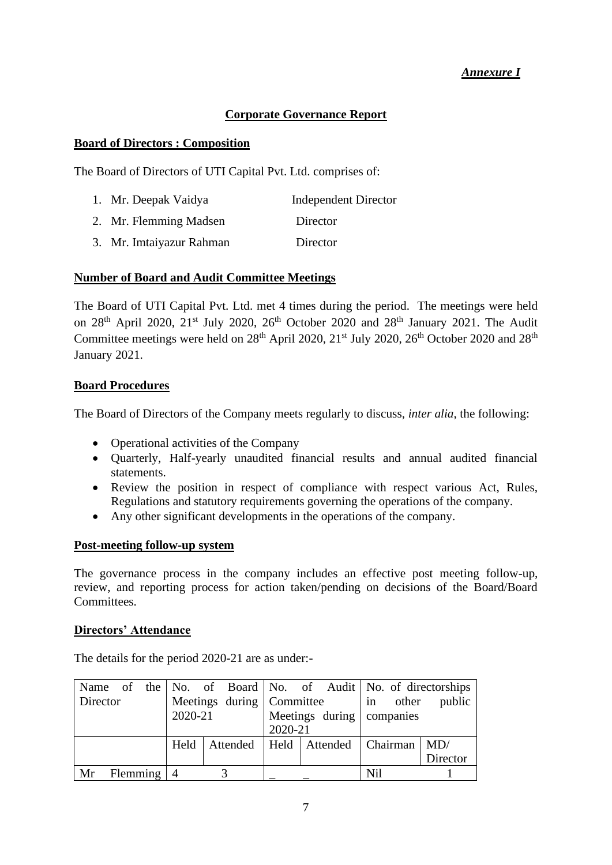# *Annexure I*

# **Corporate Governance Report**

# **Board of Directors : Composition**

The Board of Directors of UTI Capital Pvt. Ltd. comprises of:

1. Mr. Deepak Vaidya Independent Director 2. Mr. Flemming Madsen Director 3. Mr. Imtaiyazur Rahman Director

# **Number of Board and Audit Committee Meetings**

The Board of UTI Capital Pvt. Ltd. met 4 times during the period. The meetings were held on  $28<sup>th</sup>$  April 2020,  $21<sup>st</sup>$  July 2020,  $26<sup>th</sup>$  October 2020 and  $28<sup>th</sup>$  January 2021. The Audit Committee meetings were held on  $28<sup>th</sup>$  April 2020,  $21<sup>st</sup>$  July 2020,  $26<sup>th</sup>$  October 2020 and  $28<sup>th</sup>$ January 2021.

# **Board Procedures**

The Board of Directors of the Company meets regularly to discuss, *inter alia*, the following:

- Operational activities of the Company
- Quarterly, Half-yearly unaudited financial results and annual audited financial statements.
- Review the position in respect of compliance with respect various Act, Rules, Regulations and statutory requirements governing the operations of the company.
- Any other significant developments in the operations of the company.

# **Post-meeting follow-up system**

The governance process in the company includes an effective post meeting follow-up, review, and reporting process for action taken/pending on decisions of the Board/Board Committees.

# **Directors' Attendance**

The details for the period 2020-21 are as under:-

|                 |            |         |  |                           |  |                                       |     |                           | Name of the No. of Board No. of Audit No. of directorships |  |  |                 |
|-----------------|------------|---------|--|---------------------------|--|---------------------------------------|-----|---------------------------|------------------------------------------------------------|--|--|-----------------|
| <b>Director</b> |            |         |  |                           |  |                                       |     | Meetings during Committee |                                                            |  |  | in other public |
|                 |            | 2020-21 |  | Meetings during companies |  |                                       |     |                           |                                                            |  |  |                 |
|                 |            |         |  | 2020-21                   |  |                                       |     |                           |                                                            |  |  |                 |
|                 |            | Held    |  |                           |  | Attended   Held   Attended   Chairman |     |                           | MD/                                                        |  |  |                 |
|                 |            |         |  |                           |  |                                       |     |                           | Director                                                   |  |  |                 |
| Mr              | Flemming 4 |         |  |                           |  |                                       | Nil |                           |                                                            |  |  |                 |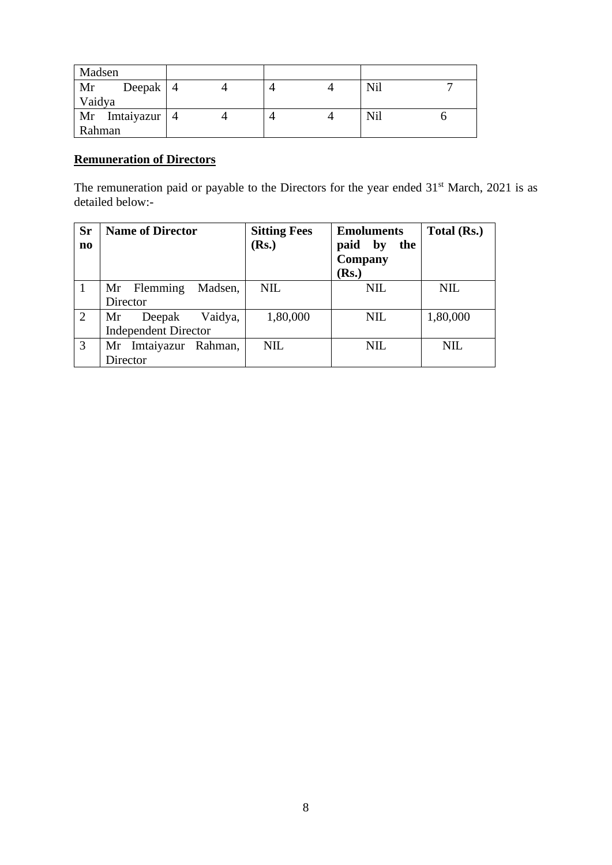| Madsen |                   |  |  |     |  |
|--------|-------------------|--|--|-----|--|
| Mr     | Deepak $ 4$       |  |  | Nil |  |
| Vaidya |                   |  |  |     |  |
|        | Mr Imtaiyazur   4 |  |  | Nil |  |
| Rahman |                   |  |  |     |  |

# **Remuneration of Directors**

The remuneration paid or payable to the Directors for the year ended  $31<sup>st</sup>$  March, 2021 is as detailed below:-

| <b>Sr</b><br>$\mathbf{n}\mathbf{o}$ | <b>Name of Director</b>     | <b>Sitting Fees</b><br>(Rs.) | <b>Emoluments</b><br>paid<br>by<br>the<br>Company<br>Rs. | Total (Rs.) |
|-------------------------------------|-----------------------------|------------------------------|----------------------------------------------------------|-------------|
|                                     | Madsen,<br>Mr Flemming      | <b>NIL</b>                   | <b>NIL</b>                                               | <b>NIL</b>  |
|                                     | Director                    |                              |                                                          |             |
| 2                                   | Vaidya,<br>Deepak<br>Mr     | 1,80,000                     | <b>NIL</b>                                               | 1,80,000    |
|                                     | <b>Independent Director</b> |                              |                                                          |             |
| 3                                   | Mr Imtaiyazur Rahman,       | <b>NIL</b>                   | <b>NIL</b>                                               | <b>NIL</b>  |
|                                     | Director                    |                              |                                                          |             |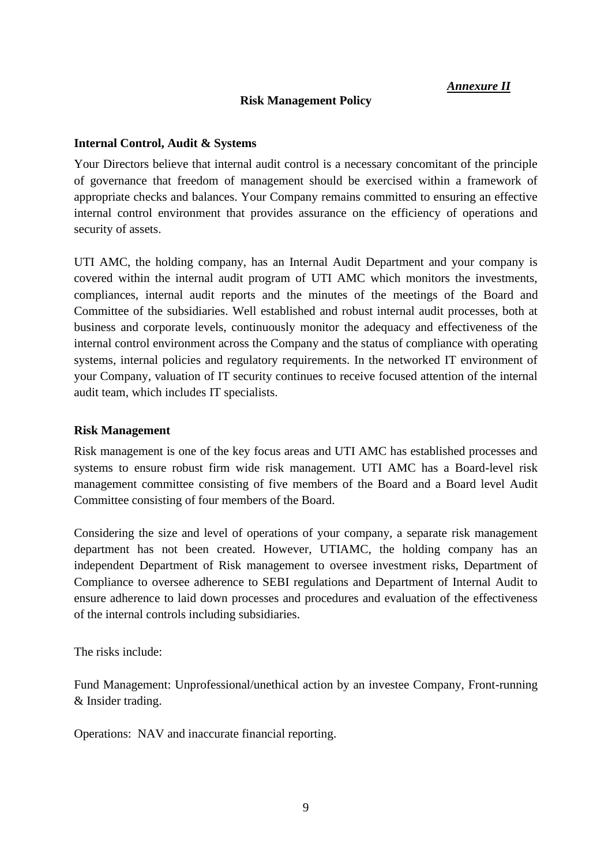# *Annexure II*

# **Risk Management Policy**

# **Internal Control, Audit & Systems**

Your Directors believe that internal audit control is a necessary concomitant of the principle of governance that freedom of management should be exercised within a framework of appropriate checks and balances. Your Company remains committed to ensuring an effective internal control environment that provides assurance on the efficiency of operations and security of assets.

UTI AMC, the holding company, has an Internal Audit Department and your company is covered within the internal audit program of UTI AMC which monitors the investments, compliances, internal audit reports and the minutes of the meetings of the Board and Committee of the subsidiaries. Well established and robust internal audit processes, both at business and corporate levels, continuously monitor the adequacy and effectiveness of the internal control environment across the Company and the status of compliance with operating systems, internal policies and regulatory requirements. In the networked IT environment of your Company, valuation of IT security continues to receive focused attention of the internal audit team, which includes IT specialists.

# **Risk Management**

Risk management is one of the key focus areas and UTI AMC has established processes and systems to ensure robust firm wide risk management. UTI AMC has a Board-level risk management committee consisting of five members of the Board and a Board level Audit Committee consisting of four members of the Board.

Considering the size and level of operations of your company, a separate risk management department has not been created. However, UTIAMC, the holding company has an independent Department of Risk management to oversee investment risks, Department of Compliance to oversee adherence to SEBI regulations and Department of Internal Audit to ensure adherence to laid down processes and procedures and evaluation of the effectiveness of the internal controls including subsidiaries.

The risks include:

Fund Management: Unprofessional/unethical action by an investee Company, Front-running & Insider trading.

Operations: NAV and inaccurate financial reporting.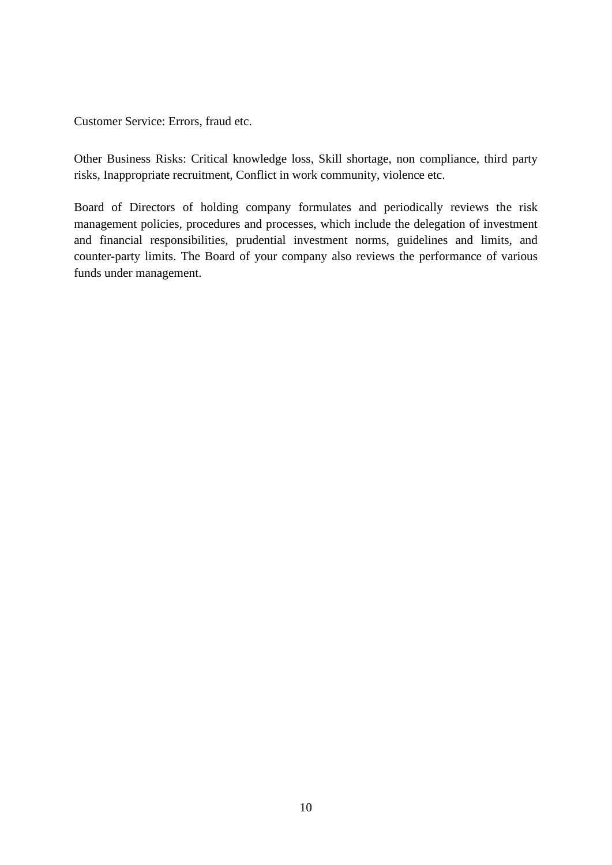Customer Service: Errors, fraud etc.

Other Business Risks: Critical knowledge loss, Skill shortage, non compliance, third party risks, Inappropriate recruitment, Conflict in work community, violence etc.

Board of Directors of holding company formulates and periodically reviews the risk management policies, procedures and processes, which include the delegation of investment and financial responsibilities, prudential investment norms, guidelines and limits, and counter-party limits. The Board of your company also reviews the performance of various funds under management.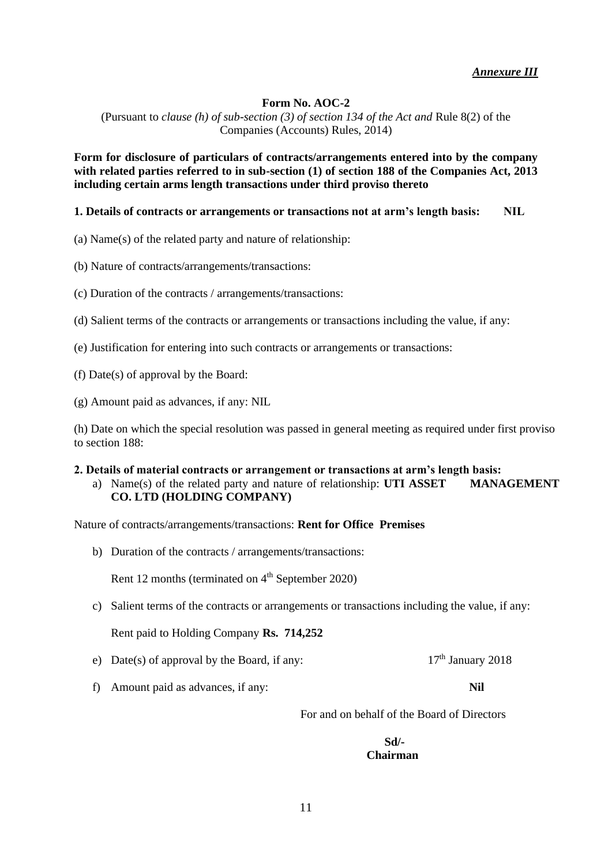# **Form No. AOC-2**

(Pursuant to *clause (h) of sub-section (3) of section 134 of the Act and* Rule 8(2) of the Companies (Accounts) Rules, 2014)

**Form for disclosure of particulars of contracts/arrangements entered into by the company with related parties referred to in sub-section (1) of section 188 of the Companies Act, 2013 including certain arms length transactions under third proviso thereto**

# **1. Details of contracts or arrangements or transactions not at arm's length basis: NIL**

(a) Name(s) of the related party and nature of relationship:

- (b) Nature of contracts/arrangements/transactions:
- (c) Duration of the contracts / arrangements/transactions:
- (d) Salient terms of the contracts or arrangements or transactions including the value, if any:
- (e) Justification for entering into such contracts or arrangements or transactions:
- (f) Date(s) of approval by the Board:
- (g) Amount paid as advances, if any: NIL

(h) Date on which the special resolution was passed in general meeting as required under first proviso to section 188:

# **2. Details of material contracts or arrangement or transactions at arm's length basis:** a) Name(s) of the related party and nature of relationship: **UTI ASSET MANAGEMENT CO. LTD (HOLDING COMPANY)**

Nature of contracts/arrangements/transactions: **Rent for Office Premises** 

b) Duration of the contracts / arrangements/transactions:

Rent 12 months (terminated on  $4<sup>th</sup>$  September 2020)

c) Salient terms of the contracts or arrangements or transactions including the value, if any:

Rent paid to Holding Company **Rs. 714,252**

- e) Date(s) of approval by the Board, if any:  $17<sup>th</sup>$  January 2018
- f) Amount paid as advances, if any: **Nil**

For and on behalf of the Board of Directors

**Sd/- Chairman**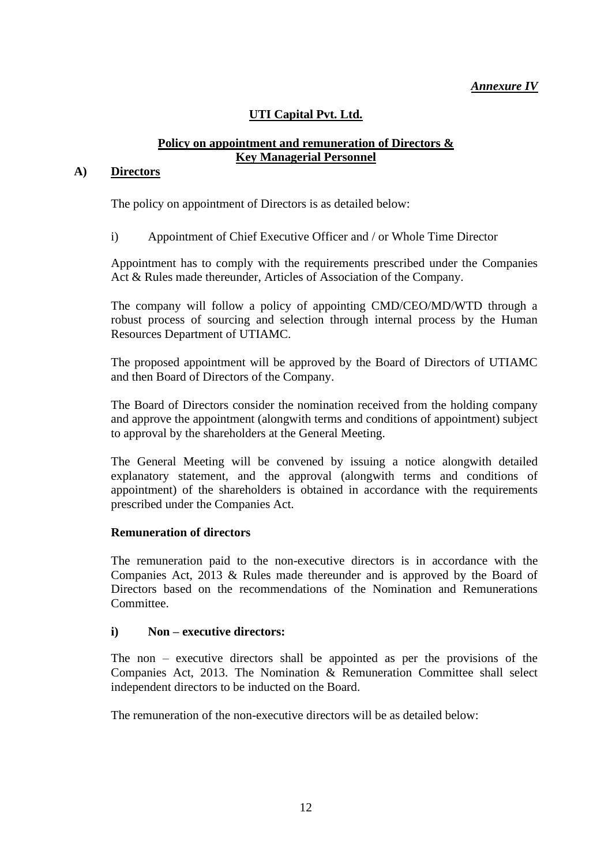# *Annexure IV*

# **UTI Capital Pvt. Ltd.**

# **Policy on appointment and remuneration of Directors & Key Managerial Personnel**

# **A) Directors**

The policy on appointment of Directors is as detailed below:

i) Appointment of Chief Executive Officer and / or Whole Time Director

Appointment has to comply with the requirements prescribed under the Companies Act & Rules made thereunder, Articles of Association of the Company.

The company will follow a policy of appointing CMD/CEO/MD/WTD through a robust process of sourcing and selection through internal process by the Human Resources Department of UTIAMC.

The proposed appointment will be approved by the Board of Directors of UTIAMC and then Board of Directors of the Company.

The Board of Directors consider the nomination received from the holding company and approve the appointment (alongwith terms and conditions of appointment) subject to approval by the shareholders at the General Meeting.

The General Meeting will be convened by issuing a notice alongwith detailed explanatory statement, and the approval (alongwith terms and conditions of appointment) of the shareholders is obtained in accordance with the requirements prescribed under the Companies Act.

# **Remuneration of directors**

The remuneration paid to the non-executive directors is in accordance with the Companies Act, 2013 & Rules made thereunder and is approved by the Board of Directors based on the recommendations of the Nomination and Remunerations Committee.

# **i) Non – executive directors:**

The non – executive directors shall be appointed as per the provisions of the Companies Act, 2013. The Nomination & Remuneration Committee shall select independent directors to be inducted on the Board.

The remuneration of the non-executive directors will be as detailed below: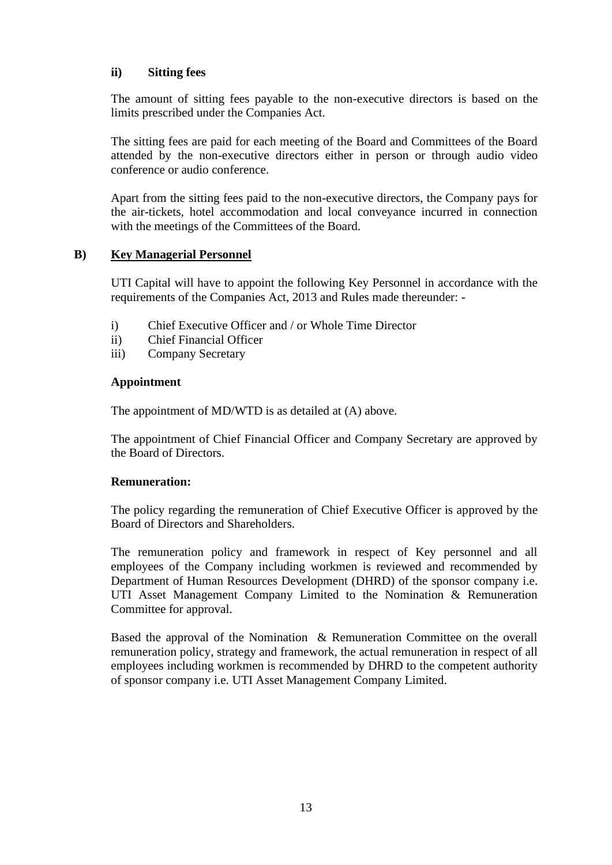# **ii) Sitting fees**

The amount of sitting fees payable to the non-executive directors is based on the limits prescribed under the Companies Act.

The sitting fees are paid for each meeting of the Board and Committees of the Board attended by the non-executive directors either in person or through audio video conference or audio conference.

Apart from the sitting fees paid to the non-executive directors, the Company pays for the air-tickets, hotel accommodation and local conveyance incurred in connection with the meetings of the Committees of the Board.

# **B) Key Managerial Personnel**

UTI Capital will have to appoint the following Key Personnel in accordance with the requirements of the Companies Act, 2013 and Rules made thereunder: -

- i) Chief Executive Officer and / or Whole Time Director
- ii) Chief Financial Officer
- iii) Company Secretary

# **Appointment**

The appointment of MD/WTD is as detailed at (A) above.

The appointment of Chief Financial Officer and Company Secretary are approved by the Board of Directors.

# **Remuneration:**

The policy regarding the remuneration of Chief Executive Officer is approved by the Board of Directors and Shareholders.

The remuneration policy and framework in respect of Key personnel and all employees of the Company including workmen is reviewed and recommended by Department of Human Resources Development (DHRD) of the sponsor company i.e. UTI Asset Management Company Limited to the Nomination & Remuneration Committee for approval.

Based the approval of the Nomination & Remuneration Committee on the overall remuneration policy, strategy and framework, the actual remuneration in respect of all employees including workmen is recommended by DHRD to the competent authority of sponsor company i.e. UTI Asset Management Company Limited.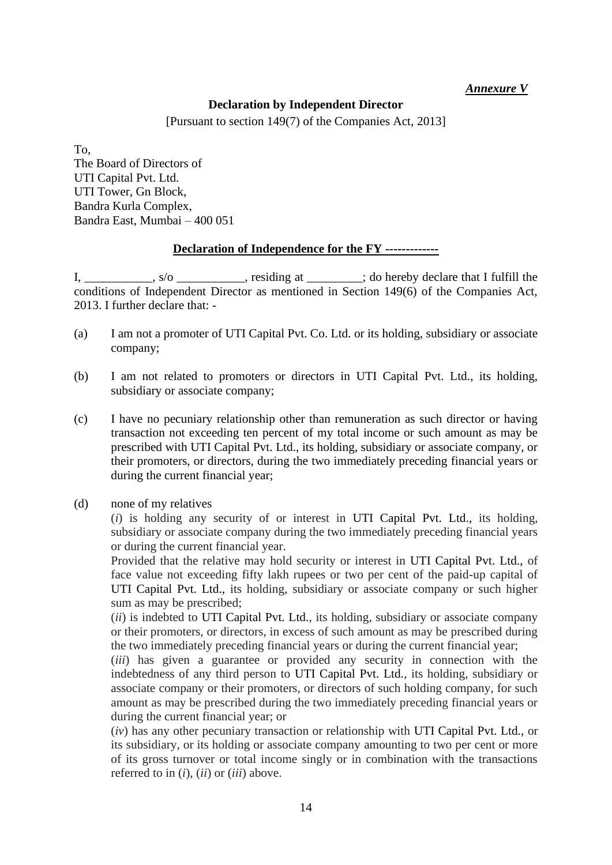# *Annexure V*

# **Declaration by Independent Director**

[Pursuant to section 149(7) of the Companies Act, 2013]

To, The Board of Directors of UTI Capital Pvt. Ltd. UTI Tower, Gn Block, Bandra Kurla Complex, Bandra East, Mumbai – 400 051

# **Declaration of Independence for the FY -------------**

I, \_\_\_\_\_\_\_\_\_\_, s/o \_\_\_\_\_\_\_\_\_, residing at \_\_\_\_\_\_\_; do hereby declare that I fulfill the conditions of Independent Director as mentioned in Section 149(6) of the Companies Act, 2013. I further declare that: -

- (a) I am not a promoter of UTI Capital Pvt. Co. Ltd. or its holding, subsidiary or associate company;
- (b) I am not related to promoters or directors in UTI Capital Pvt. Ltd., its holding, subsidiary or associate company;
- (c) I have no pecuniary relationship other than remuneration as such director or having transaction not exceeding ten percent of my total income or such amount as may be prescribed with UTI Capital Pvt. Ltd., its holding, subsidiary or associate company, or their promoters, or directors, during the two immediately preceding financial years or during the current financial year;
- (d) none of my relatives

(*i*) is holding any security of or interest in UTI Capital Pvt. Ltd., its holding, subsidiary or associate company during the two immediately preceding financial years or during the current financial year.

Provided that the relative may hold security or interest in UTI Capital Pvt. Ltd., of face value not exceeding fifty lakh rupees or two per cent of the paid-up capital of UTI Capital Pvt. Ltd., its holding, subsidiary or associate company or such higher sum as may be prescribed;

(*ii*) is indebted to UTI Capital Pvt. Ltd., its holding, subsidiary or associate company or their promoters, or directors, in excess of such amount as may be prescribed during the two immediately preceding financial years or during the current financial year;

(*iii*) has given a guarantee or provided any security in connection with the indebtedness of any third person to UTI Capital Pvt. Ltd., its holding, subsidiary or associate company or their promoters, or directors of such holding company, for such amount as may be prescribed during the two immediately preceding financial years or during the current financial year; or

(*iv*) has any other pecuniary transaction or relationship with UTI Capital Pvt. Ltd., or its subsidiary, or its holding or associate company amounting to two per cent or more of its gross turnover or total income singly or in combination with the transactions referred to in (*i*), (*ii*) or (*iii*) above.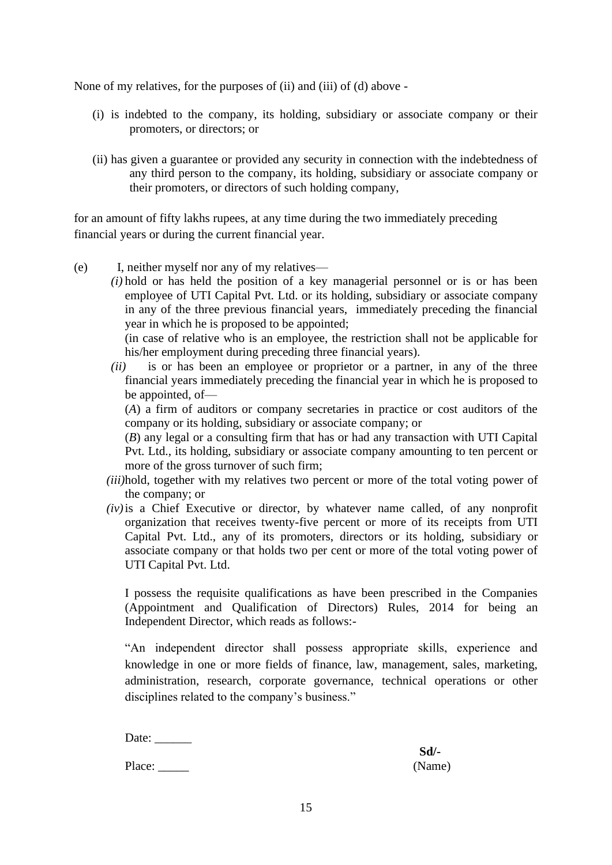None of my relatives, for the purposes of (ii) and (iii) of (d) above -

- (i) is indebted to the company, its holding, subsidiary or associate company or their promoters, or directors; or
- (ii) has given a guarantee or provided any security in connection with the indebtedness of any third person to the company, its holding, subsidiary or associate company or their promoters, or directors of such holding company,

for an amount of fifty lakhs rupees, at any time during the two immediately preceding financial years or during the current financial year.

- (e) I, neither myself nor any of my relatives—
	- *(i)* hold or has held the position of a key managerial personnel or is or has been employee of UTI Capital Pvt. Ltd. or its holding, subsidiary or associate company in any of the three previous financial years, immediately preceding the financial year in which he is proposed to be appointed;

(in case of relative who is an employee, the restriction shall not be applicable for his/her employment during preceding three financial years).

*(ii)* is or has been an employee or proprietor or a partner, in any of the three financial years immediately preceding the financial year in which he is proposed to be appointed, of—

(*A*) a firm of auditors or company secretaries in practice or cost auditors of the company or its holding, subsidiary or associate company; or

(*B*) any legal or a consulting firm that has or had any transaction with UTI Capital Pvt. Ltd., its holding, subsidiary or associate company amounting to ten percent or more of the gross turnover of such firm;

- *(iii)*hold, together with my relatives two percent or more of the total voting power of the company; or
- *(iv)*is a Chief Executive or director, by whatever name called, of any nonprofit organization that receives twenty-five percent or more of its receipts from UTI Capital Pvt. Ltd., any of its promoters, directors or its holding, subsidiary or associate company or that holds two per cent or more of the total voting power of UTI Capital Pvt. Ltd.

I possess the requisite qualifications as have been prescribed in the Companies (Appointment and Qualification of Directors) Rules, 2014 for being an Independent Director, which reads as follows:-

"An independent director shall possess appropriate skills, experience and knowledge in one or more fields of finance, law, management, sales, marketing, administration, research, corporate governance, technical operations or other disciplines related to the company's business."

Date:

Place: (Name)

**Sd/-**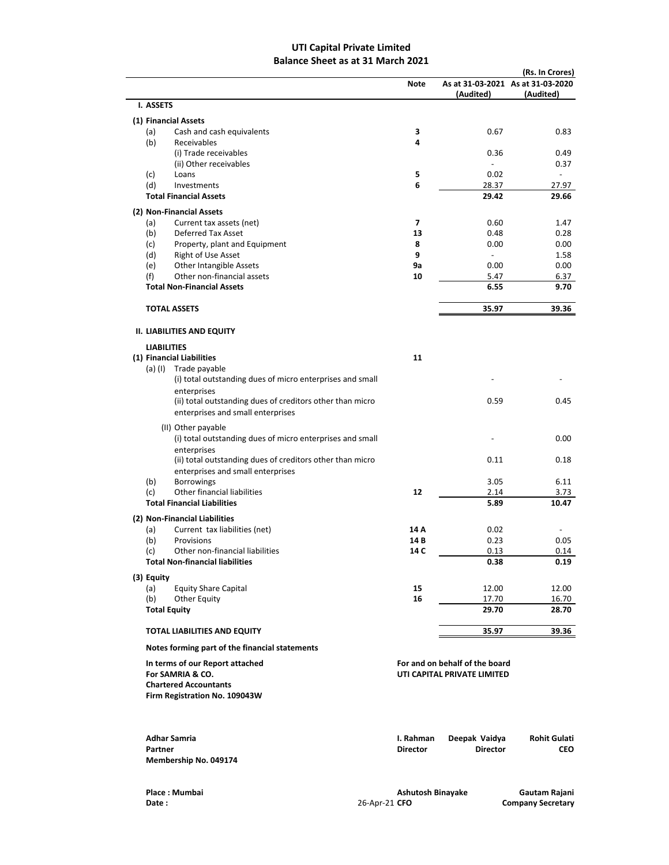# UTI Capital Private Limited Balance Sheet as at 31 March 2021

|                                                                                                                      | <b>Note</b>                  | As at 31-03-2021 As at 31-03-2020<br>(Audited)                | (Rs. In Crores)<br>(Audited) |
|----------------------------------------------------------------------------------------------------------------------|------------------------------|---------------------------------------------------------------|------------------------------|
| I. ASSETS                                                                                                            |                              |                                                               |                              |
| (1) Financial Assets                                                                                                 |                              |                                                               |                              |
| Cash and cash equivalents<br>(a)                                                                                     | 3                            | 0.67                                                          | 0.83                         |
| (b)<br>Receivables                                                                                                   | 4                            |                                                               |                              |
| (i) Trade receivables                                                                                                |                              | 0.36                                                          | 0.49                         |
| (ii) Other receivables                                                                                               |                              | $\overline{a}$                                                | 0.37                         |
| (c)<br>Loans                                                                                                         | 5                            | 0.02                                                          | $\overline{a}$               |
| (d)<br>Investments<br><b>Total Financial Assets</b>                                                                  | 6                            | 28.37<br>29.42                                                | 27.97<br>29.66               |
|                                                                                                                      |                              |                                                               |                              |
| (2) Non-Financial Assets                                                                                             |                              |                                                               |                              |
| Current tax assets (net)<br>(a)<br>(b)<br><b>Deferred Tax Asset</b>                                                  | $\overline{ }$<br>13         | 0.60<br>0.48                                                  | 1.47<br>0.28                 |
| Property, plant and Equipment<br>(c)                                                                                 | 8                            | 0.00                                                          | 0.00                         |
| Right of Use Asset<br>(d)                                                                                            | 9                            | $\overline{\phantom{a}}$                                      | 1.58                         |
| (e)<br><b>Other Intangible Assets</b>                                                                                | 9a                           | 0.00                                                          | 0.00                         |
| Other non-financial assets<br>(f)                                                                                    | 10                           | 5.47                                                          | 6.37                         |
| <b>Total Non-Financial Assets</b>                                                                                    |                              | 6.55                                                          | 9.70                         |
|                                                                                                                      |                              |                                                               |                              |
| <b>TOTAL ASSETS</b>                                                                                                  |                              | 35.97                                                         | 39.36                        |
| <b>II. LIABILITIES AND EQUITY</b>                                                                                    |                              |                                                               |                              |
| <b>LIABILITIES</b><br>(1) Financial Liabilities                                                                      | 11                           |                                                               |                              |
| Trade payable<br>(a) (I)                                                                                             |                              |                                                               |                              |
| (i) total outstanding dues of micro enterprises and small                                                            |                              |                                                               |                              |
| enterprises                                                                                                          |                              |                                                               |                              |
| (ii) total outstanding dues of creditors other than micro                                                            |                              | 0.59                                                          | 0.45                         |
| enterprises and small enterprises                                                                                    |                              |                                                               |                              |
| (II) Other payable                                                                                                   |                              |                                                               |                              |
| (i) total outstanding dues of micro enterprises and small                                                            |                              |                                                               | 0.00                         |
| enterprises                                                                                                          |                              |                                                               |                              |
| (ii) total outstanding dues of creditors other than micro                                                            |                              | 0.11                                                          | 0.18                         |
| enterprises and small enterprises                                                                                    |                              |                                                               |                              |
| <b>Borrowings</b><br>(b)                                                                                             |                              | 3.05                                                          | 6.11                         |
| (c)<br>Other financial liabilities                                                                                   | 12                           | 2.14                                                          | 3.73                         |
| <b>Total Financial Liabilities</b>                                                                                   |                              | 5.89                                                          | 10.47                        |
| (2) Non-Financial Liabilities                                                                                        |                              |                                                               |                              |
| Current tax liabilities (net)<br>(a)                                                                                 | 14 A                         | 0.02                                                          |                              |
| (b)<br>Provisions                                                                                                    | 14B                          | 0.23                                                          | 0.05                         |
| Other non-financial liabilities<br>(c)                                                                               | 14 C                         | 0.13                                                          | 0.14                         |
| <b>Total Non-financial liabilities</b>                                                                               |                              | 0.38                                                          | 0.19                         |
| (3) Equity                                                                                                           |                              |                                                               |                              |
| (a)<br><b>Equity Share Capital</b>                                                                                   | 15                           | 12.00                                                         | 12.00                        |
| (b)<br>Other Equity                                                                                                  | 16                           | 17.70                                                         | 16.70                        |
| <b>Total Equity</b>                                                                                                  |                              | 29.70                                                         | 28.70                        |
| <b>TOTAL LIABILITIES AND EQUITY</b>                                                                                  |                              | 35.97                                                         | 39.36                        |
| Notes forming part of the financial statements                                                                       |                              |                                                               |                              |
| In terms of our Report attached<br>For SAMRIA & CO.<br><b>Chartered Accountants</b><br>Firm Registration No. 109043W |                              | For and on behalf of the board<br>UTI CAPITAL PRIVATE LIMITED |                              |
| <b>Adhar Samria</b><br>Partner<br>Membership No. 049174                                                              | I. Rahman<br><b>Director</b> | Deepak Vaidya<br><b>Director</b>                              | Rohit Gulati<br><b>CEO</b>   |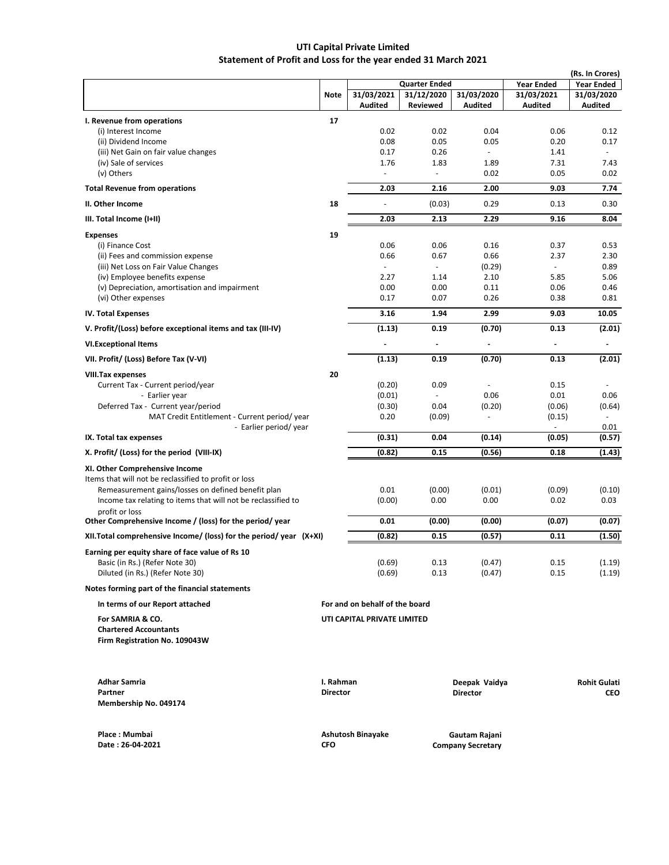# Statement of Profit and Loss for the year ended 31 March 2021 UTI Capital Private Limited

|                                                                                    |                 |                                |                      |                                  |                             | (Rs. In Crores)                   |
|------------------------------------------------------------------------------------|-----------------|--------------------------------|----------------------|----------------------------------|-----------------------------|-----------------------------------|
|                                                                                    |                 |                                | <b>Quarter Ended</b> |                                  | <b>Year Ended</b>           | <b>Year Ended</b>                 |
|                                                                                    | <b>Note</b>     | 31/03/2021                     | 31/12/2020           | 31/03/2020                       | 31/03/2021                  | 31/03/2020                        |
|                                                                                    |                 | Audited                        | <b>Reviewed</b>      | <b>Audited</b>                   | <b>Audited</b>              | <b>Audited</b>                    |
| I. Revenue from operations                                                         | 17              |                                |                      |                                  |                             |                                   |
| (i) Interest Income                                                                |                 | 0.02                           | 0.02                 | 0.04                             | 0.06                        | 0.12                              |
| (ii) Dividend Income                                                               |                 | 0.08                           | 0.05                 | 0.05                             | 0.20                        | 0.17                              |
| (iii) Net Gain on fair value changes                                               |                 | 0.17                           | 0.26                 | $\omega$                         | 1.41                        | $\omega$                          |
| (iv) Sale of services                                                              |                 | 1.76                           | 1.83                 | 1.89                             | 7.31                        | 7.43                              |
| (v) Others                                                                         |                 |                                | $\blacksquare$       | 0.02                             | 0.05                        | 0.02                              |
| <b>Total Revenue from operations</b>                                               |                 | 2.03                           | 2.16                 | 2.00                             | 9.03                        | 7.74                              |
| II. Other Income                                                                   | 18              |                                | (0.03)               | 0.29                             | 0.13                        | 0.30                              |
| III. Total Income (I+II)                                                           |                 | 2.03                           | 2.13                 | 2.29                             | 9.16                        | 8.04                              |
| <b>Expenses</b>                                                                    | 19              |                                |                      |                                  |                             |                                   |
| (i) Finance Cost                                                                   |                 | 0.06                           | 0.06                 | 0.16                             | 0.37                        | 0.53                              |
| (ii) Fees and commission expense                                                   |                 | 0.66                           | 0.67                 | 0.66                             | 2.37                        | 2.30                              |
| (iii) Net Loss on Fair Value Changes                                               |                 |                                | $\sim$               | (0.29)                           | $\mathcal{L}_{\mathcal{A}}$ | 0.89                              |
| (iv) Employee benefits expense                                                     |                 | 2.27                           | 1.14                 | 2.10                             | 5.85                        | 5.06                              |
| (v) Depreciation, amortisation and impairment                                      |                 | 0.00                           | 0.00                 | 0.11                             | 0.06                        | 0.46                              |
| (vi) Other expenses                                                                |                 | 0.17                           | 0.07                 | 0.26                             | 0.38                        | 0.81                              |
| <b>IV. Total Expenses</b>                                                          |                 | 3.16                           | 1.94                 | 2.99                             | 9.03                        | 10.05                             |
| V. Profit/(Loss) before exceptional items and tax (III-IV)                         |                 | (1.13)                         | 0.19                 | (0.70)                           | 0.13                        | (2.01)                            |
| <b>VI.Exceptional Items</b>                                                        |                 |                                |                      |                                  | $\overline{\phantom{a}}$    | ٠                                 |
| VII. Profit/ (Loss) Before Tax (V-VI)                                              |                 | (1.13)                         | 0.19                 | (0.70)                           | 0.13                        | (2.01)                            |
| <b>VIII.Tax expenses</b>                                                           | 20              |                                |                      |                                  |                             |                                   |
| Current Tax - Current period/year                                                  |                 | (0.20)                         | 0.09                 | $\sim$                           | 0.15                        |                                   |
| - Earlier year                                                                     |                 | (0.01)                         | 0.04                 | 0.06                             | 0.01<br>(0.06)              | 0.06                              |
| Deferred Tax - Current year/period<br>MAT Credit Entitlement - Current period/year |                 | (0.30)<br>0.20                 | (0.09)               | (0.20)<br>÷,                     | (0.15)                      | (0.64)                            |
| - Earlier period/year                                                              |                 |                                |                      |                                  | $\blacksquare$              | 0.01                              |
| IX. Total tax expenses                                                             |                 | (0.31)                         | 0.04                 | (0.14)                           | (0.05)                      | (0.57)                            |
| X. Profit/ (Loss) for the period (VIII-IX)                                         |                 | (0.82)                         | 0.15                 | (0.56)                           | 0.18                        | (1.43)                            |
| XI. Other Comprehensive Income                                                     |                 |                                |                      |                                  |                             |                                   |
| Items that will not be reclassified to profit or loss                              |                 |                                |                      |                                  |                             |                                   |
| Remeasurement gains/losses on defined benefit plan                                 |                 | 0.01                           | (0.00)               | (0.01)                           | (0.09)                      | (0.10)                            |
| Income tax relating to items that will not be reclassified to                      |                 | (0.00)                         | 0.00                 | 0.00                             | 0.02                        | 0.03                              |
| profit or loss                                                                     |                 |                                |                      |                                  |                             |                                   |
| Other Comprehensive Income / (loss) for the period/ year                           |                 | 0.01                           | (0.00)               | (0.00)                           | (0.07)                      | (0.07)                            |
| XII. Total comprehensive Income/ (loss) for the period/ year $(X+XI)$              |                 | (0.82)                         | 0.15                 | (0.57)                           | 0.11                        | (1.50)                            |
| Earning per equity share of face value of Rs 10                                    |                 |                                |                      |                                  |                             |                                   |
| Basic (in Rs.) (Refer Note 30)                                                     |                 | (0.69)                         | 0.13                 | (0.47)                           | 0.15                        | (1.19)                            |
| Diluted (in Rs.) (Refer Note 30)                                                   |                 | (0.69)                         | 0.13                 | (0.47)                           | 0.15                        | (1.19)                            |
| Notes forming part of the financial statements                                     |                 |                                |                      |                                  |                             |                                   |
| In terms of our Report attached                                                    |                 | For and on behalf of the board |                      |                                  |                             |                                   |
| For SAMRIA & CO.                                                                   |                 | UTI CAPITAL PRIVATE LIMITED    |                      |                                  |                             |                                   |
| <b>Chartered Accountants</b>                                                       |                 |                                |                      |                                  |                             |                                   |
| Firm Registration No. 109043W                                                      |                 |                                |                      |                                  |                             |                                   |
|                                                                                    |                 |                                |                      |                                  |                             |                                   |
| <b>Adhar Samria</b>                                                                | I. Rahman       |                                |                      |                                  |                             |                                   |
| Partner                                                                            | <b>Director</b> |                                |                      | Deepak Vaidya<br><b>Director</b> |                             | <b>Rohit Gulati</b><br><b>CEO</b> |
| Membership No. 049174                                                              |                 |                                |                      |                                  |                             |                                   |
|                                                                                    |                 |                                |                      |                                  |                             |                                   |
| Place: Mumbai                                                                      |                 | Ashutosh Binayake              |                      | Gautam Rajani                    |                             |                                   |
| Date: 26-04-2021                                                                   | <b>CFO</b>      |                                |                      | <b>Company Secretary</b>         |                             |                                   |
|                                                                                    |                 |                                |                      |                                  |                             |                                   |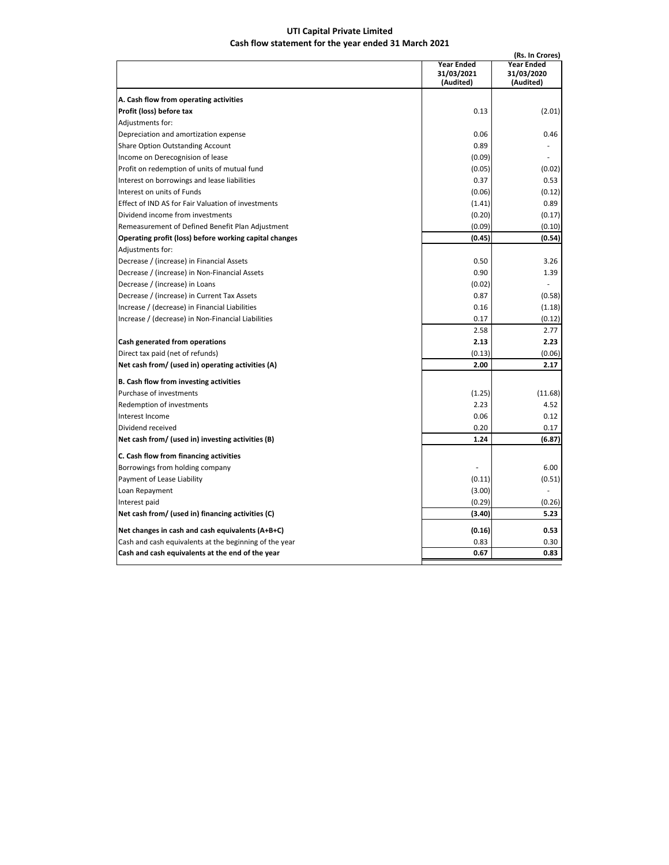# UTI Capital Private Limited Cash flow statement for the year ended 31 March 2021

| A. Cash flow from operating activities<br>Profit (loss) before tax | (Audited)<br>0.13<br>0.06 | (Audited)<br>(2.01) |
|--------------------------------------------------------------------|---------------------------|---------------------|
|                                                                    |                           |                     |
|                                                                    |                           |                     |
|                                                                    |                           |                     |
| Adjustments for:                                                   |                           |                     |
| Depreciation and amortization expense                              |                           | 0.46                |
| <b>Share Option Outstanding Account</b>                            | 0.89                      |                     |
| Income on Derecognision of lease                                   | (0.09)                    |                     |
| Profit on redemption of units of mutual fund                       | (0.05)                    | (0.02)              |
| Interest on borrowings and lease liabilities                       | 0.37                      | 0.53                |
| Interest on units of Funds                                         | (0.06)                    | (0.12)              |
| Effect of IND AS for Fair Valuation of investments                 | (1.41)                    | 0.89                |
| Dividend income from investments                                   | (0.20)                    | (0.17)              |
| Remeasurement of Defined Benefit Plan Adjustment                   | (0.09)                    | (0.10)              |
| Operating profit (loss) before working capital changes             | (0.45)                    | (0.54)              |
| Adjustments for:                                                   |                           |                     |
| Decrease / (increase) in Financial Assets                          | 0.50                      | 3.26                |
| Decrease / (increase) in Non-Financial Assets                      | 0.90                      | 1.39                |
| Decrease / (increase) in Loans                                     | (0.02)                    | ä,                  |
| Decrease / (increase) in Current Tax Assets                        | 0.87                      | (0.58)              |
| Increase / (decrease) in Financial Liabilities                     | 0.16                      | (1.18)              |
| Increase / (decrease) in Non-Financial Liabilities                 | 0.17                      | (0.12)              |
|                                                                    | 2.58                      | 2.77                |
| Cash generated from operations                                     | 2.13                      | 2.23                |
| Direct tax paid (net of refunds)                                   | (0.13)                    | (0.06)              |
| Net cash from/ (used in) operating activities (A)                  | 2.00                      | 2.17                |
| B. Cash flow from investing activities                             |                           |                     |
| Purchase of investments                                            | (1.25)                    | (11.68)             |
| Redemption of investments                                          | 2.23                      | 4.52                |
| Interest Income                                                    | 0.06                      | 0.12                |
| Dividend received                                                  | 0.20                      | 0.17                |
| Net cash from/ (used in) investing activities (B)                  | 1.24                      | (6.87)              |
| C. Cash flow from financing activities                             |                           |                     |
| Borrowings from holding company                                    |                           | 6.00                |
| Payment of Lease Liability                                         | (0.11)                    | (0.51)              |
| Loan Repayment                                                     | (3.00)                    |                     |
| Interest paid                                                      | (0.29)                    | (0.26)              |
| Net cash from/ (used in) financing activities (C)                  | (3.40)                    | 5.23                |
| Net changes in cash and cash equivalents (A+B+C)                   | (0.16)                    | 0.53                |
| Cash and cash equivalents at the beginning of the year             | 0.83                      | 0.30                |
| Cash and cash equivalents at the end of the year                   | 0.67                      | 0.83                |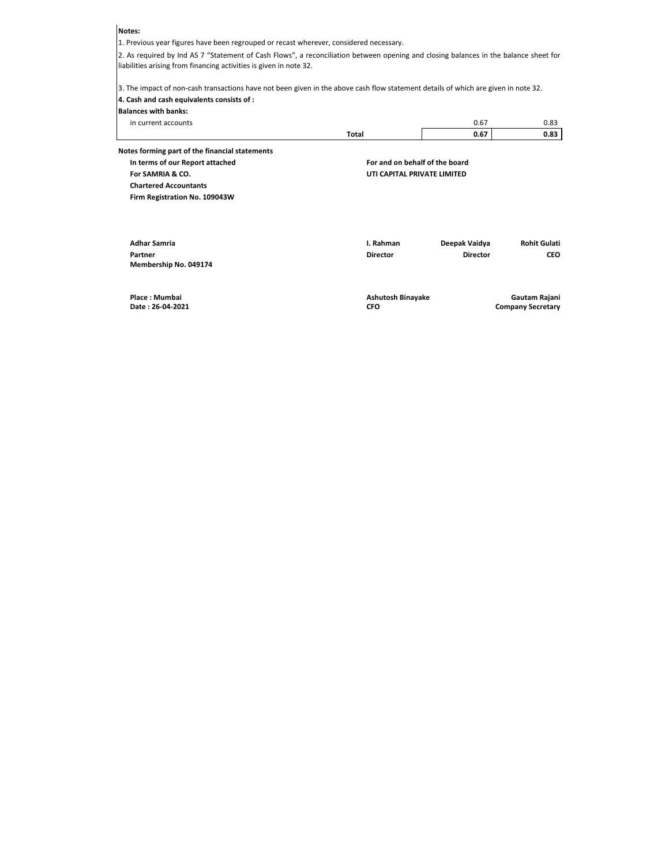# Notes:

1. Previous year figures have been regrouped or recast wherever, considered necessary.

2. As required by Ind AS 7 "Statement of Cash Flows", a reconciliation between opening and closing balances in the balance sheet for liabilities arising from financing activities is given in note 32.

4. Cash and cash equivalents consists of : 3. The impact of non-cash transactions have not been given in the above cash flow statement details of which are given in note 32.

## Balances with banks:

| in current accounts |              | $\sim$<br><b>0.07</b> | <b>U.OJ</b> |
|---------------------|--------------|-----------------------|-------------|
|                     | <b>Total</b> | 0.67                  | ാ<br>บ.ธร   |

| Notes forming part of the financial statements |                                        |                 |                     |  |  |
|------------------------------------------------|----------------------------------------|-----------------|---------------------|--|--|
| In terms of our Report attached                | For and on behalf of the board         |                 |                     |  |  |
| For SAMRIA & CO.                               | UTI CAPITAL PRIVATE LIMITED            |                 |                     |  |  |
| <b>Chartered Accountants</b>                   |                                        |                 |                     |  |  |
| Firm Registration No. 109043W                  |                                        |                 |                     |  |  |
|                                                |                                        |                 |                     |  |  |
| <b>Adhar Samria</b>                            | I. Rahman                              | Deepak Vaidya   | <b>Rohit Gulati</b> |  |  |
| Partner                                        | <b>Director</b>                        | <b>Director</b> | <b>CEO</b>          |  |  |
| Membership No. 049174                          |                                        |                 |                     |  |  |
| Place: Mumbai                                  | Ashutosh Binayake                      |                 | Gautam Rajani       |  |  |
| Date: 26-04-2021                               | <b>CFO</b><br><b>Company Secretary</b> |                 |                     |  |  |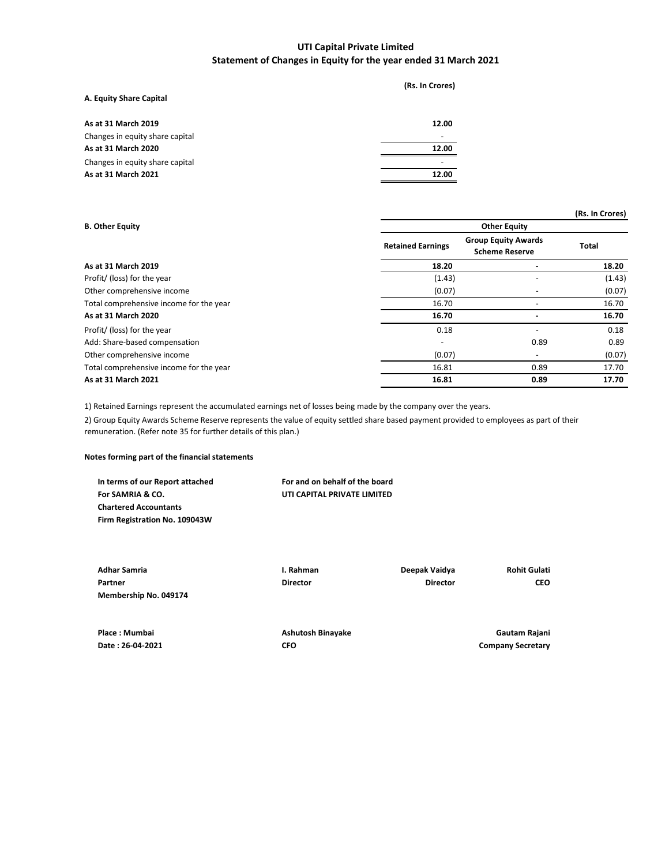# Statement of Changes in Equity for the year ended 31 March 2021 UTI Capital Private Limited

| A. Equity Share Capital         | (Rs. In Crores) |
|---------------------------------|-----------------|
| As at 31 March 2019             | 12.00           |
| Changes in equity share capital |                 |
| As at 31 March 2020             | 12.00           |
| Changes in equity share capital |                 |
| As at 31 March 2021             | 12.00           |
|                                 |                 |

|                                         |                          |                                                     | (Rs. In Crores) |
|-----------------------------------------|--------------------------|-----------------------------------------------------|-----------------|
| <b>B. Other Equity</b>                  |                          | <b>Other Equity</b>                                 |                 |
|                                         | <b>Retained Earnings</b> | <b>Group Equity Awards</b><br><b>Scheme Reserve</b> | <b>Total</b>    |
| As at 31 March 2019                     | 18.20                    |                                                     | 18.20           |
| Profit/ (loss) for the year             | (1.43)                   |                                                     | (1.43)          |
| Other comprehensive income              | (0.07)                   |                                                     | (0.07)          |
| Total comprehensive income for the year | 16.70                    |                                                     | 16.70           |
| As at 31 March 2020                     | 16.70                    |                                                     | 16.70           |
| Profit/ (loss) for the year             | 0.18                     |                                                     | 0.18            |
| Add: Share-based compensation           | $\overline{\phantom{a}}$ | 0.89                                                | 0.89            |
| Other comprehensive income              | (0.07)                   | $\overline{\phantom{a}}$                            | (0.07)          |
| Total comprehensive income for the year | 16.81                    | 0.89                                                | 17.70           |
| As at 31 March 2021                     | 16.81                    | 0.89                                                | 17.70           |

1) Retained Earnings represent the accumulated earnings net of losses being made by the company over the years.

2) Group Equity Awards Scheme Reserve represents the value of equity settled share based payment provided to employees as part of their remuneration. (Refer note 35 for further details of this plan.)

# Notes forming part of the financial statements

| For and on behalf of the board |
|--------------------------------|
| UTI CAPITAL PRIVATE LIMITED    |
|                                |
|                                |
|                                |

| <b>Adhar Samria</b>   | I. Rahman       | Deepak Vaidya   | <b>Rohit Gulati</b> |
|-----------------------|-----------------|-----------------|---------------------|
| Partner               | <b>Director</b> | <b>Director</b> | <b>CEO</b>          |
| Membership No. 049174 |                 |                 |                     |
|                       |                 |                 |                     |
|                       |                 |                 |                     |

Place : Mumbai **Ashutosh Binayake** Ashutosh Binayake **Ashutosh Binayake** Gautam Rajani

Date : 26-04-2021 CFO CFO COMPANY Secretary COMPANY Secretary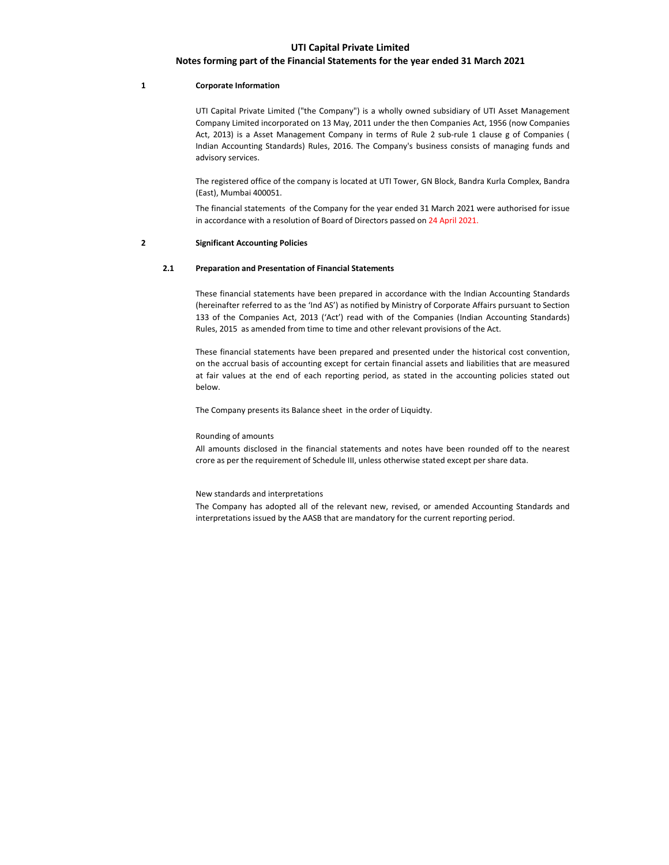# Notes forming part of the Financial Statements for the year ended 31 March 2021

## 1 Corporate Information

 UTI Capital Private Limited ("the Company") is a wholly owned subsidiary of UTI Asset Management Company Limited incorporated on 13 May, 2011 under the then Companies Act, 1956 (now Companies Act, 2013) is a Asset Management Company in terms of Rule 2 sub-rule 1 clause g of Companies ( Indian Accounting Standards) Rules, 2016. The Company's business consists of managing funds and advisory services.

The registered office of the company is located at UTI Tower, GN Block, Bandra Kurla Complex, Bandra (East), Mumbai 400051.

The financial statements of the Company for the year ended 31 March 2021 were authorised for issue in accordance with a resolution of Board of Directors passed on 24 April 2021.

### 2 Significant Accounting Policies

## 2.1 Preparation and Presentation of Financial Statements

These financial statements have been prepared in accordance with the Indian Accounting Standards (hereinafter referred to as the 'Ind AS') as notified by Ministry of Corporate Affairs pursuant to Section 133 of the Companies Act, 2013 ('Act') read with of the Companies (Indian Accounting Standards) Rules, 2015 as amended from time to time and other relevant provisions of the Act.

These financial statements have been prepared and presented under the historical cost convention, on the accrual basis of accounting except for certain financial assets and liabilities that are measured at fair values at the end of each reporting period, as stated in the accounting policies stated out below.

The Company presents its Balance sheet in the order of Liquidty.

## Rounding of amounts

All amounts disclosed in the financial statements and notes have been rounded off to the nearest crore as per the requirement of Schedule III, unless otherwise stated except per share data.

#### New standards and interpretations

The Company has adopted all of the relevant new, revised, or amended Accounting Standards and interpretations issued by the AASB that are mandatory for the current reporting period.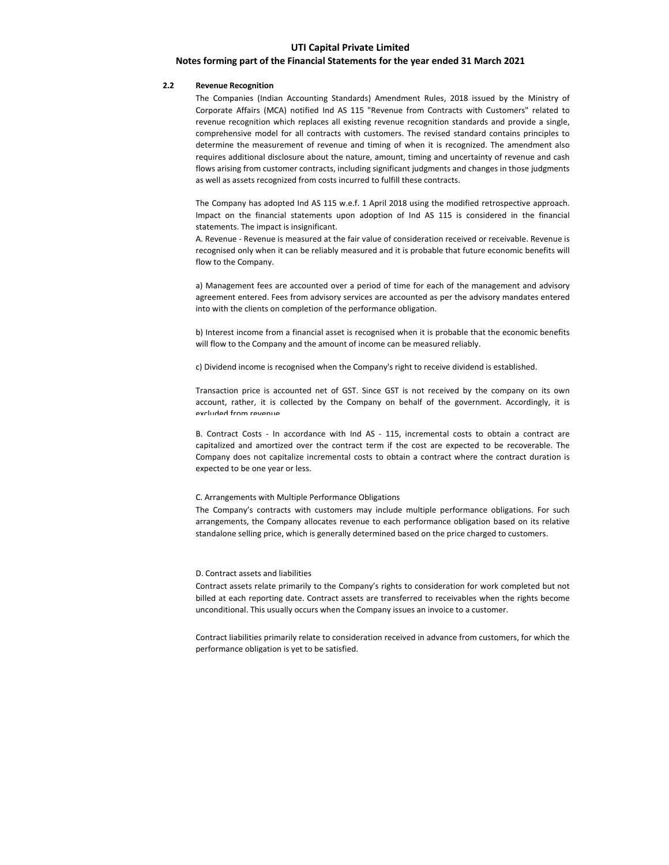## Notes forming part of the Financial Statements for the year ended 31 March 2021

## 2.2 Revenue Recognition

The Companies (Indian Accounting Standards) Amendment Rules, 2018 issued by the Ministry of Corporate Affairs (MCA) notified Ind AS 115 "Revenue from Contracts with Customers" related to revenue recognition which replaces all existing revenue recognition standards and provide a single, comprehensive model for all contracts with customers. The revised standard contains principles to determine the measurement of revenue and timing of when it is recognized. The amendment also requires additional disclosure about the nature, amount, timing and uncertainty of revenue and cash flows arising from customer contracts, including significant judgments and changes in those judgments as well as assets recognized from costs incurred to fulfill these contracts.

The Company has adopted Ind AS 115 w.e.f. 1 April 2018 using the modified retrospective approach. Impact on the financial statements upon adoption of Ind AS 115 is considered in the financial statements. The impact is insignificant.

A. Revenue - Revenue is measured at the fair value of consideration received or receivable. Revenue is recognised only when it can be reliably measured and it is probable that future economic benefits will flow to the Company.

a) Management fees are accounted over a period of time for each of the management and advisory agreement entered. Fees from advisory services are accounted as per the advisory mandates entered into with the clients on completion of the performance obligation.

b) Interest income from a financial asset is recognised when it is probable that the economic benefits will flow to the Company and the amount of income can be measured reliably.

c) Dividend income is recognised when the Company's right to receive dividend is established.

Transaction price is accounted net of GST. Since GST is not received by the company on its own account, rather, it is collected by the Company on behalf of the government. Accordingly, it is excluded from revenue.

B. Contract Costs - In accordance with Ind AS - 115, incremental costs to obtain a contract are capitalized and amortized over the contract term if the cost are expected to be recoverable. The Company does not capitalize incremental costs to obtain a contract where the contract duration is expected to be one year or less.

## C. Arrangements with Multiple Performance Obligations

The Company's contracts with customers may include multiple performance obligations. For such arrangements, the Company allocates revenue to each performance obligation based on its relative standalone selling price, which is generally determined based on the price charged to customers.

#### D. Contract assets and liabilities

Contract assets relate primarily to the Company's rights to consideration for work completed but not billed at each reporting date. Contract assets are transferred to receivables when the rights become unconditional. This usually occurs when the Company issues an invoice to a customer.

Contract liabilities primarily relate to consideration received in advance from customers, for which the performance obligation is yet to be satisfied.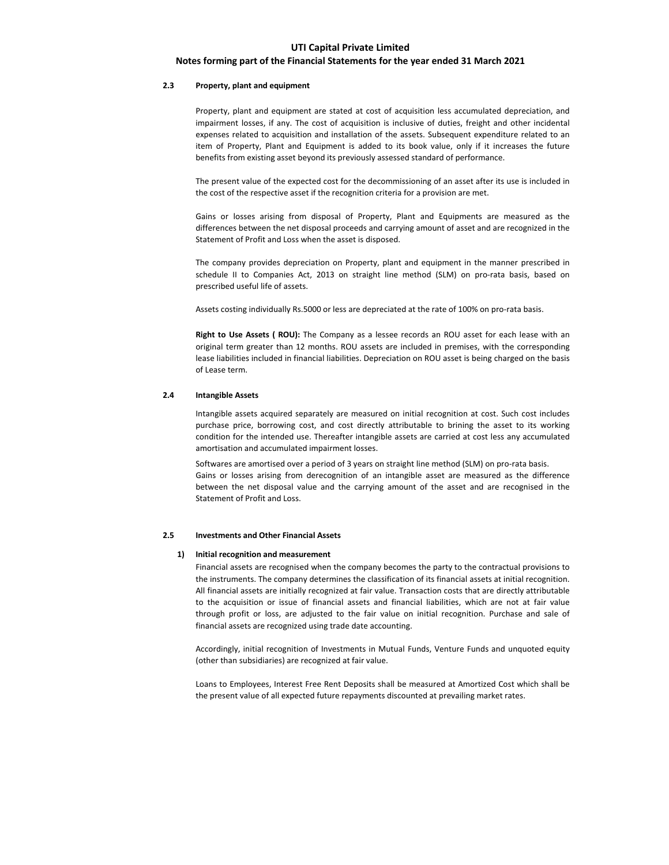# Notes forming part of the Financial Statements for the year ended 31 March 2021

## 2.3 Property, plant and equipment

Property, plant and equipment are stated at cost of acquisition less accumulated depreciation, and impairment losses, if any. The cost of acquisition is inclusive of duties, freight and other incidental expenses related to acquisition and installation of the assets. Subsequent expenditure related to an item of Property, Plant and Equipment is added to its book value, only if it increases the future benefits from existing asset beyond its previously assessed standard of performance.

The present value of the expected cost for the decommissioning of an asset after its use is included in the cost of the respective asset if the recognition criteria for a provision are met.

Gains or losses arising from disposal of Property, Plant and Equipments are measured as the differences between the net disposal proceeds and carrying amount of asset and are recognized in the Statement of Profit and Loss when the asset is disposed.

The company provides depreciation on Property, plant and equipment in the manner prescribed in schedule II to Companies Act, 2013 on straight line method (SLM) on pro-rata basis, based on prescribed useful life of assets.

Assets costing individually Rs.5000 or less are depreciated at the rate of 100% on pro-rata basis.

Right to Use Assets (ROU): The Company as a lessee records an ROU asset for each lease with an original term greater than 12 months. ROU assets are included in premises, with the corresponding lease liabilities included in financial liabilities. Depreciation on ROU asset is being charged on the basis of Lease term.

## 2.4 Intangible Assets

Intangible assets acquired separately are measured on initial recognition at cost. Such cost includes purchase price, borrowing cost, and cost directly attributable to brining the asset to its working condition for the intended use. Thereafter intangible assets are carried at cost less any accumulated amortisation and accumulated impairment losses.

Softwares are amortised over a period of 3 years on straight line method (SLM) on pro-rata basis. Gains or losses arising from derecognition of an intangible asset are measured as the difference between the net disposal value and the carrying amount of the asset and are recognised in the Statement of Profit and Loss.

## 2.5 Investments and Other Financial Assets

### 1) Initial recognition and measurement

Financial assets are recognised when the company becomes the party to the contractual provisions to the instruments. The company determines the classification of its financial assets at initial recognition. All financial assets are initially recognized at fair value. Transaction costs that are directly attributable to the acquisition or issue of financial assets and financial liabilities, which are not at fair value through profit or loss, are adjusted to the fair value on initial recognition. Purchase and sale of financial assets are recognized using trade date accounting.

Accordingly, initial recognition of Investments in Mutual Funds, Venture Funds and unquoted equity (other than subsidiaries) are recognized at fair value.

Loans to Employees, Interest Free Rent Deposits shall be measured at Amortized Cost which shall be the present value of all expected future repayments discounted at prevailing market rates.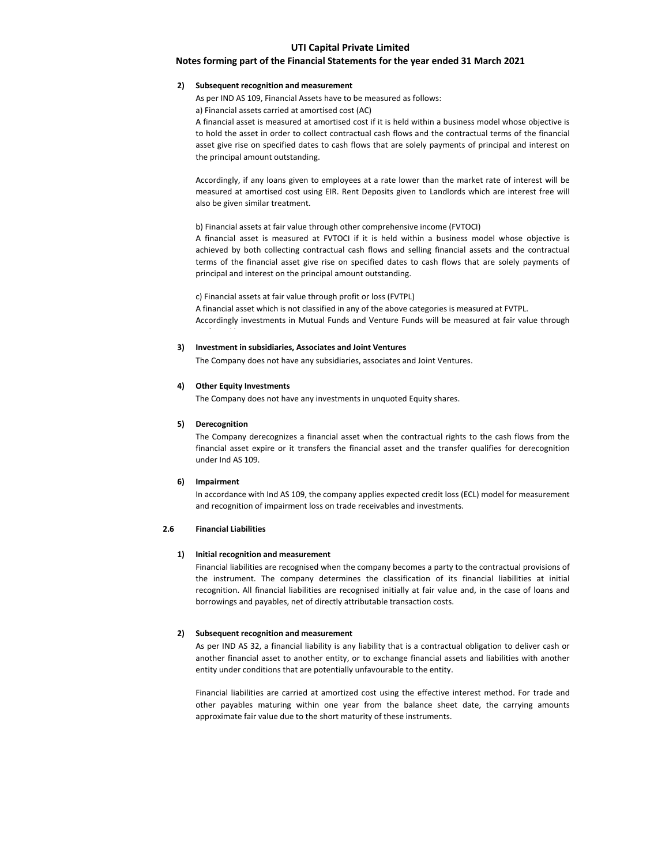## Notes forming part of the Financial Statements for the year ended 31 March 2021

## 2) Subsequent recognition and measurement

As per IND AS 109, Financial Assets have to be measured as follows:

a) Financial assets carried at amortised cost (AC)

A financial asset is measured at amortised cost if it is held within a business model whose objective is to hold the asset in order to collect contractual cash flows and the contractual terms of the financial asset give rise on specified dates to cash flows that are solely payments of principal and interest on the principal amount outstanding.

Accordingly, if any loans given to employees at a rate lower than the market rate of interest will be measured at amortised cost using EIR. Rent Deposits given to Landlords which are interest free will also be given similar treatment.

### b) Financial assets at fair value through other comprehensive income (FVTOCI)

A financial asset is measured at FVTOCI if it is held within a business model whose objective is achieved by both collecting contractual cash flows and selling financial assets and the contractual terms of the financial asset give rise on specified dates to cash flows that are solely payments of principal and interest on the principal amount outstanding.

c) Financial assets at fair value through profit or loss (FVTPL)

A financial asset which is not classified in any of the above categories is measured at FVTPL. Accordingly investments in Mutual Funds and Venture Funds will be measured at fair value through profit and loss.

## 3) Investment in subsidiaries, Associates and Joint Ventures

The Company does not have any subsidiaries, associates and Joint Ventures.

## 4) Other Equity Investments

The Company does not have any investments in unquoted Equity shares.

### 5) Derecognition

The Company derecognizes a financial asset when the contractual rights to the cash flows from the financial asset expire or it transfers the financial asset and the transfer qualifies for derecognition under Ind AS 109.

## 6) Impairment

In accordance with Ind AS 109, the company applies expected credit loss (ECL) model for measurement and recognition of impairment loss on trade receivables and investments.

## 2.6 Financial Liabilities

## 1) Initial recognition and measurement

Financial liabilities are recognised when the company becomes a party to the contractual provisions of the instrument. The company determines the classification of its financial liabilities at initial recognition. All financial liabilities are recognised initially at fair value and, in the case of loans and borrowings and payables, net of directly attributable transaction costs.

### 2) Subsequent recognition and measurement

As per IND AS 32, a financial liability is any liability that is a contractual obligation to deliver cash or another financial asset to another entity, or to exchange financial assets and liabilities with another entity under conditions that are potentially unfavourable to the entity.

Financial liabilities are carried at amortized cost using the effective interest method. For trade and other payables maturing within one year from the balance sheet date, the carrying amounts approximate fair value due to the short maturity of these instruments.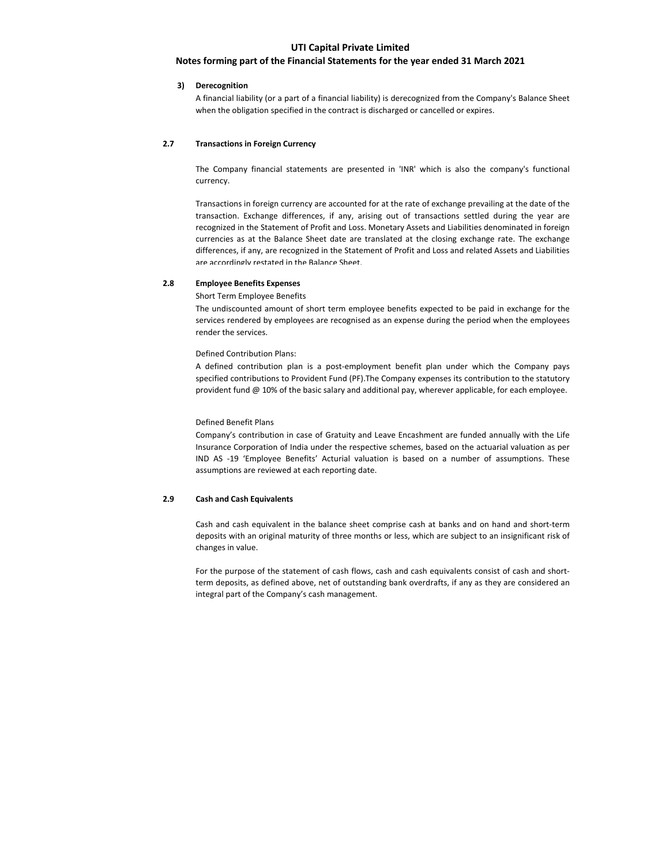## Notes forming part of the Financial Statements for the year ended 31 March 2021

## 3) Derecognition

A financial liability (or a part of a financial liability) is derecognized from the Company's Balance Sheet when the obligation specified in the contract is discharged or cancelled or expires.

## 2.7 Transactions in Foreign Currency

The Company financial statements are presented in 'INR' which is also the company's functional currency.

Transactions in foreign currency are accounted for at the rate of exchange prevailing at the date of the transaction. Exchange differences, if any, arising out of transactions settled during the year are recognized in the Statement of Profit and Loss. Monetary Assets and Liabilities denominated in foreign currencies as at the Balance Sheet date are translated at the closing exchange rate. The exchange differences, if any, are recognized in the Statement of Profit and Loss and related Assets and Liabilities are accordingly restated in the Balance Sheet.

## 2.8 Employee Benefits Expenses

Short Term Employee Benefits

The undiscounted amount of short term employee benefits expected to be paid in exchange for the services rendered by employees are recognised as an expense during the period when the employees render the services.

## Defined Contribution Plans:

A defined contribution plan is a post-employment benefit plan under which the Company pays specified contributions to Provident Fund (PF).The Company expenses its contribution to the statutory provident fund @ 10% of the basic salary and additional pay, wherever applicable, for each employee.

## Defined Benefit Plans

Company's contribution in case of Gratuity and Leave Encashment are funded annually with the Life Insurance Corporation of India under the respective schemes, based on the actuarial valuation as per IND AS -19 'Employee Benefits' Acturial valuation is based on a number of assumptions. These assumptions are reviewed at each reporting date.

## 2.9 Cash and Cash Equivalents

Cash and cash equivalent in the balance sheet comprise cash at banks and on hand and short-term deposits with an original maturity of three months or less, which are subject to an insignificant risk of changes in value.

For the purpose of the statement of cash flows, cash and cash equivalents consist of cash and shortterm deposits, as defined above, net of outstanding bank overdrafts, if any as they are considered an integral part of the Company's cash management.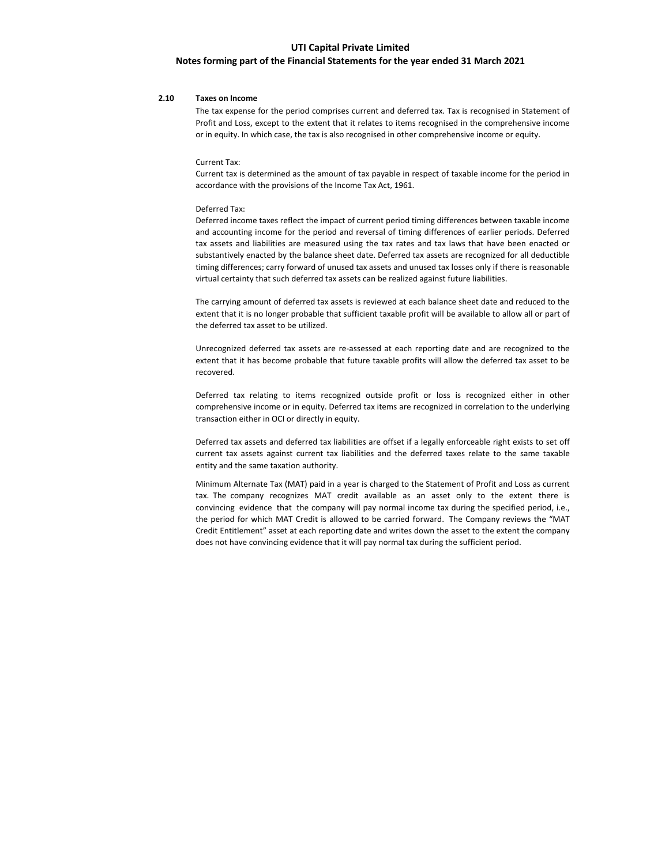## Notes forming part of the Financial Statements for the year ended 31 March 2021

## 2.10 Taxes on Income

The tax expense for the period comprises current and deferred tax. Tax is recognised in Statement of Profit and Loss, except to the extent that it relates to items recognised in the comprehensive income or in equity. In which case, the tax is also recognised in other comprehensive income or equity.

#### Current Tax:

Current tax is determined as the amount of tax payable in respect of taxable income for the period in accordance with the provisions of the Income Tax Act, 1961.

## Deferred Tax:

Deferred income taxes reflect the impact of current period timing differences between taxable income and accounting income for the period and reversal of timing differences of earlier periods. Deferred tax assets and liabilities are measured using the tax rates and tax laws that have been enacted or substantively enacted by the balance sheet date. Deferred tax assets are recognized for all deductible timing differences; carry forward of unused tax assets and unused tax losses only if there is reasonable virtual certainty that such deferred tax assets can be realized against future liabilities.

The carrying amount of deferred tax assets is reviewed at each balance sheet date and reduced to the extent that it is no longer probable that sufficient taxable profit will be available to allow all or part of the deferred tax asset to be utilized.

Unrecognized deferred tax assets are re-assessed at each reporting date and are recognized to the extent that it has become probable that future taxable profits will allow the deferred tax asset to be recovered.

Deferred tax relating to items recognized outside profit or loss is recognized either in other comprehensive income or in equity. Deferred tax items are recognized in correlation to the underlying transaction either in OCI or directly in equity.

Deferred tax assets and deferred tax liabilities are offset if a legally enforceable right exists to set off current tax assets against current tax liabilities and the deferred taxes relate to the same taxable entity and the same taxation authority.

Minimum Alternate Tax (MAT) paid in a year is charged to the Statement of Profit and Loss as current tax. The company recognizes MAT credit available as an asset only to the extent there is convincing evidence that the company will pay normal income tax during the specified period, i.e., the period for which MAT Credit is allowed to be carried forward. The Company reviews the "MAT Credit Entitlement" asset at each reporting date and writes down the asset to the extent the company does not have convincing evidence that it will pay normal tax during the sufficient period.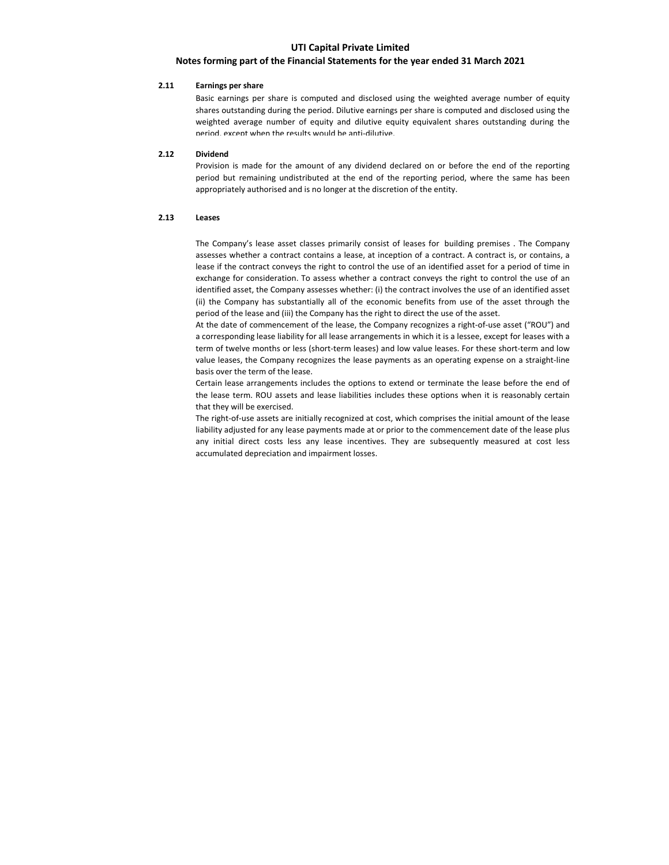# Notes forming part of the Financial Statements for the year ended 31 March 2021

## 2.11 Earnings per share

Basic earnings per share is computed and disclosed using the weighted average number of equity shares outstanding during the period. Dilutive earnings per share is computed and disclosed using the weighted average number of equity and dilutive equity equivalent shares outstanding during the period, except when the results would be anti-dilutive.

## 2.12 Dividend

Provision is made for the amount of any dividend declared on or before the end of the reporting period but remaining undistributed at the end of the reporting period, where the same has been appropriately authorised and is no longer at the discretion of the entity.

## 2.13 Leases

The Company's lease asset classes primarily consist of leases for building premises . The Company assesses whether a contract contains a lease, at inception of a contract. A contract is, or contains, a lease if the contract conveys the right to control the use of an identified asset for a period of time in exchange for consideration. To assess whether a contract conveys the right to control the use of an identified asset, the Company assesses whether: (i) the contract involves the use of an identified asset (ii) the Company has substantially all of the economic benefits from use of the asset through the period of the lease and (iii) the Company has the right to direct the use of the asset.

At the date of commencement of the lease, the Company recognizes a right-of-use asset ("ROU") and a corresponding lease liability for all lease arrangements in which it is a lessee, except for leases with a term of twelve months or less (short-term leases) and low value leases. For these short-term and low value leases, the Company recognizes the lease payments as an operating expense on a straight-line basis over the term of the lease.

Certain lease arrangements includes the options to extend or terminate the lease before the end of the lease term. ROU assets and lease liabilities includes these options when it is reasonably certain that they will be exercised.

The right-of-use assets are initially recognized at cost, which comprises the initial amount of the lease liability adjusted for any lease payments made at or prior to the commencement date of the lease plus any initial direct costs less any lease incentives. They are subsequently measured at cost less accumulated depreciation and impairment losses.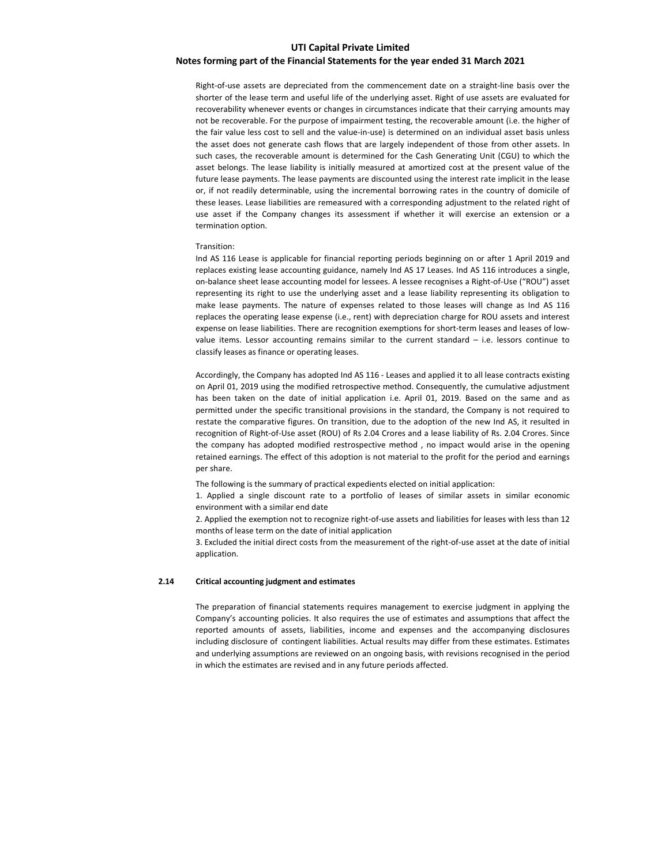# Notes forming part of the Financial Statements for the year ended 31 March 2021

Right-of-use assets are depreciated from the commencement date on a straight-line basis over the shorter of the lease term and useful life of the underlying asset. Right of use assets are evaluated for recoverability whenever events or changes in circumstances indicate that their carrying amounts may not be recoverable. For the purpose of impairment testing, the recoverable amount (i.e. the higher of the fair value less cost to sell and the value-in-use) is determined on an individual asset basis unless the asset does not generate cash flows that are largely independent of those from other assets. In such cases, the recoverable amount is determined for the Cash Generating Unit (CGU) to which the asset belongs. The lease liability is initially measured at amortized cost at the present value of the future lease payments. The lease payments are discounted using the interest rate implicit in the lease or, if not readily determinable, using the incremental borrowing rates in the country of domicile of these leases. Lease liabilities are remeasured with a corresponding adjustment to the related right of use asset if the Company changes its assessment if whether it will exercise an extension or a termination option.

#### Transition:

Ind AS 116 Lease is applicable for financial reporting periods beginning on or after 1 April 2019 and replaces existing lease accounting guidance, namely Ind AS 17 Leases. Ind AS 116 introduces a single, on-balance sheet lease accounting model for lessees. A lessee recognises a Right-of-Use ("ROU") asset representing its right to use the underlying asset and a lease liability representing its obligation to make lease payments. The nature of expenses related to those leases will change as Ind AS 116 replaces the operating lease expense (i.e., rent) with depreciation charge for ROU assets and interest expense on lease liabilities. There are recognition exemptions for short-term leases and leases of lowvalue items. Lessor accounting remains similar to the current standard – i.e. lessors continue to classify leases as finance or operating leases.

Accordingly, the Company has adopted Ind AS 116 - Leases and applied it to all lease contracts existing on April 01, 2019 using the modified retrospective method. Consequently, the cumulative adjustment has been taken on the date of initial application i.e. April 01, 2019. Based on the same and as permitted under the specific transitional provisions in the standard, the Company is not required to restate the comparative figures. On transition, due to the adoption of the new Ind AS, it resulted in recognition of Right-of-Use asset (ROU) of Rs 2.04 Crores and a lease liability of Rs. 2.04 Crores. Since the company has adopted modified restrospective method , no impact would arise in the opening retained earnings. The effect of this adoption is not material to the profit for the period and earnings per share.

The following is the summary of practical expedients elected on initial application:

1. Applied a single discount rate to a portfolio of leases of similar assets in similar economic environment with a similar end date

2. Applied the exemption not to recognize right-of-use assets and liabilities for leases with less than 12 months of lease term on the date of initial application

3. Excluded the initial direct costs from the measurement of the right-of-use asset at the date of initial application.

## 2.14 Critical accounting judgment and estimates

The preparation of financial statements requires management to exercise judgment in applying the Company's accounting policies. It also requires the use of estimates and assumptions that affect the reported amounts of assets, liabilities, income and expenses and the accompanying disclosures including disclosure of contingent liabilities. Actual results may differ from these estimates. Estimates and underlying assumptions are reviewed on an ongoing basis, with revisions recognised in the period in which the estimates are revised and in any future periods affected.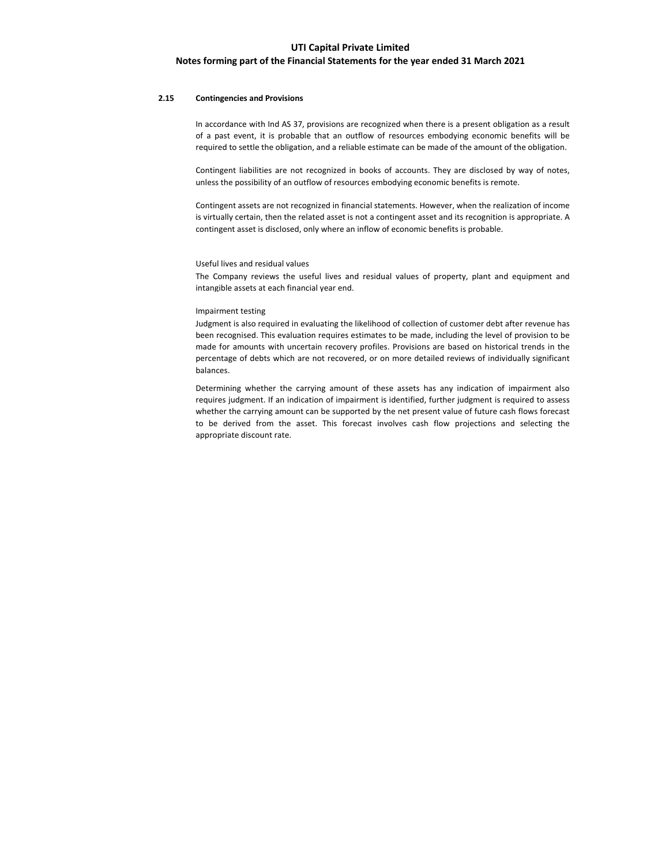## Notes forming part of the Financial Statements for the year ended 31 March 2021

## 2.15 Contingencies and Provisions

In accordance with Ind AS 37, provisions are recognized when there is a present obligation as a result of a past event, it is probable that an outflow of resources embodying economic benefits will be required to settle the obligation, and a reliable estimate can be made of the amount of the obligation.

Contingent liabilities are not recognized in books of accounts. They are disclosed by way of notes, unless the possibility of an outflow of resources embodying economic benefits is remote.

Contingent assets are not recognized in financial statements. However, when the realization of income is virtually certain, then the related asset is not a contingent asset and its recognition is appropriate. A contingent asset is disclosed, only where an inflow of economic benefits is probable.

## Useful lives and residual values

The Company reviews the useful lives and residual values of property, plant and equipment and intangible assets at each financial year end.

## Impairment testing

Judgment is also required in evaluating the likelihood of collection of customer debt after revenue has been recognised. This evaluation requires estimates to be made, including the level of provision to be made for amounts with uncertain recovery profiles. Provisions are based on historical trends in the percentage of debts which are not recovered, or on more detailed reviews of individually significant balances.

Determining whether the carrying amount of these assets has any indication of impairment also requires judgment. If an indication of impairment is identified, further judgment is required to assess whether the carrying amount can be supported by the net present value of future cash flows forecast to be derived from the asset. This forecast involves cash flow projections and selecting the appropriate discount rate.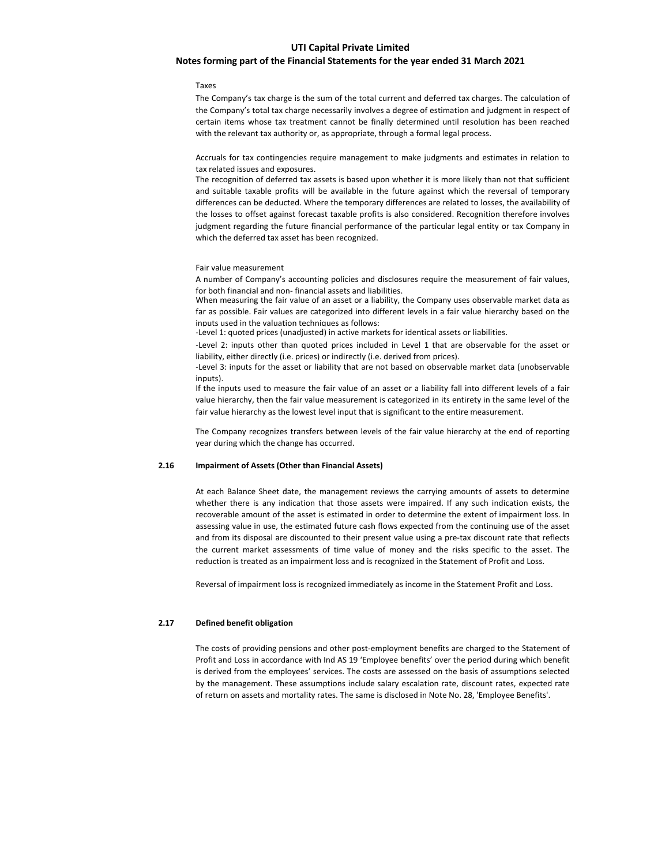## Notes forming part of the Financial Statements for the year ended 31 March 2021

#### Taxes

The Company's tax charge is the sum of the total current and deferred tax charges. The calculation of the Company's total tax charge necessarily involves a degree of estimation and judgment in respect of certain items whose tax treatment cannot be finally determined until resolution has been reached with the relevant tax authority or, as appropriate, through a formal legal process.

Accruals for tax contingencies require management to make judgments and estimates in relation to tax related issues and exposures.

The recognition of deferred tax assets is based upon whether it is more likely than not that sufficient and suitable taxable profits will be available in the future against which the reversal of temporary differences can be deducted. Where the temporary differences are related to losses, the availability of the losses to offset against forecast taxable profits is also considered. Recognition therefore involves judgment regarding the future financial performance of the particular legal entity or tax Company in which the deferred tax asset has been recognized.

#### Fair value measurement

A number of Company's accounting policies and disclosures require the measurement of fair values, for both financial and non- financial assets and liabilities.

When measuring the fair value of an asset or a liability, the Company uses observable market data as far as possible. Fair values are categorized into different levels in a fair value hierarchy based on the inputs used in the valuation techniques as follows:

-Level 1: quoted prices (unadjusted) in active markets for identical assets or liabilities.

-Level 2: inputs other than quoted prices included in Level 1 that are observable for the asset or liability, either directly (i.e. prices) or indirectly (i.e. derived from prices).

-Level 3: inputs for the asset or liability that are not based on observable market data (unobservable inputs).

If the inputs used to measure the fair value of an asset or a liability fall into different levels of a fair value hierarchy, then the fair value measurement is categorized in its entirety in the same level of the fair value hierarchy as the lowest level input that is significant to the entire measurement.

The Company recognizes transfers between levels of the fair value hierarchy at the end of reporting year during which the change has occurred.

## 2.16 Impairment of Assets (Other than Financial Assets)

At each Balance Sheet date, the management reviews the carrying amounts of assets to determine whether there is any indication that those assets were impaired. If any such indication exists, the recoverable amount of the asset is estimated in order to determine the extent of impairment loss. In assessing value in use, the estimated future cash flows expected from the continuing use of the asset and from its disposal are discounted to their present value using a pre-tax discount rate that reflects the current market assessments of time value of money and the risks specific to the asset. The reduction is treated as an impairment loss and is recognized in the Statement of Profit and Loss.

Reversal of impairment loss is recognized immediately as income in the Statement Profit and Loss.

## 2.17 Defined benefit obligation

The costs of providing pensions and other post-employment benefits are charged to the Statement of Profit and Loss in accordance with Ind AS 19 'Employee benefits' over the period during which benefit is derived from the employees' services. The costs are assessed on the basis of assumptions selected by the management. These assumptions include salary escalation rate, discount rates, expected rate of return on assets and mortality rates. The same is disclosed in Note No. 28, 'Employee Benefits'.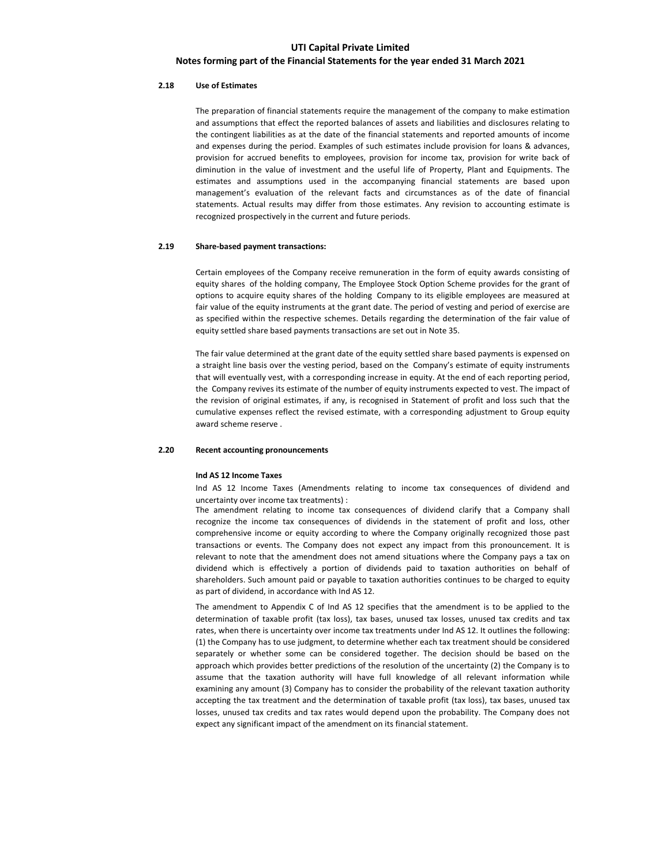## Notes forming part of the Financial Statements for the year ended 31 March 2021

## 2.18 Use of Estimates

The preparation of financial statements require the management of the company to make estimation and assumptions that effect the reported balances of assets and liabilities and disclosures relating to the contingent liabilities as at the date of the financial statements and reported amounts of income and expenses during the period. Examples of such estimates include provision for loans & advances, provision for accrued benefits to employees, provision for income tax, provision for write back of diminution in the value of investment and the useful life of Property, Plant and Equipments. The estimates and assumptions used in the accompanying financial statements are based upon management's evaluation of the relevant facts and circumstances as of the date of financial statements. Actual results may differ from those estimates. Any revision to accounting estimate is recognized prospectively in the current and future periods.

## 2.19 Share-based payment transactions:

Certain employees of the Company receive remuneration in the form of equity awards consisting of equity shares of the holding company, The Employee Stock Option Scheme provides for the grant of options to acquire equity shares of the holding Company to its eligible employees are measured at fair value of the equity instruments at the grant date. The period of vesting and period of exercise are as specified within the respective schemes. Details regarding the determination of the fair value of equity settled share based payments transactions are set out in Note 35.

The fair value determined at the grant date of the equity settled share based payments is expensed on a straight line basis over the vesting period, based on the Company's estimate of equity instruments that will eventually vest, with a corresponding increase in equity. At the end of each reporting period, the Company revives its estimate of the number of equity instruments expected to vest. The impact of the revision of original estimates, if any, is recognised in Statement of profit and loss such that the cumulative expenses reflect the revised estimate, with a corresponding adjustment to Group equity award scheme reserve .

### 2.20 Recent accounting pronouncements

### Ind AS 12 Income Taxes

Ind AS 12 Income Taxes (Amendments relating to income tax consequences of dividend and uncertainty over income tax treatments) :

The amendment relating to income tax consequences of dividend clarify that a Company shall recognize the income tax consequences of dividends in the statement of profit and loss, other comprehensive income or equity according to where the Company originally recognized those past transactions or events. The Company does not expect any impact from this pronouncement. It is relevant to note that the amendment does not amend situations where the Company pays a tax on dividend which is effectively a portion of dividends paid to taxation authorities on behalf of shareholders. Such amount paid or payable to taxation authorities continues to be charged to equity as part of dividend, in accordance with Ind AS 12.

The amendment to Appendix C of Ind AS 12 specifies that the amendment is to be applied to the determination of taxable profit (tax loss), tax bases, unused tax losses, unused tax credits and tax rates, when there is uncertainty over income tax treatments under Ind AS 12. It outlines the following: (1) the Company has to use judgment, to determine whether each tax treatment should be considered separately or whether some can be considered together. The decision should be based on the approach which provides better predictions of the resolution of the uncertainty (2) the Company is to assume that the taxation authority will have full knowledge of all relevant information while examining any amount (3) Company has to consider the probability of the relevant taxation authority accepting the tax treatment and the determination of taxable profit (tax loss), tax bases, unused tax losses, unused tax credits and tax rates would depend upon the probability. The Company does not expect any significant impact of the amendment on its financial statement.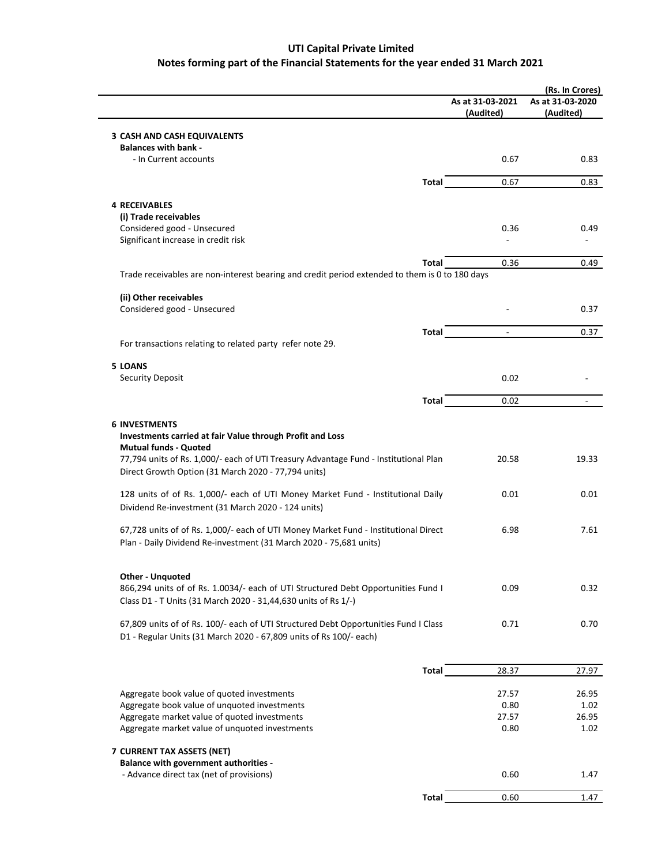# Notes forming part of the Financial Statements for the year ended 31 March 2021 UTI Capital Private Limited

|                                                                                                                                                           |                               | (Rs. In Crores)               |
|-----------------------------------------------------------------------------------------------------------------------------------------------------------|-------------------------------|-------------------------------|
|                                                                                                                                                           | As at 31-03-2021<br>(Audited) | As at 31-03-2020<br>(Audited) |
|                                                                                                                                                           |                               |                               |
| <b>3 CASH AND CASH EQUIVALENTS</b><br><b>Balances with bank -</b>                                                                                         |                               |                               |
| - In Current accounts                                                                                                                                     | 0.67                          | 0.83                          |
| Total                                                                                                                                                     | 0.67                          | 0.83                          |
|                                                                                                                                                           |                               |                               |
| <b>4 RECEIVABLES</b>                                                                                                                                      |                               |                               |
| (i) Trade receivables<br>Considered good - Unsecured                                                                                                      | 0.36                          | 0.49                          |
| Significant increase in credit risk                                                                                                                       |                               |                               |
|                                                                                                                                                           |                               |                               |
| Total<br>Trade receivables are non-interest bearing and credit period extended to them is 0 to 180 days                                                   | 0.36                          | 0.49                          |
|                                                                                                                                                           |                               |                               |
| (ii) Other receivables                                                                                                                                    |                               |                               |
| Considered good - Unsecured                                                                                                                               |                               | 0.37                          |
| Total                                                                                                                                                     | $\blacksquare$                | 0.37                          |
| For transactions relating to related party refer note 29.                                                                                                 |                               |                               |
| <b>5 LOANS</b>                                                                                                                                            |                               |                               |
| Security Deposit                                                                                                                                          | 0.02                          |                               |
| Total                                                                                                                                                     | 0.02                          |                               |
|                                                                                                                                                           |                               |                               |
| <b>6 INVESTMENTS</b>                                                                                                                                      |                               |                               |
| Investments carried at fair Value through Profit and Loss                                                                                                 |                               |                               |
| <b>Mutual funds - Quoted</b><br>77,794 units of Rs. 1,000/- each of UTI Treasury Advantage Fund - Institutional Plan                                      | 20.58                         | 19.33                         |
| Direct Growth Option (31 March 2020 - 77,794 units)                                                                                                       |                               |                               |
| 128 units of of Rs. 1,000/- each of UTI Money Market Fund - Institutional Daily                                                                           | 0.01                          | 0.01                          |
| Dividend Re-investment (31 March 2020 - 124 units)                                                                                                        |                               |                               |
|                                                                                                                                                           |                               |                               |
| 67,728 units of of Rs. 1,000/- each of UTI Money Market Fund - Institutional Direct<br>Plan - Daily Dividend Re-investment (31 March 2020 - 75,681 units) | 6.98                          | 7.61                          |
|                                                                                                                                                           |                               |                               |
| <b>Other - Unquoted</b>                                                                                                                                   |                               |                               |
| 866,294 units of of Rs. 1.0034/- each of UTI Structured Debt Opportunities Fund I                                                                         | 0.09                          | 0.32                          |
| Class D1 - T Units (31 March 2020 - 31,44,630 units of Rs 1/-)                                                                                            |                               |                               |
|                                                                                                                                                           |                               |                               |
| 67,809 units of of Rs. 100/- each of UTI Structured Debt Opportunities Fund I Class<br>D1 - Regular Units (31 March 2020 - 67,809 units of Rs 100/- each) | 0.71                          | 0.70                          |
|                                                                                                                                                           |                               |                               |
| Total                                                                                                                                                     | 28.37                         | 27.97                         |
|                                                                                                                                                           |                               |                               |
| Aggregate book value of quoted investments                                                                                                                | 27.57                         | 26.95                         |
| Aggregate book value of unquoted investments<br>Aggregate market value of quoted investments                                                              | 0.80<br>27.57                 | 1.02<br>26.95                 |
| Aggregate market value of unquoted investments                                                                                                            | 0.80                          | 1.02                          |
|                                                                                                                                                           |                               |                               |
| 7 CURRENT TAX ASSETS (NET)<br>Balance with government authorities -                                                                                       |                               |                               |
| - Advance direct tax (net of provisions)                                                                                                                  | 0.60                          | 1.47                          |
| <b>Total</b>                                                                                                                                              | 0.60                          | 1.47                          |
|                                                                                                                                                           |                               |                               |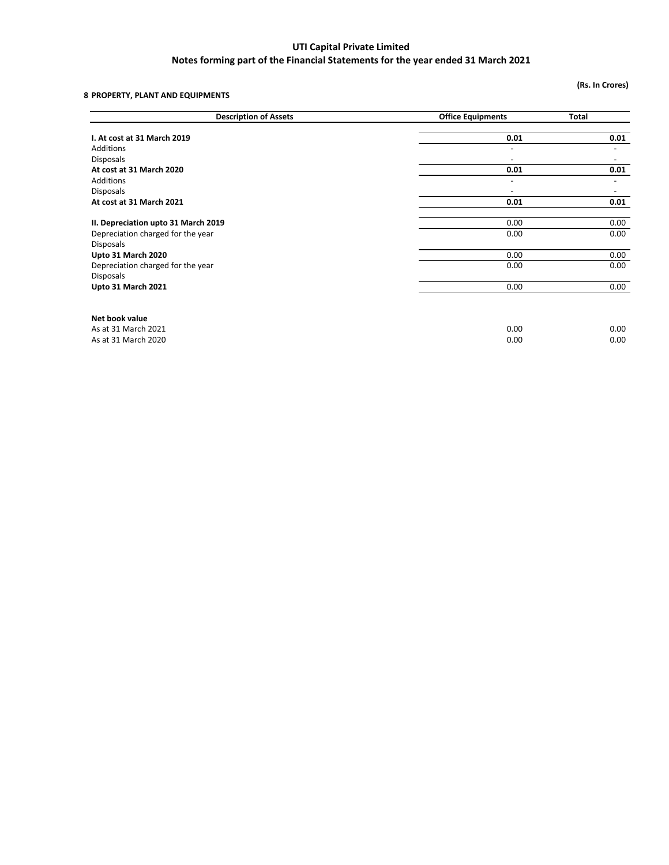# 8 PROPERTY, PLANT AND EQUIPMENTS

(Rs. In Crores)

| <b>Description of Assets</b>        | <b>Office Equipments</b> | <b>Total</b>             |  |
|-------------------------------------|--------------------------|--------------------------|--|
| I. At cost at 31 March 2019         | 0.01                     | 0.01                     |  |
|                                     |                          |                          |  |
| <b>Additions</b>                    | $\overline{\phantom{a}}$ | $\overline{\phantom{a}}$ |  |
| <b>Disposals</b>                    | $\overline{\phantom{a}}$ |                          |  |
| At cost at 31 March 2020            | 0.01                     | 0.01                     |  |
| <b>Additions</b>                    | $\overline{a}$           | ٠                        |  |
| <b>Disposals</b>                    |                          |                          |  |
| At cost at 31 March 2021            | 0.01                     | 0.01                     |  |
| II. Depreciation upto 31 March 2019 | 0.00                     | 0.00                     |  |
| Depreciation charged for the year   | 0.00                     | 0.00                     |  |
| <b>Disposals</b>                    |                          |                          |  |
| Upto 31 March 2020                  | 0.00                     | 0.00                     |  |
| Depreciation charged for the year   | 0.00                     | 0.00                     |  |
| <b>Disposals</b>                    |                          |                          |  |
| Upto 31 March 2021                  | 0.00                     | 0.00                     |  |
| Net book value                      |                          |                          |  |
|                                     |                          |                          |  |
| As at 31 March 2021                 | 0.00                     | 0.00                     |  |
| As at 31 March 2020                 | 0.00                     | 0.00                     |  |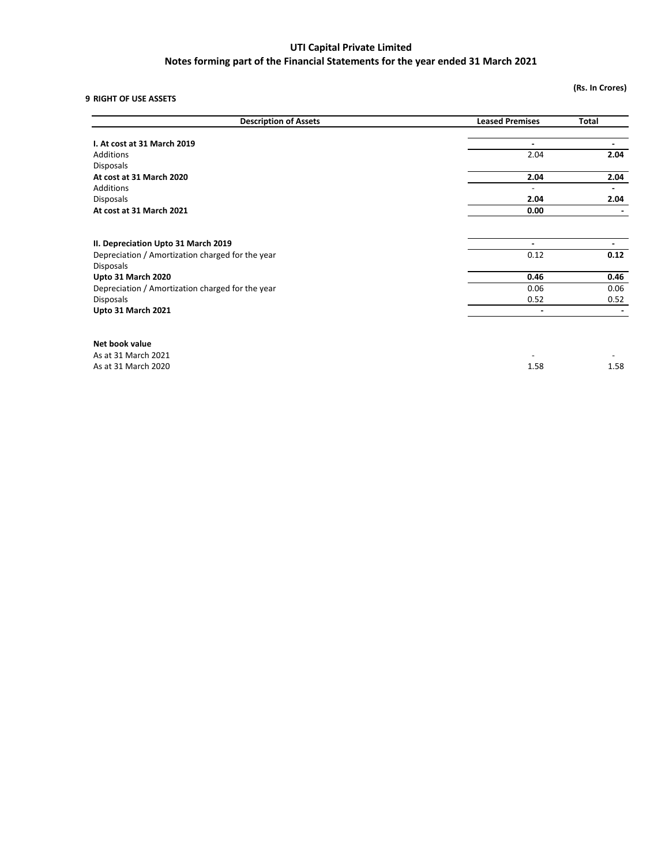# Notes forming part of the Financial Statements for the year ended 31 March 2021

9 RIGHT OF USE ASSETS

(Rs. In Crores)

| <b>Description of Assets</b>                     | <b>Leased Premises</b>   | <b>Total</b>   |
|--------------------------------------------------|--------------------------|----------------|
|                                                  |                          |                |
| I. At cost at 31 March 2019                      | $\blacksquare$           | $\blacksquare$ |
| <b>Additions</b>                                 | 2.04                     | 2.04           |
| <b>Disposals</b>                                 |                          |                |
| At cost at 31 March 2020                         | 2.04                     | 2.04           |
| <b>Additions</b>                                 | $\overline{\phantom{0}}$ |                |
| <b>Disposals</b>                                 | 2.04                     | 2.04           |
| At cost at 31 March 2021                         | 0.00                     |                |
|                                                  |                          |                |
| II. Depreciation Upto 31 March 2019              | $\overline{\phantom{0}}$ |                |
| Depreciation / Amortization charged for the year | 0.12                     | 0.12           |
| <b>Disposals</b>                                 |                          |                |
| Upto 31 March 2020                               | 0.46                     | 0.46           |
| Depreciation / Amortization charged for the year | 0.06                     | 0.06           |
| <b>Disposals</b>                                 | 0.52                     | 0.52           |
| Upto 31 March 2021                               | $\blacksquare$           |                |
|                                                  |                          |                |
| Net book value                                   |                          |                |
| As at 31 March 2021                              |                          |                |
| As at 31 March 2020                              | 1.58                     | 1.58           |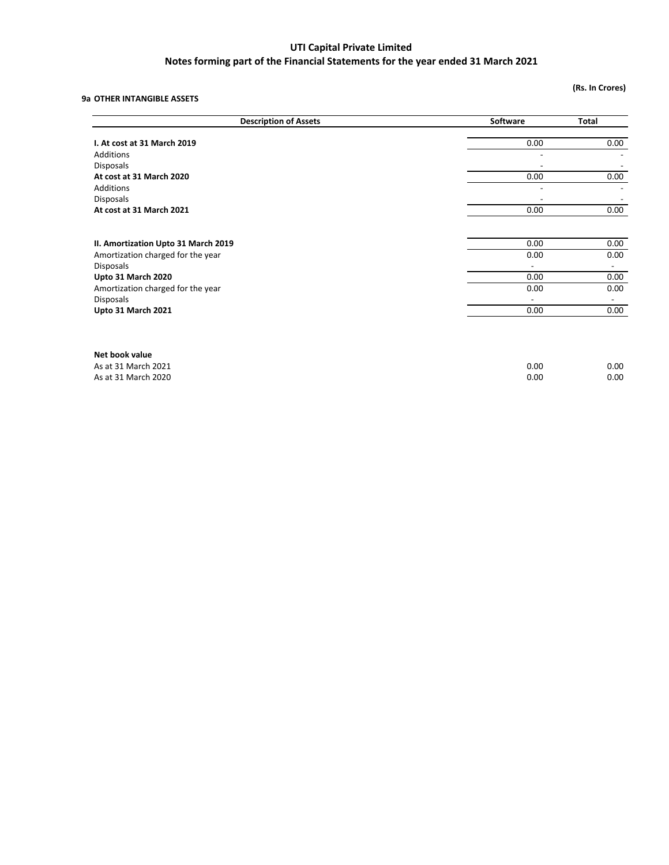# Notes forming part of the Financial Statements for the year ended 31 March 2021

# 9a OTHER INTANGIBLE ASSETS

(Rs. In Crores)

| <b>Description of Assets</b>        | Software | Total |  |
|-------------------------------------|----------|-------|--|
| I. At cost at 31 March 2019         | 0.00     | 0.00  |  |
| Additions                           |          |       |  |
| <b>Disposals</b>                    |          |       |  |
| At cost at 31 March 2020            | 0.00     | 0.00  |  |
| Additions                           |          |       |  |
| <b>Disposals</b>                    |          |       |  |
| At cost at 31 March 2021            | 0.00     | 0.00  |  |
|                                     |          |       |  |
| II. Amortization Upto 31 March 2019 | 0.00     | 0.00  |  |
| Amortization charged for the year   | 0.00     | 0.00  |  |
| <b>Disposals</b>                    |          |       |  |
| Upto 31 March 2020                  | 0.00     | 0.00  |  |
| Amortization charged for the year   | 0.00     | 0.00  |  |
| <b>Disposals</b>                    |          |       |  |
| Upto 31 March 2021                  | 0.00     | 0.00  |  |
|                                     |          |       |  |
| Net book value                      |          |       |  |
| As at 31 March 2021                 | 0.00     | 0.00  |  |
| As at 31 March 2020                 | 0.00     | 0.00  |  |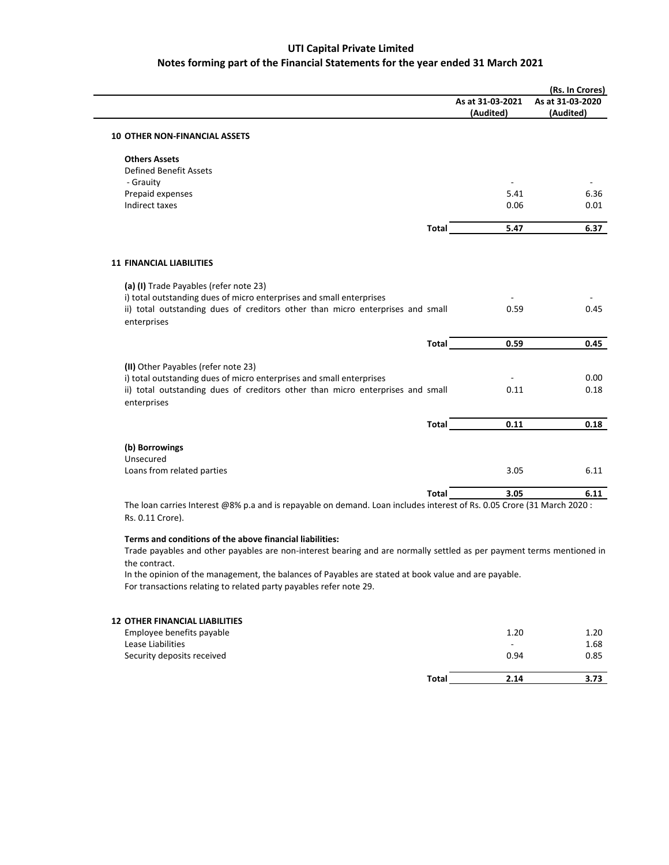|                                                                                                                        |              |                  | (Rs. In Crores)  |
|------------------------------------------------------------------------------------------------------------------------|--------------|------------------|------------------|
|                                                                                                                        |              | As at 31-03-2021 | As at 31-03-2020 |
|                                                                                                                        |              | (Audited)        | (Audited)        |
| <b>10 OTHER NON-FINANCIAL ASSETS</b>                                                                                   |              |                  |                  |
| <b>Others Assets</b>                                                                                                   |              |                  |                  |
| <b>Defined Benefit Assets</b>                                                                                          |              |                  |                  |
| - Grauity                                                                                                              |              |                  |                  |
| Prepaid expenses                                                                                                       |              | 5.41             | 6.36             |
| Indirect taxes                                                                                                         |              | 0.06             | 0.01             |
|                                                                                                                        | <b>Total</b> | 5.47             | 6.37             |
| <b>11 FINANCIAL LIABILITIES</b>                                                                                        |              |                  |                  |
| (a) (I) Trade Payables (refer note 23)<br>i) total outstanding dues of micro enterprises and small enterprises         |              |                  |                  |
| ii) total outstanding dues of creditors other than micro enterprises and small<br>enterprises                          |              | 0.59             | 0.45             |
|                                                                                                                        | Total        | 0.59             | 0.45             |
| (II) Other Payables (refer note 23)                                                                                    |              |                  |                  |
| i) total outstanding dues of micro enterprises and small enterprises                                                   |              |                  | 0.00             |
| ii) total outstanding dues of creditors other than micro enterprises and small<br>enterprises                          |              | 0.11             | 0.18             |
|                                                                                                                        | <b>Total</b> | 0.11             | 0.18             |
| (b) Borrowings                                                                                                         |              |                  |                  |
| Unsecured                                                                                                              |              |                  |                  |
| Loans from related parties                                                                                             |              | 3.05             | 6.11             |
|                                                                                                                        | <b>Total</b> | 3.05             | 6.11             |
| The loan carries Interest @8% p.a and is repayable on demand. Loan includes interest of Rs. 0.05 Crore (31 March 2020; |              |                  |                  |

The loan carries Interest @8% p.a and is repayable on demand. Loan includes interest of Rs. 0.05 Crore (31 March 2020 : Rs. 0.11 Crore).

# Terms and conditions of the above financial liabilities:

Trade payables and other payables are non-interest bearing and are normally settled as per payment terms mentioned in the contract.

In the opinion of the management, the balances of Payables are stated at book value and are payable. For transactions relating to related party payables refer note 29.

# 12 OTHER FINANCIAL LIABILITIES

|                            | Total | 2.14 | 3.73 |
|----------------------------|-------|------|------|
| Security deposits received |       | 0.94 | 0.85 |
| Lease Liabilities          |       |      | 1.68 |
| Employee benefits payable  |       | 1.20 | 1.20 |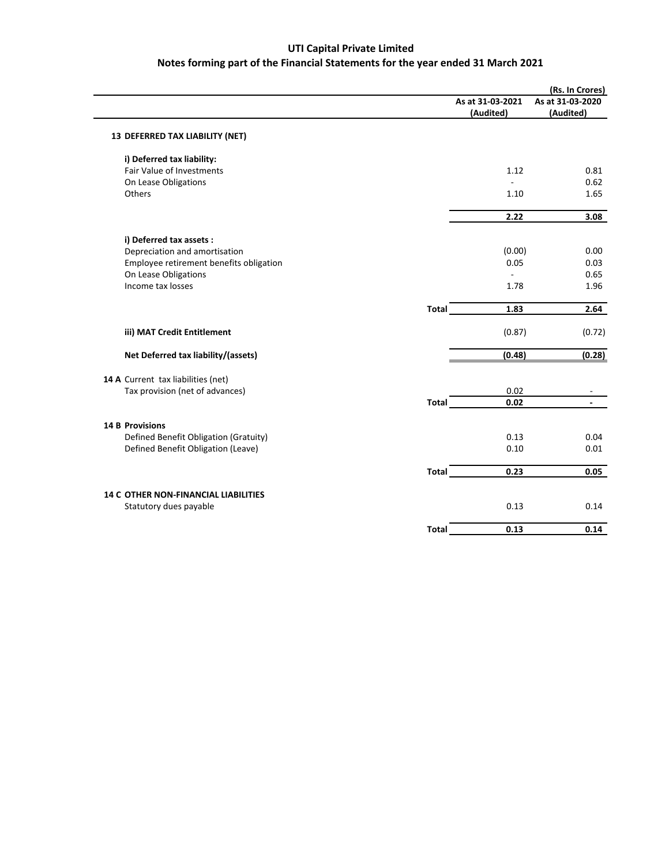|                                             |              |                  | (Rs. In Crores)  |
|---------------------------------------------|--------------|------------------|------------------|
|                                             |              | As at 31-03-2021 | As at 31-03-2020 |
|                                             |              | (Audited)        | (Audited)        |
| 13 DEFERRED TAX LIABILITY (NET)             |              |                  |                  |
| i) Deferred tax liability:                  |              |                  |                  |
| <b>Fair Value of Investments</b>            |              | 1.12             | 0.81             |
| On Lease Obligations                        |              |                  | 0.62             |
| Others                                      |              | 1.10             | 1.65             |
|                                             |              | 2.22             | 3.08             |
| i) Deferred tax assets :                    |              |                  |                  |
| Depreciation and amortisation               |              | (0.00)           | 0.00             |
| Employee retirement benefits obligation     |              | 0.05             | 0.03             |
| On Lease Obligations                        |              | ÷                | 0.65             |
| Income tax losses                           |              | 1.78             | 1.96             |
|                                             | <b>Total</b> | 1.83             | 2.64             |
| iii) MAT Credit Entitlement                 |              | (0.87)           | (0.72)           |
| Net Deferred tax liability/(assets)         |              | (0.48)           | (0.28)           |
| 14 A Current tax liabilities (net)          |              |                  |                  |
| Tax provision (net of advances)             |              | 0.02             |                  |
|                                             | <b>Total</b> | 0.02             |                  |
| <b>14 B Provisions</b>                      |              |                  |                  |
| Defined Benefit Obligation (Gratuity)       |              | 0.13             | 0.04             |
| Defined Benefit Obligation (Leave)          |              | 0.10             | 0.01             |
|                                             | <b>Total</b> | 0.23             | 0.05             |
| <b>14 C OTHER NON-FINANCIAL LIABILITIES</b> |              |                  |                  |
| Statutory dues payable                      |              | 0.13             | 0.14             |
|                                             | <b>Total</b> | 0.13             | 0.14             |
|                                             |              |                  |                  |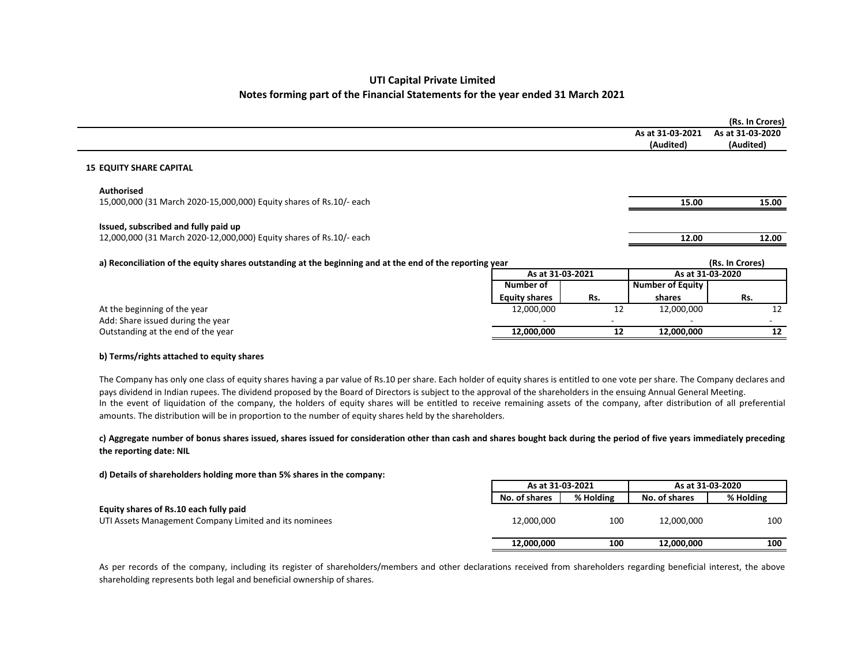|                                                                                                             |                      |     |                               | (Rs. In Crores)               |
|-------------------------------------------------------------------------------------------------------------|----------------------|-----|-------------------------------|-------------------------------|
|                                                                                                             |                      |     | As at 31-03-2021<br>(Audited) | As at 31-03-2020<br>(Audited) |
| <b>15 EQUITY SHARE CAPITAL</b>                                                                              |                      |     |                               |                               |
| <b>Authorised</b>                                                                                           |                      |     |                               |                               |
| 15,000,000 (31 March 2020-15,000,000) Equity shares of Rs.10/- each                                         |                      |     | 15.00                         | 15.00                         |
| Issued, subscribed and fully paid up<br>12,000,000 (31 March 2020-12,000,000) Equity shares of Rs.10/- each |                      |     | 12.00                         | 12.00                         |
| a) Reconciliation of the equity shares outstanding at the beginning and at the end of the reporting year    |                      |     |                               | (Rs. In Crores)               |
|                                                                                                             | As at 31-03-2021     |     |                               | As at 31-03-2020              |
|                                                                                                             | Number of            |     | <b>Number of Equity</b>       |                               |
|                                                                                                             | <b>Equity shares</b> | Rs. | shares                        | Rs.                           |
| At the beginning of the year                                                                                | 12,000,000           | 12  | 12,000,000                    | 12                            |
| Add: Share issued during the year                                                                           |                      |     |                               |                               |
| Outstanding at the end of the year                                                                          | 12,000,000           | 12  | 12,000,000                    | 12                            |
|                                                                                                             |                      |     |                               |                               |

## b) Terms/rights attached to equity shares

The Company has only one class of equity shares having <sup>a</sup> par value of Rs.10 per share. Each holder of equity shares is entitled to one vote per share. The Company declares andpays dividend in Indian rupees. The dividend proposed by the Board of Directors is subject to the approval of the shareholders in the ensuing Annual General Meeting. In the event of liquidation of the company, the holders of equity shares will be entitled to receive remaining assets of the company, after distribution of all preferential amounts. The distribution will be in proportion to the number of equity shares held by the shareholders.

## c) Aggregate number of bonus shares issued, shares issued for consideration other than cash and shares bought back during the period of five years immediately preceding the reporting date: NIL

d) Details of shareholders holding more than 5% shares in the company:

|                                                        |               | As at 31-03-2021 |               | As at 31-03-2020 |
|--------------------------------------------------------|---------------|------------------|---------------|------------------|
|                                                        | No. of shares | % Holding        | No. of shares | % Holding        |
| Equity shares of Rs.10 each fully paid                 |               |                  |               |                  |
| UTI Assets Management Company Limited and its nominees | 12,000,000    | 100              | 12,000,000    | 100              |
|                                                        |               |                  |               |                  |
|                                                        | 12.000.000    | 100              | 12.000.000    | 100              |
|                                                        |               |                  |               |                  |

As per records of the company, including its register of shareholders/members and other declarations received from shareholders regarding beneficial interest, the above<br>An archive state in the control in the control interv shareholding represents both legal and beneficial ownership of shares.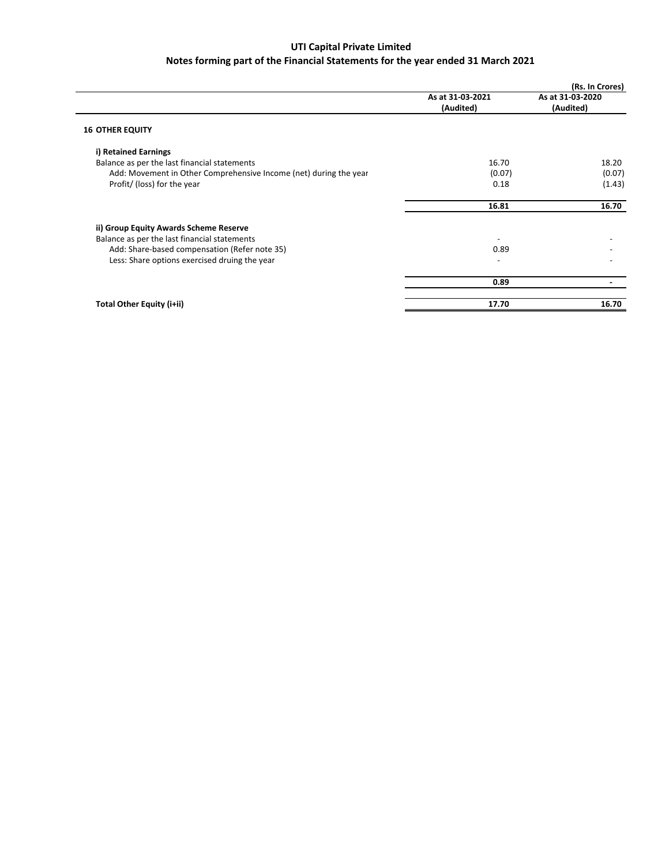|                                                                   |                               | (Rs. In Crores)               |
|-------------------------------------------------------------------|-------------------------------|-------------------------------|
|                                                                   | As at 31-03-2021<br>(Audited) | As at 31-03-2020<br>(Audited) |
| <b>16 OTHER EQUITY</b>                                            |                               |                               |
| i) Retained Earnings                                              |                               |                               |
| Balance as per the last financial statements                      | 16.70                         | 18.20                         |
| Add: Movement in Other Comprehensive Income (net) during the year | (0.07)                        | (0.07)                        |
| Profit/ (loss) for the year                                       | 0.18                          | (1.43)                        |
|                                                                   | 16.81                         | 16.70                         |
| ii) Group Equity Awards Scheme Reserve                            |                               |                               |
| Balance as per the last financial statements                      |                               |                               |
| Add: Share-based compensation (Refer note 35)                     | 0.89                          |                               |
| Less: Share options exercised druing the year                     |                               |                               |
|                                                                   | 0.89                          |                               |
| Total Other Equity (i+ii)                                         | 17.70                         | 16.70                         |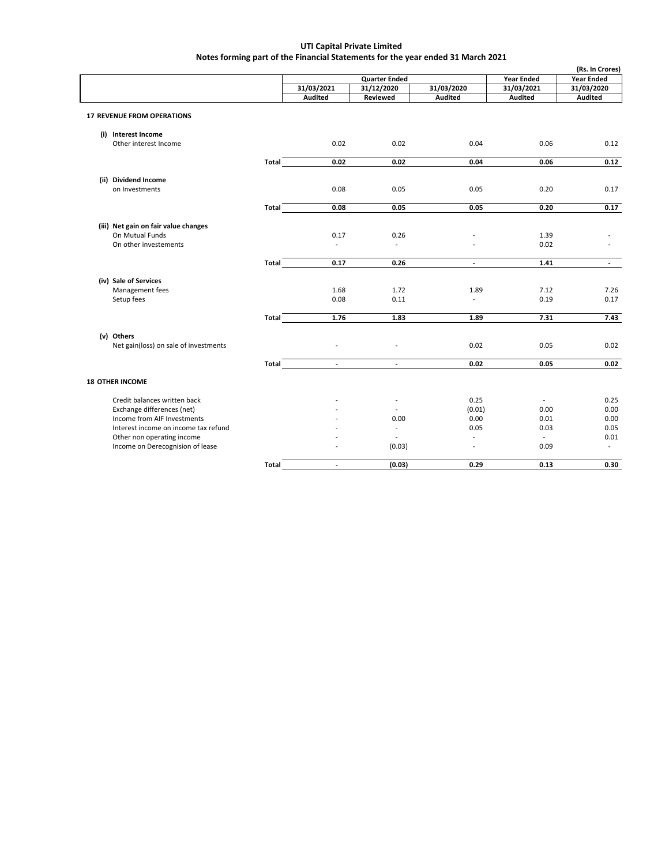$\mathsf{l}$ 

| <b>Quarter Ended</b><br><b>Year Ended</b><br><b>Year Ended</b><br>31/03/2021<br>31/03/2020<br>31/03/2021<br>31/03/2020<br>31/12/2020<br><b>Audited</b><br><b>Audited</b><br>Audited<br>Reviewed<br>Audited<br><b>17 REVENUE FROM OPERATIONS</b><br>(i) Interest Income<br>0.02<br>0.02<br>Other interest Income<br>0.04<br>0.06<br>0.12<br>0.02<br>0.02<br>Total<br>0.04<br>0.06<br>0.12<br>(ii) Dividend Income<br>on Investments<br>0.08<br>0.05<br>0.05<br>0.20<br>0.17<br>0.05<br>0.08<br>0.05<br>0.20<br>0.17<br><b>Total</b><br>(iii) Net gain on fair value changes<br>On Mutual Funds<br>0.17<br>0.26<br>1.39<br>On other investements<br>0.02<br>$\overline{a}$<br>$\overline{a}$<br>1.41<br>0.17<br>0.26<br>Total<br>$\blacksquare$<br>$\overline{\phantom{a}}$<br>(iv) Sale of Services<br>Management fees<br>1.68<br>1.72<br>1.89<br>7.12<br>7.26<br>Setup fees<br>0.08<br>0.11<br>$\overline{\phantom{a}}$<br>0.19<br>0.17<br>1.76<br>7.31<br>1.83<br>1.89<br>7.43<br>Total<br>(v) Others<br>Net gain(loss) on sale of investments<br>0.02<br>0.02<br>0.05<br>$\overline{a}$<br><b>Total</b><br>0.02<br>0.05<br>0.02<br>$\sim$<br>$\overline{\phantom{a}}$<br><b>18 OTHER INCOME</b><br>0.25<br>Credit balances written back<br>0.25<br>$\overline{\phantom{a}}$<br>Exchange differences (net)<br>(0.01)<br>0.00<br>0.00<br>Income from AIF Investments<br>0.00<br>0.00<br>0.01<br>0.00<br>Interest income on income tax refund<br>0.05<br>0.03<br>0.05<br>$\overline{a}$<br>Other non operating income<br>0.01<br>$\overline{a}$<br>$\overline{a}$<br>$\overline{\phantom{a}}$<br>Income on Derecognision of lease<br>(0.03)<br>0.09<br>$\overline{\phantom{a}}$<br>$\overline{\phantom{a}}$<br>(0.03)<br>0.29<br>0.13<br>0.30<br>Total<br>$\sim$ |  |  |  | (Rs. In Crores) |
|-----------------------------------------------------------------------------------------------------------------------------------------------------------------------------------------------------------------------------------------------------------------------------------------------------------------------------------------------------------------------------------------------------------------------------------------------------------------------------------------------------------------------------------------------------------------------------------------------------------------------------------------------------------------------------------------------------------------------------------------------------------------------------------------------------------------------------------------------------------------------------------------------------------------------------------------------------------------------------------------------------------------------------------------------------------------------------------------------------------------------------------------------------------------------------------------------------------------------------------------------------------------------------------------------------------------------------------------------------------------------------------------------------------------------------------------------------------------------------------------------------------------------------------------------------------------------------------------------------------------------------------------------------------------------------------------------------------------------------------------------------------------|--|--|--|-----------------|
|                                                                                                                                                                                                                                                                                                                                                                                                                                                                                                                                                                                                                                                                                                                                                                                                                                                                                                                                                                                                                                                                                                                                                                                                                                                                                                                                                                                                                                                                                                                                                                                                                                                                                                                                                                 |  |  |  |                 |
|                                                                                                                                                                                                                                                                                                                                                                                                                                                                                                                                                                                                                                                                                                                                                                                                                                                                                                                                                                                                                                                                                                                                                                                                                                                                                                                                                                                                                                                                                                                                                                                                                                                                                                                                                                 |  |  |  |                 |
|                                                                                                                                                                                                                                                                                                                                                                                                                                                                                                                                                                                                                                                                                                                                                                                                                                                                                                                                                                                                                                                                                                                                                                                                                                                                                                                                                                                                                                                                                                                                                                                                                                                                                                                                                                 |  |  |  |                 |
|                                                                                                                                                                                                                                                                                                                                                                                                                                                                                                                                                                                                                                                                                                                                                                                                                                                                                                                                                                                                                                                                                                                                                                                                                                                                                                                                                                                                                                                                                                                                                                                                                                                                                                                                                                 |  |  |  |                 |
|                                                                                                                                                                                                                                                                                                                                                                                                                                                                                                                                                                                                                                                                                                                                                                                                                                                                                                                                                                                                                                                                                                                                                                                                                                                                                                                                                                                                                                                                                                                                                                                                                                                                                                                                                                 |  |  |  |                 |
|                                                                                                                                                                                                                                                                                                                                                                                                                                                                                                                                                                                                                                                                                                                                                                                                                                                                                                                                                                                                                                                                                                                                                                                                                                                                                                                                                                                                                                                                                                                                                                                                                                                                                                                                                                 |  |  |  |                 |
|                                                                                                                                                                                                                                                                                                                                                                                                                                                                                                                                                                                                                                                                                                                                                                                                                                                                                                                                                                                                                                                                                                                                                                                                                                                                                                                                                                                                                                                                                                                                                                                                                                                                                                                                                                 |  |  |  |                 |
|                                                                                                                                                                                                                                                                                                                                                                                                                                                                                                                                                                                                                                                                                                                                                                                                                                                                                                                                                                                                                                                                                                                                                                                                                                                                                                                                                                                                                                                                                                                                                                                                                                                                                                                                                                 |  |  |  |                 |
|                                                                                                                                                                                                                                                                                                                                                                                                                                                                                                                                                                                                                                                                                                                                                                                                                                                                                                                                                                                                                                                                                                                                                                                                                                                                                                                                                                                                                                                                                                                                                                                                                                                                                                                                                                 |  |  |  |                 |
|                                                                                                                                                                                                                                                                                                                                                                                                                                                                                                                                                                                                                                                                                                                                                                                                                                                                                                                                                                                                                                                                                                                                                                                                                                                                                                                                                                                                                                                                                                                                                                                                                                                                                                                                                                 |  |  |  |                 |
|                                                                                                                                                                                                                                                                                                                                                                                                                                                                                                                                                                                                                                                                                                                                                                                                                                                                                                                                                                                                                                                                                                                                                                                                                                                                                                                                                                                                                                                                                                                                                                                                                                                                                                                                                                 |  |  |  |                 |
|                                                                                                                                                                                                                                                                                                                                                                                                                                                                                                                                                                                                                                                                                                                                                                                                                                                                                                                                                                                                                                                                                                                                                                                                                                                                                                                                                                                                                                                                                                                                                                                                                                                                                                                                                                 |  |  |  |                 |
|                                                                                                                                                                                                                                                                                                                                                                                                                                                                                                                                                                                                                                                                                                                                                                                                                                                                                                                                                                                                                                                                                                                                                                                                                                                                                                                                                                                                                                                                                                                                                                                                                                                                                                                                                                 |  |  |  |                 |
|                                                                                                                                                                                                                                                                                                                                                                                                                                                                                                                                                                                                                                                                                                                                                                                                                                                                                                                                                                                                                                                                                                                                                                                                                                                                                                                                                                                                                                                                                                                                                                                                                                                                                                                                                                 |  |  |  |                 |
|                                                                                                                                                                                                                                                                                                                                                                                                                                                                                                                                                                                                                                                                                                                                                                                                                                                                                                                                                                                                                                                                                                                                                                                                                                                                                                                                                                                                                                                                                                                                                                                                                                                                                                                                                                 |  |  |  |                 |
|                                                                                                                                                                                                                                                                                                                                                                                                                                                                                                                                                                                                                                                                                                                                                                                                                                                                                                                                                                                                                                                                                                                                                                                                                                                                                                                                                                                                                                                                                                                                                                                                                                                                                                                                                                 |  |  |  |                 |
|                                                                                                                                                                                                                                                                                                                                                                                                                                                                                                                                                                                                                                                                                                                                                                                                                                                                                                                                                                                                                                                                                                                                                                                                                                                                                                                                                                                                                                                                                                                                                                                                                                                                                                                                                                 |  |  |  |                 |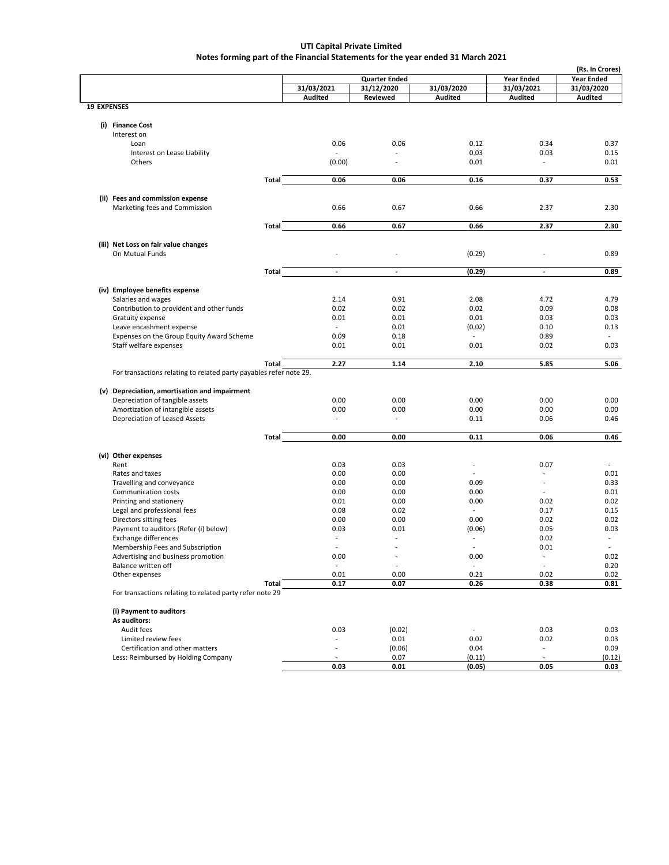|                    |                                                                    |              |                          |                          |                          |                          | (Rs. In Crores)   |
|--------------------|--------------------------------------------------------------------|--------------|--------------------------|--------------------------|--------------------------|--------------------------|-------------------|
|                    |                                                                    |              |                          | <b>Quarter Ended</b>     |                          | <b>Year Ended</b>        | <b>Year Ended</b> |
|                    |                                                                    |              | 31/03/2021               | 31/12/2020               | 31/03/2020               | 31/03/2021               | 31/03/2020        |
|                    |                                                                    |              | Audited                  | Reviewed                 | <b>Audited</b>           | Audited                  | Audited           |
| <b>19 EXPENSES</b> |                                                                    |              |                          |                          |                          |                          |                   |
|                    |                                                                    |              |                          |                          |                          |                          |                   |
|                    | (i) Finance Cost                                                   |              |                          |                          |                          |                          |                   |
|                    | Interest on                                                        |              |                          |                          |                          |                          |                   |
|                    |                                                                    |              |                          |                          |                          |                          |                   |
|                    | Loan                                                               |              | 0.06                     | 0.06                     | 0.12                     | 0.34                     | 0.37              |
|                    | Interest on Lease Liability                                        |              | $\overline{a}$           |                          | 0.03                     | 0.03                     | 0.15              |
|                    | Others                                                             |              | (0.00)                   | $\overline{a}$           | 0.01                     | $\overline{a}$           | 0.01              |
|                    |                                                                    |              |                          |                          |                          |                          |                   |
|                    |                                                                    | Total        | 0.06                     | 0.06                     | 0.16                     | 0.37                     | 0.53              |
|                    |                                                                    |              |                          |                          |                          |                          |                   |
|                    | (ii) Fees and commission expense                                   |              |                          |                          |                          |                          |                   |
|                    | Marketing fees and Commission                                      |              | 0.66                     | 0.67                     | 0.66                     | 2.37                     | 2.30              |
|                    |                                                                    |              |                          |                          |                          |                          |                   |
|                    |                                                                    | Total        | 0.66                     | 0.67                     | 0.66                     | 2.37                     | 2.30              |
|                    |                                                                    |              |                          |                          |                          |                          |                   |
|                    | (iii) Net Loss on fair value changes                               |              |                          |                          |                          |                          |                   |
|                    | On Mutual Funds                                                    |              | $\overline{a}$           | L,                       | (0.29)                   |                          | 0.89              |
|                    |                                                                    |              |                          |                          |                          |                          |                   |
|                    |                                                                    | Total        | $\overline{\phantom{a}}$ | $\overline{\phantom{a}}$ | (0.29)                   | $\overline{\phantom{a}}$ | 0.89              |
|                    |                                                                    |              |                          |                          |                          |                          |                   |
|                    | (iv) Employee benefits expense                                     |              |                          |                          |                          |                          |                   |
|                    | Salaries and wages                                                 |              | 2.14                     | 0.91                     | 2.08                     | 4.72                     | 4.79              |
|                    | Contribution to provident and other funds                          |              | 0.02                     | 0.02                     | 0.02                     | 0.09                     | 0.08              |
|                    | Gratuity expense                                                   |              | 0.01                     | 0.01                     | 0.01                     | 0.03                     | 0.03              |
|                    | Leave encashment expense                                           |              | $\overline{\phantom{a}}$ | 0.01                     | (0.02)                   | 0.10                     | 0.13              |
|                    | Expenses on the Group Equity Award Scheme                          |              | 0.09                     | 0.18                     | $\overline{a}$           | 0.89                     |                   |
|                    | Staff welfare expenses                                             |              | 0.01                     | 0.01                     | 0.01                     | 0.02                     | 0.03              |
|                    |                                                                    |              |                          |                          |                          |                          |                   |
|                    |                                                                    | Total        | 2.27                     | 1.14                     | 2.10                     | 5.85                     | 5.06              |
|                    | For transactions relating to related party payables refer note 29. |              |                          |                          |                          |                          |                   |
|                    |                                                                    |              |                          |                          |                          |                          |                   |
|                    | (v) Depreciation, amortisation and impairment                      |              |                          |                          |                          |                          |                   |
|                    | Depreciation of tangible assets                                    |              | 0.00                     | 0.00                     | 0.00                     | 0.00                     | 0.00              |
|                    | Amortization of intangible assets                                  |              | 0.00                     | 0.00                     | 0.00                     | 0.00                     | 0.00              |
|                    | Depreciation of Leased Assets                                      |              | $\overline{a}$           | $\overline{\phantom{a}}$ | 0.11                     | 0.06                     | 0.46              |
|                    |                                                                    |              |                          |                          |                          |                          |                   |
|                    |                                                                    | Total        | 0.00                     | 0.00                     | 0.11                     | 0.06                     | 0.46              |
|                    |                                                                    |              |                          |                          |                          |                          |                   |
|                    | (vi) Other expenses                                                |              |                          |                          |                          |                          |                   |
|                    | Rent                                                               |              | 0.03                     | 0.03                     | $\overline{\phantom{a}}$ | 0.07                     |                   |
|                    | Rates and taxes                                                    |              | 0.00                     | 0.00                     | $\overline{a}$           |                          | 0.01              |
|                    | Travelling and conveyance                                          |              | 0.00                     | 0.00                     | 0.09                     | $\overline{\phantom{a}}$ | 0.33              |
|                    | Communication costs                                                |              | 0.00                     | 0.00                     | 0.00                     |                          | 0.01              |
|                    | Printing and stationery                                            |              | 0.01                     | 0.00                     | 0.00                     | 0.02                     | 0.02              |
|                    | Legal and professional fees                                        |              | 0.08                     | 0.02                     | $\overline{a}$           | 0.17                     | 0.15              |
|                    |                                                                    |              | 0.00                     | 0.00                     | 0.00                     | 0.02                     | 0.02              |
|                    | Directors sitting fees                                             |              |                          |                          |                          |                          |                   |
|                    | Payment to auditors (Refer (i) below)                              |              | 0.03                     | 0.01                     | (0.06)                   | 0.05                     | 0.03              |
|                    | <b>Exchange differences</b>                                        |              | $\overline{\phantom{a}}$ | L,                       | $\overline{\phantom{a}}$ | 0.02                     | $\sim$            |
|                    | Membership Fees and Subscription                                   |              |                          | $\overline{a}$           |                          | 0.01                     |                   |
|                    | Advertising and business promotion                                 |              | 0.00                     |                          | 0.00                     |                          | 0.02              |
|                    | Balance written off                                                |              | $\overline{a}$           | $\overline{\phantom{a}}$ |                          | $\overline{\phantom{a}}$ | 0.20              |
|                    | Other expenses                                                     |              | 0.01                     | 0.00                     | 0.21                     | 0.02                     | 0.02              |
|                    |                                                                    | <b>Total</b> | 0.17                     | 0.07                     | 0.26                     | 0.38                     | 0.81              |
|                    | For transactions relating to related party refer note 29           |              |                          |                          |                          |                          |                   |
|                    |                                                                    |              |                          |                          |                          |                          |                   |
|                    | (i) Payment to auditors                                            |              |                          |                          |                          |                          |                   |
|                    | As auditors:                                                       |              |                          |                          |                          |                          |                   |
|                    | Audit fees                                                         |              | 0.03                     | (0.02)                   | $\overline{\phantom{a}}$ | 0.03                     | 0.03              |
|                    | Limited review fees                                                |              | $\overline{a}$           | 0.01                     | 0.02                     | 0.02                     | 0.03              |
|                    | Certification and other matters                                    |              | $\overline{a}$           | (0.06)                   | 0.04                     |                          | 0.09              |
|                    | Less: Reimbursed by Holding Company                                |              |                          | 0.07                     | (0.11)                   |                          | (0.12)            |
|                    |                                                                    |              | 0.03                     | 0.01                     | (0.05)                   | 0.05                     | 0.03              |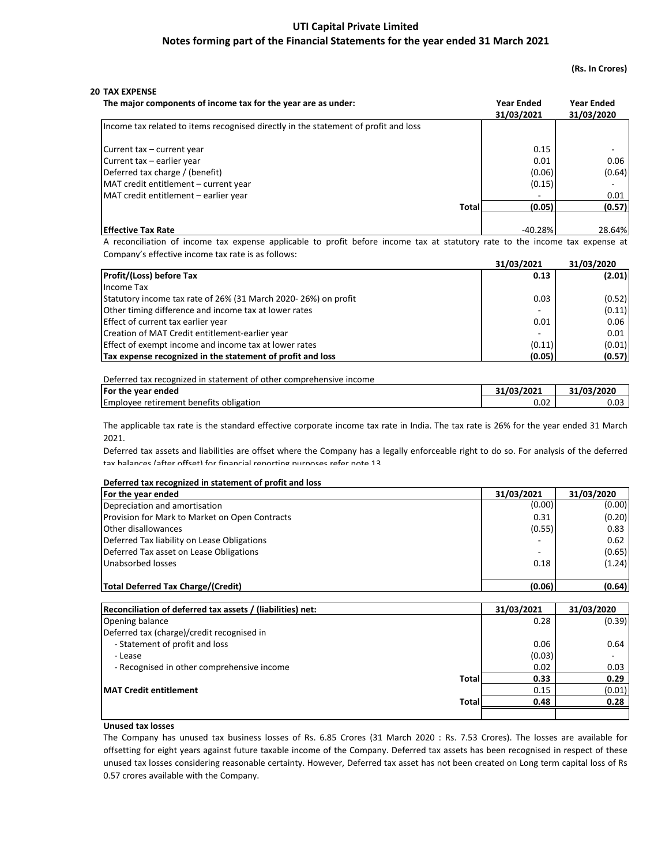## (Rs. In Crores)

| The major components of income tax for the year are as under:                       |              | <b>Year Ended</b><br>31/03/2021 | <b>Year Ended</b><br>31/03/2020 |
|-------------------------------------------------------------------------------------|--------------|---------------------------------|---------------------------------|
| Income tax related to items recognised directly in the statement of profit and loss |              |                                 |                                 |
| Current tax - current year                                                          |              | 0.15                            | $\qquad \qquad \blacksquare$    |
| Current tax - earlier year                                                          |              | 0.01                            | 0.06                            |
| Deferred tax charge / (benefit)                                                     |              | (0.06)                          | (0.64)                          |
| MAT credit entitlement - current year                                               |              | (0.15)                          |                                 |
| MAT credit entitlement – earlier year                                               |              |                                 | 0.01                            |
|                                                                                     | <b>Total</b> | (0.05)                          | (0.57)                          |
|                                                                                     |              |                                 |                                 |
| <b>Effective Tax Rate</b>                                                           |              | $-40.28%$                       | 28.64%                          |

A reconciliation of income tax expense applicable to profit before income tax at statutory rate to the income tax expense at Company's effective income tax rate is as follows:

|                                                                | 31/03/2021 | 31/03/2020 |
|----------------------------------------------------------------|------------|------------|
| <b>Profit/(Loss) before Tax</b>                                | 0.13       | (2.01)     |
| Income Tax                                                     |            |            |
| Statutory income tax rate of 26% (31 March 2020-26%) on profit | 0.03       | (0.52)     |
| Other timing difference and income tax at lower rates          | -          | (0.11)     |
| Effect of current tax earlier year                             | 0.01       | 0.06       |
| Creation of MAT Credit entitlement-earlier year                | ۰.         | 0.01       |
| Effect of exempt income and income tax at lower rates          | (0.11)     | (0.01)     |
| Tax expense recognized in the statement of profit and loss     | (0.05)     | (0.57)     |

| Deferred tax recognized in statement of other comprehensive income |            |            |  |  |  |
|--------------------------------------------------------------------|------------|------------|--|--|--|
| For the year ended                                                 | 31/03/2021 | 31/03/2020 |  |  |  |
| Employee retirement benefits obligation                            | 0.02       | 0.03       |  |  |  |

The applicable tax rate is the standard effective corporate income tax rate in India. The tax rate is 26% for the year ended 31 March 2021.

Deferred tax assets and liabilities are offset where the Company has a legally enforceable right to do so. For analysis of the deferred tav halances (after offset) for financial reporting purposes refer note 12

## Deferred tax recognized in statement of profit and loss

| For the year ended                                         | 31/03/2021  | 31/03/2020 |
|------------------------------------------------------------|-------------|------------|
| Depreciation and amortisation                              | (0.00)      | (0.00)     |
| Provision for Mark to Market on Open Contracts             | 0.31        | (0.20)     |
| Other disallowances                                        | (0.55)      | 0.83       |
| Deferred Tax liability on Lease Obligations                |             | 0.62       |
| Deferred Tax asset on Lease Obligations                    | ۰           | (0.65)     |
| Unabsorbed losses                                          | 0.18        | (1.24)     |
| Total Deferred Tax Charge/(Credit)                         | (0.06)      | (0.64)     |
| Reconciliation of deferred tax assets / (liabilities) net: | 31/03/2021  | 31/03/2020 |
| Onening halance                                            | <b>0.28</b> | (0.30)     |

|                                            | ---------- | <del>,,,,,,,,,,,</del> |
|--------------------------------------------|------------|------------------------|
| Opening balance                            | 0.28       | (0.39)                 |
| Deferred tax (charge)/credit recognised in |            |                        |
| - Statement of profit and loss             | 0.06       | 0.64                   |
| - Lease                                    | (0.03)     | ۰                      |
| - Recognised in other comprehensive income | 0.02       | 0.03                   |
| <b>Total</b>                               | 0.33       | 0.29                   |
| <b>MAT Credit entitlement</b>              | 0.15       | (0.01)                 |
| Total                                      | 0.48       | 0.28                   |
|                                            |            |                        |

## Unused tax losses

The Company has unused tax business losses of Rs. 6.85 Crores (31 March 2020 : Rs. 7.53 Crores). The losses are available for offsetting for eight years against future taxable income of the Company. Deferred tax assets has been recognised in respect of these unused tax losses considering reasonable certainty. However, Deferred tax asset has not been created on Long term capital loss of Rs 0.57 crores available with the Company.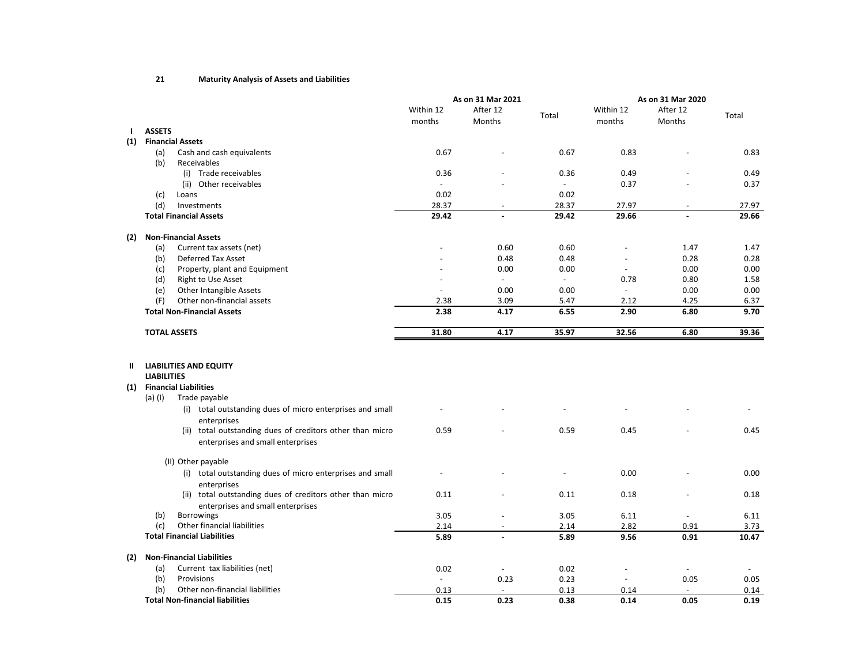#### 21Maturity Analysis of Assets and Liabilities

|                  |                                                                                                                   |                          | As on 31 Mar 2021        |                | As on 31 Mar 2020        |          |       |
|------------------|-------------------------------------------------------------------------------------------------------------------|--------------------------|--------------------------|----------------|--------------------------|----------|-------|
|                  |                                                                                                                   | Within 12                | After 12                 |                | Within 12                | After 12 |       |
|                  |                                                                                                                   | months                   | Months                   | Total          | months                   | Months   | Total |
| $\mathbf{I}$     | <b>ASSETS</b>                                                                                                     |                          |                          |                |                          |          |       |
| (1)              | <b>Financial Assets</b>                                                                                           |                          |                          |                |                          |          |       |
|                  | (a)<br>Cash and cash equivalents                                                                                  | 0.67                     |                          | 0.67           | 0.83                     |          | 0.83  |
|                  | (b)<br>Receivables                                                                                                |                          |                          |                |                          |          |       |
|                  | (i) Trade receivables                                                                                             | 0.36                     |                          | 0.36           | 0.49                     |          | 0.49  |
|                  | (ii) Other receivables                                                                                            | $\sim$                   |                          | $\overline{a}$ | 0.37                     |          | 0.37  |
|                  | (c)<br>Loans                                                                                                      | 0.02                     |                          | 0.02           |                          |          |       |
|                  | (d)<br>Investments                                                                                                | 28.37                    |                          | 28.37          | 27.97                    |          | 27.97 |
|                  | <b>Total Financial Assets</b>                                                                                     | 29.42                    |                          | 29.42          | 29.66                    |          | 29.66 |
| (2)              | <b>Non-Financial Assets</b>                                                                                       |                          |                          |                |                          |          |       |
|                  | Current tax assets (net)<br>(a)                                                                                   |                          | 0.60                     | 0.60           |                          | 1.47     | 1.47  |
|                  | <b>Deferred Tax Asset</b><br>(b)                                                                                  |                          | 0.48                     | 0.48           |                          | 0.28     | 0.28  |
|                  | Property, plant and Equipment<br>(c)                                                                              |                          | 0.00                     | 0.00           |                          | 0.00     | 0.00  |
|                  | (d)<br>Right to Use Asset                                                                                         |                          | $\overline{\phantom{a}}$ | $\sim$         | 0.78                     | 0.80     | 1.58  |
|                  | Other Intangible Assets<br>(e)                                                                                    | $\overline{\phantom{a}}$ | 0.00                     | 0.00           | $\overline{\phantom{a}}$ | 0.00     | 0.00  |
|                  | (F)<br>Other non-financial assets                                                                                 | 2.38                     | 3.09                     | 5.47           | 2.12                     | 4.25     | 6.37  |
|                  | <b>Total Non-Financial Assets</b>                                                                                 | 2.38                     | 4.17                     | 6.55           | 2.90                     | 6.80     | 9.70  |
|                  |                                                                                                                   |                          |                          |                |                          |          |       |
|                  | <b>TOTAL ASSETS</b>                                                                                               | 31.80                    | 4.17                     | 35.97          | 32.56                    | 6.80     | 39.36 |
| <b>II</b><br>(1) | <b>LIABILITIES AND EQUITY</b><br><b>LIABILITIES</b><br><b>Financial Liabilities</b><br>$(a)$ (I)<br>Trade payable |                          |                          |                |                          |          |       |
|                  | (i) total outstanding dues of micro enterprises and small<br>enterprises                                          |                          |                          |                |                          |          |       |
|                  | (ii) total outstanding dues of creditors other than micro<br>enterprises and small enterprises                    | 0.59                     |                          | 0.59           | 0.45                     |          | 0.45  |
|                  | (II) Other payable                                                                                                |                          |                          |                |                          |          |       |
|                  | (i) total outstanding dues of micro enterprises and small<br>enterprises                                          |                          |                          |                | 0.00                     |          | 0.00  |
|                  | (ii) total outstanding dues of creditors other than micro<br>enterprises and small enterprises                    | 0.11                     |                          | 0.11           | 0.18                     |          | 0.18  |
|                  | <b>Borrowings</b><br>(b)                                                                                          | 3.05                     |                          | 3.05           | 6.11                     |          | 6.11  |
|                  | Other financial liabilities<br>(c)                                                                                | 2.14                     |                          | 2.14           | 2.82                     | 0.91     | 3.73  |
|                  | <b>Total Financial Liabilities</b>                                                                                | 5.89                     | $\overline{a}$           | 5.89           | 9.56                     | 0.91     | 10.47 |
| (2)              | <b>Non-Financial Liabilities</b>                                                                                  |                          |                          |                |                          |          |       |
|                  | Current tax liabilities (net)<br>(a)                                                                              | 0.02                     |                          | 0.02           |                          |          |       |
|                  | (b)<br>Provisions                                                                                                 | $\blacksquare$           | 0.23                     | 0.23           | $\overline{\phantom{a}}$ | 0.05     | 0.05  |
|                  | Other non-financial liabilities<br>(b)                                                                            | 0.13                     |                          | 0.13           | 0.14                     |          | 0.14  |
|                  | <b>Total Non-financial liabilities</b>                                                                            | 0.15                     | 0.23                     | 0.38           | 0.14                     | 0.05     | 0.19  |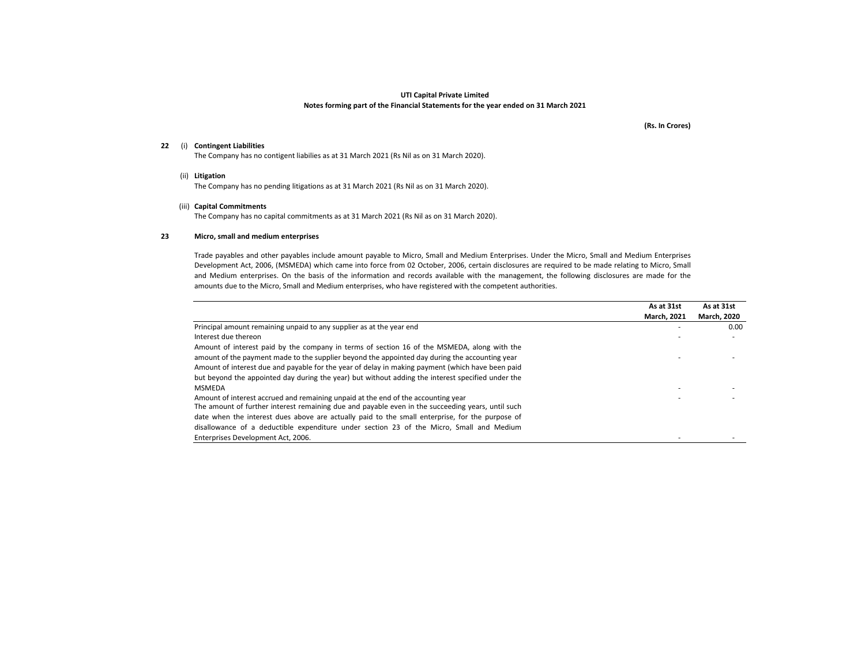(Rs. In Crores)

## 22 (i) Contingent Liabilities

The Company has no contigent liabilies as at 31 March 2021 (Rs Nil as on 31 March 2020).

(ii) Litigation

The Company has no pending litigations as at 31 March 2021 (Rs Nil as on 31 March 2020).

#### (iii) Capital Commitments

The Company has no capital commitments as at 31 March 2021 (Rs Nil as on 31 March 2020).

#### 23Micro, small and medium enterprises

Trade payables and other payables include amount payable to Micro, Small and Medium Enterprises. Under the Micro, Small and Medium Enterprises Development Act, 2006, (MSMEDA) which came into force from <sup>02</sup> October, 2006, certain disclosures are required to be made relating to Micro, Small and Medium enterprises. On the basis of the information and records available with the management, the following disclosures are made for the amounts due to the Micro, Small and Medium enterprises, who have registered with the competent authorities.

|                                                                                                   | As at 31st         | As at 31st         |
|---------------------------------------------------------------------------------------------------|--------------------|--------------------|
|                                                                                                   | <b>March, 2021</b> | <b>March. 2020</b> |
| Principal amount remaining unpaid to any supplier as at the year end                              |                    | $0.00\,$           |
| Interest due thereon                                                                              |                    |                    |
| Amount of interest paid by the company in terms of section 16 of the MSMEDA, along with the       |                    |                    |
| amount of the payment made to the supplier beyond the appointed day during the accounting year    |                    |                    |
| Amount of interest due and payable for the year of delay in making payment (which have been paid  |                    |                    |
| but beyond the appointed day during the year) but without adding the interest specified under the |                    |                    |
| <b>MSMEDA</b>                                                                                     |                    |                    |
| Amount of interest accrued and remaining unpaid at the end of the accounting year                 |                    |                    |
| The amount of further interest remaining due and payable even in the succeeding years, until such |                    |                    |
| date when the interest dues above are actually paid to the small enterprise, for the purpose of   |                    |                    |
| disallowance of a deductible expenditure under section 23 of the Micro, Small and Medium          |                    |                    |
| Enterprises Development Act. 2006.                                                                |                    |                    |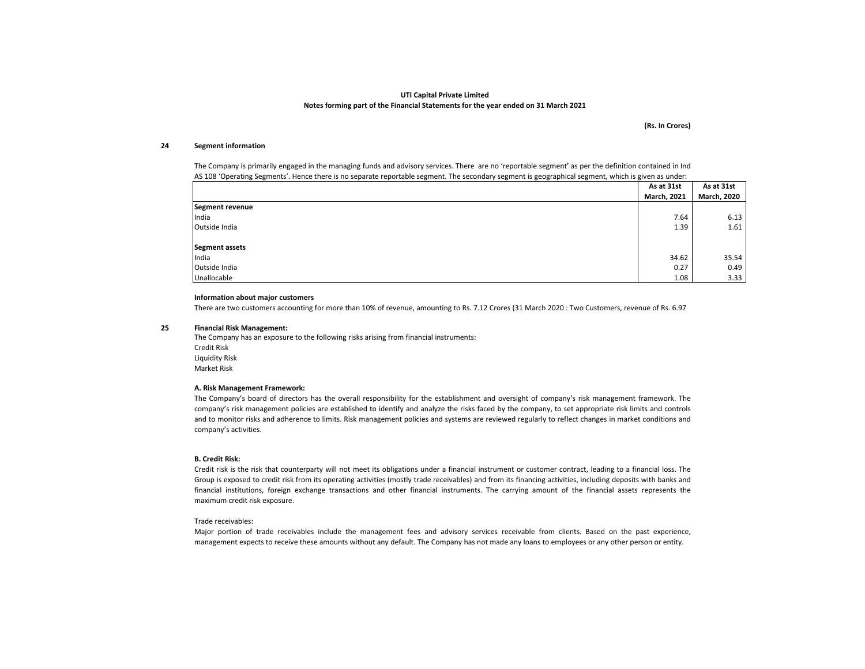(Rs. In Crores)

#### 24Segment information

The Company is primarily engaged in the managing funds and advisory services. There are no 'reportable segment' as per the definition contained in IndAS 108 'Operating Segments'. Hence there is no separate reportable segment. The secondary segment is geographical segment, which is given as under:

|                 | As at 31st         | As at 31st         |
|-----------------|--------------------|--------------------|
|                 | <b>March, 2021</b> | <b>March, 2020</b> |
| Segment revenue |                    |                    |
| India           | 7.64               | 6.13               |
| Outside India   | 1.39               | 1.61               |
|                 |                    |                    |
| Segment assets  |                    |                    |
| India           | 34.62              | 35.54              |
| Outside India   | 0.27               | 0.49               |
| Unallocable     | 1.08               | 3.33               |

#### Information about major customers

There are two customers accounting for more than 10% of revenue, amounting to Rs. 7.12 Crores (31 March 2020 : Two Customers, revenue of Rs. 6.97

#### 25Financial Risk Management:

The Company has an exposure to the following risks arising from financial instruments:Credit Risk Liquidity RiskMarket Risk

#### A. Risk Management Framework:

 The Company's board of directors has the overall responsibility for the establishment and oversight of company's risk management framework. The company's risk management policies are established to identify and analyze the risks faced by the company, to set appropriate risk limits and controls and to monitor risks and adherence to limits. Risk management policies and systems are reviewed regularly to reflect changes in market conditions and company's activities.

#### B. Credit Risk:

Credit risk is the risk that counterparty will not meet its obligations under <sup>a</sup> financial instrument or customer contract, leading to <sup>a</sup> financial loss. The Group is exposed to credit risk from its operating activities (mostly trade receivables) and from its financing activities, including deposits with banks and financial institutions, foreign exchange transactions and other financial instruments. The carrying amount of the financial assets represents the maximum credit risk exposure.

#### Trade receivables:

 Major portion of trade receivables include the management fees and advisory services receivable from clients. Based on the past experience, management expects to receive these amounts without any default. The Company has not made any loans to employees or any other person or entity.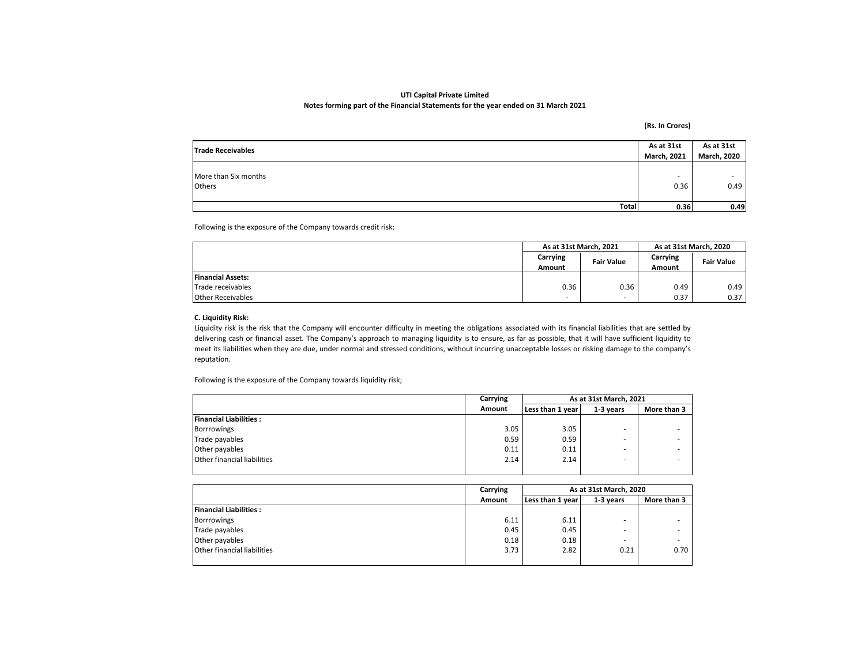(Rs. In Crores)

| As at 31st<br><b>Trade Receivables</b> |                    | As at 31st         |
|----------------------------------------|--------------------|--------------------|
|                                        | <b>March, 2021</b> | <b>March, 2020</b> |
|                                        |                    |                    |
| More than Six months                   |                    |                    |
| Others                                 | 0.36               | 0.49               |
|                                        |                    |                    |
| Total                                  | 0.36               | 0.49               |

Following is the exposure of the Company towards credit risk:

|                          | As at 31st March, 2021   |                          | As at 31st March, 2020 |                   |
|--------------------------|--------------------------|--------------------------|------------------------|-------------------|
|                          | Carrying                 | <b>Fair Value</b>        | Carrying               | <b>Fair Value</b> |
|                          | Amount                   |                          | Amount                 |                   |
| <b>Financial Assets:</b> |                          |                          |                        |                   |
| Trade receivables        | 0.36                     | 0.36                     | 0.49                   | 0.49              |
| <b>Other Receivables</b> | $\overline{\phantom{a}}$ | $\overline{\phantom{a}}$ | 0.37                   | 0.37              |

## C. Liquidity Risk:

 Liquidity risk is the risk that the Company will encounter difficulty in meeting the obligations associated with its financial liabilities that are settled by delivering cash or financial asset. The Company's approach to managing liquidity is to ensure, as far as possible, that it will have sufficient liquidity to meet its liabilities when they are due, under normal and stressed conditions, without incurring unacceptable losses or risking damage to the company's reputation.

Following is the exposure of the Company towards liquidity risk;

|                                    | Carrying | As at 31st March, 2021 |           |             |
|------------------------------------|----------|------------------------|-----------|-------------|
|                                    | Amount   | Less than 1 year       | 1-3 vears | More than 3 |
| <b>Financial Liabilities:</b>      |          |                        |           |             |
| <b>Borrrowings</b>                 | 3.05     | 3.05                   |           |             |
| Trade payables                     | 0.59     | 0.59                   |           |             |
| Other payables                     | 0.11     | 0.11                   |           |             |
| <b>Other financial liabilities</b> | 2.14     | 2.14                   |           |             |
|                                    |          |                        |           |             |

|                               | Carrying | As at 31st March, 2020 |           |             |
|-------------------------------|----------|------------------------|-----------|-------------|
|                               | Amount   | Less than 1 year       | 1-3 years | More than 3 |
| <b>Financial Liabilities:</b> |          |                        |           |             |
| Borrrowings                   | 6.11     | 6.11                   |           |             |
| Trade payables                | 0.45     | 0.45                   | ۰.        | ۰           |
| Other payables                | 0.18     | 0.18                   |           |             |
| Other financial liabilities   | 3.73     | 2.82                   | 0.21      | 0.70        |
|                               |          |                        |           |             |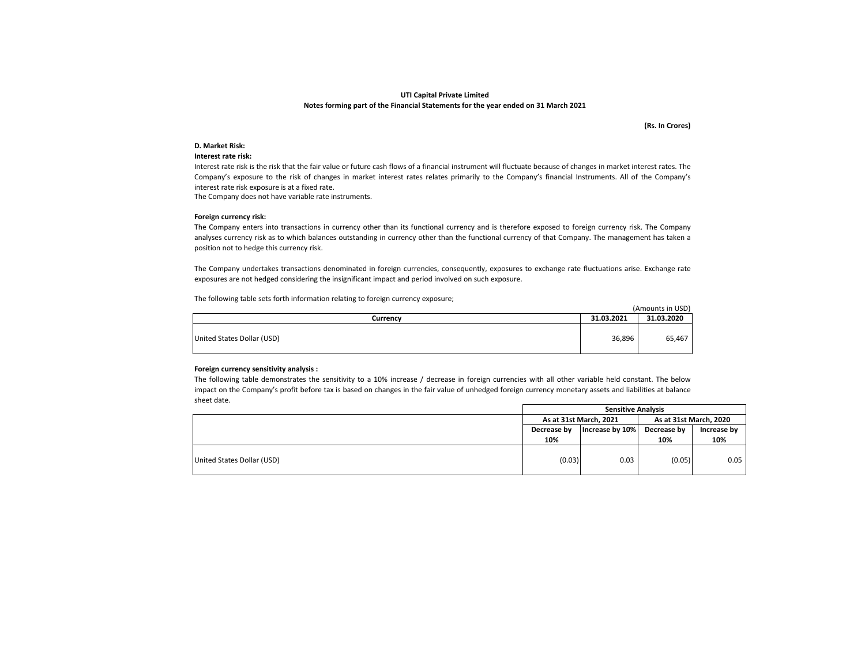(Rs. In Crores)

### D. Market Risk:

#### Interest rate risk:

 Interest rate risk is the risk that the fair value or future cash flows of <sup>a</sup> financial instrument will fluctuate because of changes in market interest rates. The Company's exposure to the risk of changes in market interest rates relates primarily to the Company's financial Instruments. All of the Company's interest rate risk exposure is at a fixed rate.

The Company does not have variable rate instruments.

#### Foreign currency risk:

 The Company enters into transactions in currency other than its functional currency and is therefore exposed to foreign currency risk. The Company analyses currency risk as to which balances outstanding in currency other than the functional currency of that Company. The management has taken <sup>a</sup> position not to hedge this currency risk.

The Company undertakes transactions denominated in foreign currencies, consequently, exposures to exchange rate fluctuations arise. Exchange rate exposures are not hedged considering the insignificant impact and period involved on such exposure.

The following table sets forth information relating to foreign currency exposure;

|                            |            | (Amounts in USD) |
|----------------------------|------------|------------------|
| Currencv                   | 31.03.2021 | 31.03.2020       |
| United States Dollar (USD) | 36,896     | 65,467           |

#### Foreign currency sensitivity analysis :

The following table demonstrates the sensitivity to a 10% increase / decrease in foreign currencies with all other variable held constant. The below impact on the Company's profit before tax is based on changes in the fair value of unhedged foreign currency monetary assets and liabilities at balance sheet date.

|                            | <b>Sensitive Analysis</b> |                 |                        |             |
|----------------------------|---------------------------|-----------------|------------------------|-------------|
|                            | As at 31st March, 2021    |                 | As at 31st March, 2020 |             |
|                            | Decrease by               | Increase by 10% | Decrease by            | Increase by |
|                            | 10%                       |                 | 10%                    | 10%         |
| United States Dollar (USD) | (0.03)                    | 0.03            | (0.05)                 | 0.05        |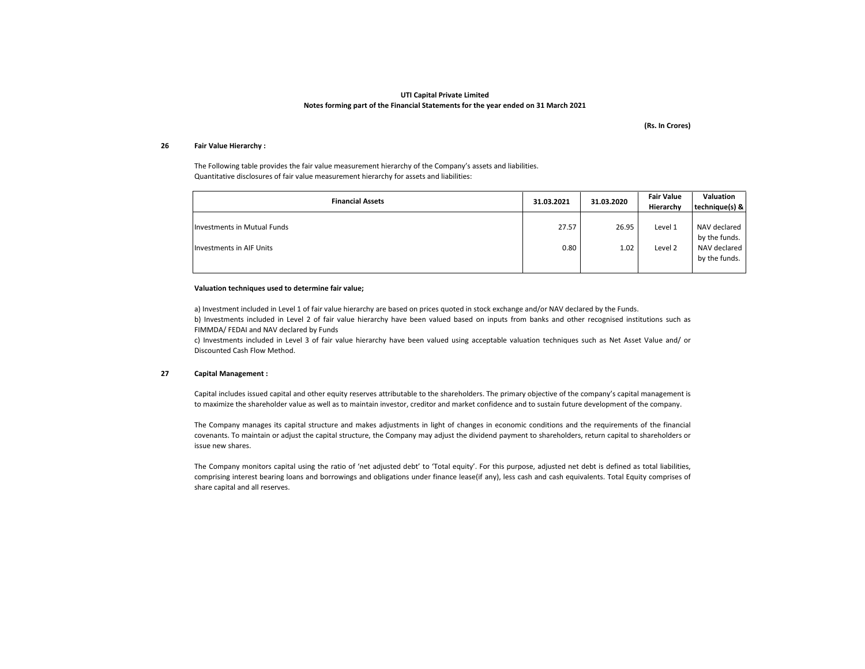(Rs. In Crores)

#### 26Fair Value Hierarchy :

The Following table provides the fair value measurement hierarchy of the Company's assets and liabilities.Quantitative disclosures of fair value measurement hierarchy for assets and liabilities:

| <b>Financial Assets</b>         | 31.03.2021 | 31.03.2020 | <b>Fair Value</b><br>Hierarchy | Valuation<br>technique(s) &   |
|---------------------------------|------------|------------|--------------------------------|-------------------------------|
| Investments in Mutual Funds     | 27.57      | 26.95      | Level 1                        | NAV declared<br>by the funds. |
| <b>Investments in AIF Units</b> | 0.80       | 1.02       | Level 2                        | NAV declared<br>by the funds. |

### Valuation techniques used to determine fair value;

a) Investment included in Level 1 of fair value hierarchy are based on prices quoted in stock exchange and/or NAV declared by the Funds. b) Investments included in Level <sup>2</sup> of fair value hierarchy have been valued based on inputs from banks and other recognised institutions such as FIMMDA/ FEDAI and NAV declared by Funds

 c) Investments included in Level <sup>3</sup> of fair value hierarchy have been valued using acceptable valuation techniques such as Net Asset Value and/ or Discounted Cash Flow Method.

#### 27Capital Management :

Capital includes issued capital and other equity reserves attributable to the shareholders. The primary objective of the company's capital management is to maximize the shareholder value as well as to maintain investor, creditor and market confidence and to sustain future development of the company.

The Company manages its capital structure and makes adjustments in light of changes in economic conditions and the requirements of the financial covenants. To maintain or adjust the capital structure, the Company may adjust the dividend payment to shareholders, return capital to shareholders or issue new shares.

The Company monitors capital using the ratio of 'net adjusted debt' to 'Total equity'. For this purpose, adjusted net debt is defined as total liabilities, comprising interest bearing loans and borrowings and obligations under finance lease(if any), less cash and cash equivalents. Total Equity comprises of share capital and all reserves.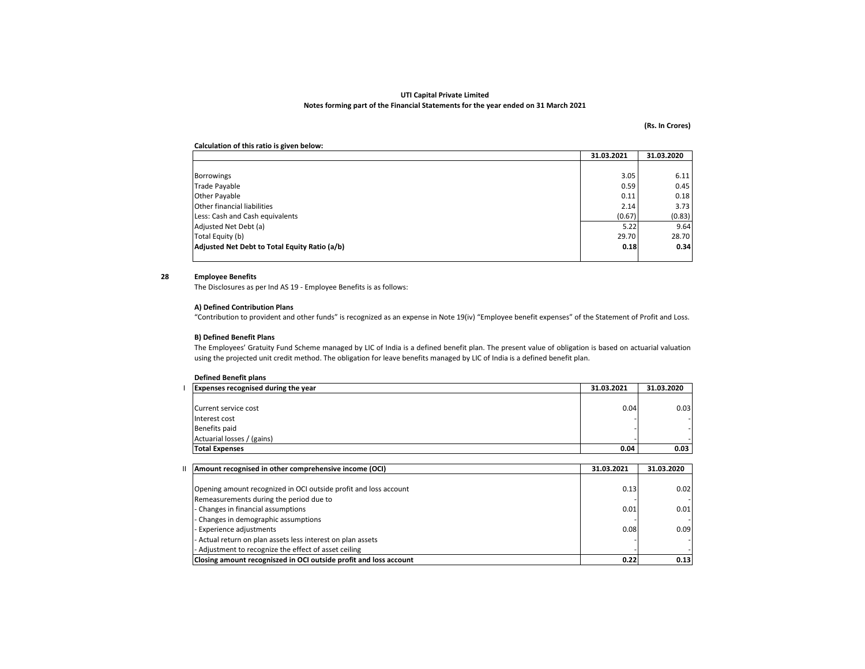#### (Rs. In Crores)

## Calculation of this ratio is given below:

|                                               | 31.03.2021 | 31.03.2020 |
|-----------------------------------------------|------------|------------|
|                                               |            |            |
| <b>Borrowings</b>                             | 3.05       | 6.11       |
| Trade Payable                                 | 0.59       | 0.45       |
| Other Payable                                 | 0.11       | 0.18       |
| <b>Other financial liabilities</b>            | 2.14       | 3.73       |
| Less: Cash and Cash equivalents               | (0.67)     | (0.83)     |
| Adjusted Net Debt (a)                         | 5.22       | 9.64       |
| Total Equity (b)                              | 29.70      | 28.70      |
| Adjusted Net Debt to Total Equity Ratio (a/b) | 0.18       | 0.34       |
|                                               |            |            |

#### 28Employee Benefits

The Disclosures as per Ind AS 19 - Employee Benefits is as follows:

## A) Defined Contribution Plans

"Contribution to provident and other funds" is recognized as an expense in Note 19(iv) "Employee benefit expenses" of the Statement of Profit and Loss.

#### B) Defined Benefit Plans

 The Employees' Gratuity Fund Scheme managed by LIC of India is <sup>a</sup> defined benefit plan. The present value of obligation is based on actuarial valuationusing the projected unit credit method. The obligation for leave benefits managed by LIC of India is a defined benefit plan.

## Defined Benefit plans

| <b>Expenses recognised during the year</b> | 31.03.2021 | 31.03.2020 |
|--------------------------------------------|------------|------------|
|                                            |            |            |
| Current service cost                       | 0.04       | 0.03       |
| Interest cost                              |            |            |
| Benefits paid                              |            |            |
| Actuarial losses / (gains)                 |            |            |
| <b>Total Expenses</b>                      | 0.04       | 0.03       |
|                                            |            |            |

| Amount recognised in other comprehensive income (OCI)             | 31.03.2021 | 31.03.2020 |
|-------------------------------------------------------------------|------------|------------|
|                                                                   |            |            |
| Opening amount recognized in OCI outside profit and loss account  | 0.13       | 0.02       |
| Remeasurements during the period due to                           |            |            |
| - Changes in financial assumptions                                | 0.01       | 0.01       |
| - Changes in demographic assumptions                              |            |            |
| Experience adjustments                                            | 0.08       | 0.09       |
| Actual return on plan assets less interest on plan assets         |            |            |
| - Adjustment to recognize the effect of asset ceiling             |            |            |
| Closing amount recogniszed in OCI outside profit and loss account | 0.22       | 0.13       |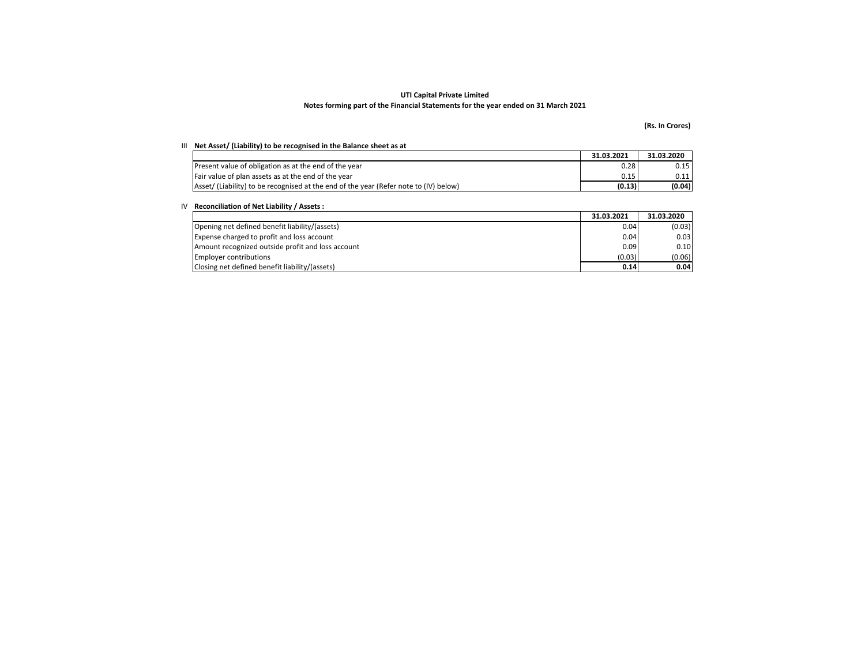## (Rs. In Crores)

#### III Net Asset/ (Liability) to be recognised in the Balance sheet as at

|                                                                                       | 31.03.2021 | 31.03.2020 |
|---------------------------------------------------------------------------------------|------------|------------|
| Present value of obligation as at the end of the year                                 | 0.28       | 0.15       |
| Fair value of plan assets as at the end of the year                                   | 0.15       | 0.11       |
| Asset/ (Liability) to be recognised at the end of the year (Refer note to (IV) below) | (0.13)     | (0.04)     |

## IV Reconciliation of Net Liability / Assets :

|                                                   | 31.03.2021 | 31.03.2020 |
|---------------------------------------------------|------------|------------|
| Opening net defined benefit liability/(assets)    | 0.04       | (0.03)     |
| Expense charged to profit and loss account        | 0.04       | 0.03       |
| Amount recognized outside profit and loss account | 0.09       | 0.10       |
| <b>Employer contributions</b>                     | (0.03)     | (0.06)     |
| Closing net defined benefit liability/(assets)    | 0.14       | 0.04       |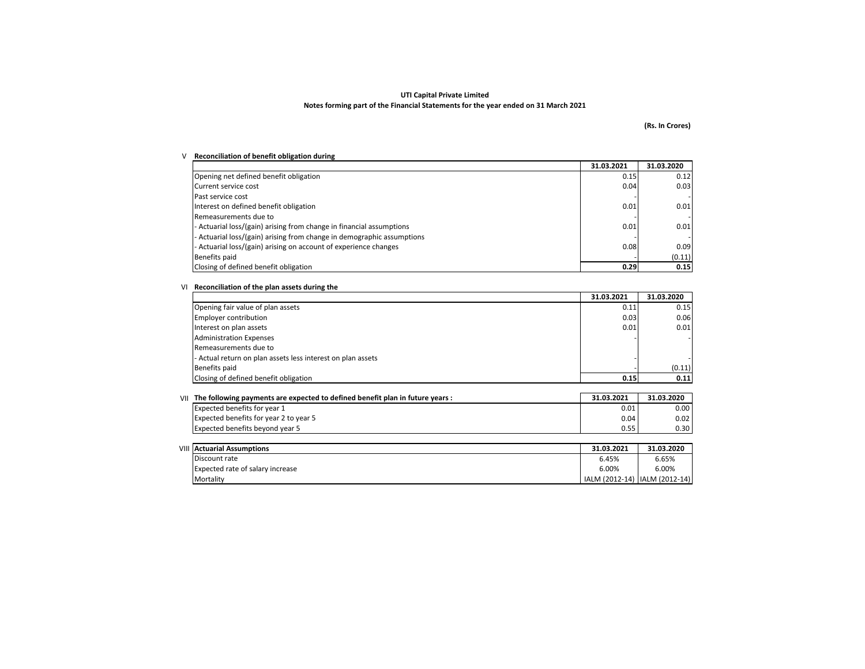## (Rs. In Crores)

## V Reconciliation of benefit obligation during

|                                                                        | 31.03.2021 | 31.03.2020 |
|------------------------------------------------------------------------|------------|------------|
| Opening net defined benefit obligation                                 | 0.15       | 0.12       |
| Current service cost                                                   | 0.04       | 0.03       |
| Past service cost                                                      |            |            |
| Interest on defined benefit obligation                                 | 0.01       | 0.01       |
| Remeasurements due to                                                  |            |            |
| - Actuarial loss/(gain) arising from change in financial assumptions   | 0.01       | 0.01       |
| - Actuarial loss/(gain) arising from change in demographic assumptions |            |            |
| - Actuarial loss/(gain) arising on account of experience changes       | 0.08       | 0.09       |
| Benefits paid                                                          |            | (0.11)     |
| Closing of defined benefit obligation                                  | 0.29       | 0.15       |

#### VI Reconciliation of the plan assets during the

|                                                             | 31.03.2021 | 31.03.2020 |
|-------------------------------------------------------------|------------|------------|
| Opening fair value of plan assets                           | 0.11       | 0.15       |
| <b>Employer contribution</b>                                | 0.03       | 0.06       |
| Interest on plan assets                                     | 0.01       | 0.01       |
| <b>Administration Expenses</b>                              |            |            |
| Remeasurements due to                                       |            |            |
| - Actual return on plan assets less interest on plan assets |            |            |
| <b>Benefits paid</b>                                        |            | (0.11)     |
| Closing of defined benefit obligation                       | 0.15       | 0.11       |

| $V  $ The following payments are expected to defined benefit plan in future years : | 31.03.2021 | 31.03.2020 |
|-------------------------------------------------------------------------------------|------------|------------|
| Expected benefits for year 1                                                        | 0.01       | 0.00       |
| Expected benefits for year 2 to year 5                                              | 0.04       | 0.02       |
| Expected benefits beyond year 5                                                     | 0.55       | 0.30       |

| <b>VIII Actuarial Assumptions</b> | 31.03.2021                      | 31.03.2020 |
|-----------------------------------|---------------------------------|------------|
| Discount rate                     | 6.45%                           | 6.65%      |
| Expected rate of salary increase  | 6.00%                           | 6.00%      |
| Mortality                         | IALM (2012-14)   IALM (2012-14) |            |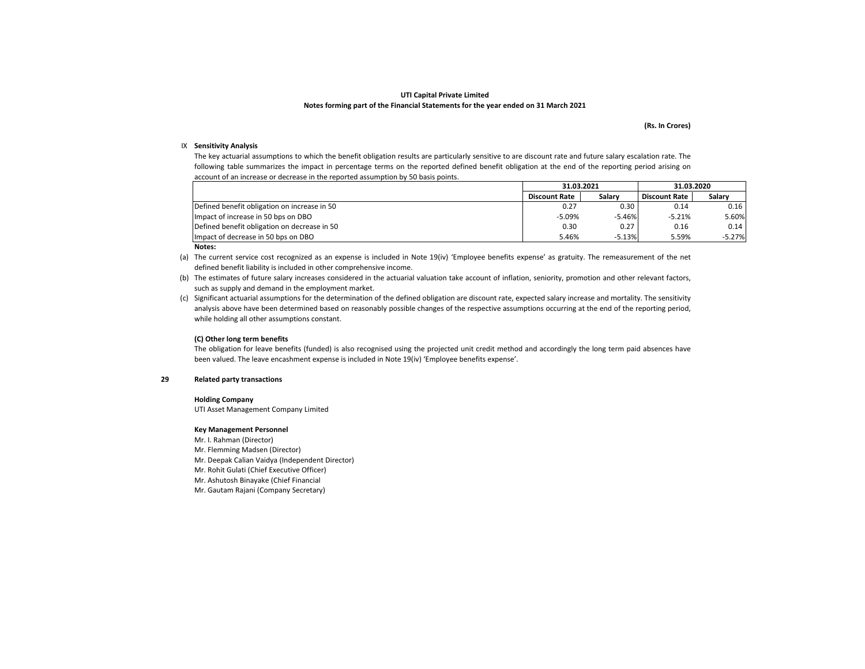### (Rs. In Crores)

## IX Sensitivity Analysis

The key actuarial assumptions to which the benefit obligation results are particularly sensitive to are discount rate and future salary escalation rate. The following table summarizes the impact in percentage terms on the reported defined benefit obligation at the end of the reporting period arising onaccount of an increase or decrease in the reported assumption by 50 basis points.

|                                              | 31.03.2021           |          | 31.03.2020           |          |
|----------------------------------------------|----------------------|----------|----------------------|----------|
|                                              | <b>Discount Rate</b> | Salarv   | <b>Discount Rate</b> | Salarv   |
| Defined benefit obligation on increase in 50 | 0.27                 | 0.30     | 0.14                 | 0.16     |
| Impact of increase in 50 bps on DBO          | $-5.09%$             | $-5.46%$ | $-5.21%$             | 5.60%    |
| Defined benefit obligation on decrease in 50 | 0.30                 | 0.27     | 0.16                 | 0.14     |
| Impact of decrease in 50 bps on DBO          | 5.46%                | $-5.13%$ | 5.59%                | $-5.27%$ |
| $\cdots$                                     |                      |          |                      |          |

#### Notes:

(a) The current service cost recognized as an expense is included in Note 19(iv) 'Employee benefits expense' as gratuity. The remeasurement of the net defined benefit liability is included in other comprehensive income.

(b) The estimates of future salary increases considered in the actuarial valuation take account of inflation, seniority, promotion and other relevant factors, such as supply and demand in the employment market.

(c) Significant actuarial assumptions for the determination of the defined obligation are discount rate, expected salary increase and mortality. The sensitivity analysis above have been determined based on reasonably possible changes of the respective assumptions occurring at the end of the reporting period, while holding all other assumptions constant.

#### (C) Other long term benefits

 The obligation for leave benefits (funded) is also recognised using the projected unit credit method and accordingly the long term paid absences have been valued. The leave encashment expense is included in Note 19(iv) 'Employee benefits expense'.

#### 29Related party transactions

#### Holding Company

UTI Asset Management Company Limited

#### Key Management Personnel

Mr. I. Rahman (Director)

Mr. Flemming Madsen (Director)

Mr. Deepak Calian Vaidya (Independent Director)

Mr. Rohit Gulati (Chief Executive Officer)

Mr. Ashutosh Binayake (Chief Financial

Mr. Gautam Rajani (Company Secretary)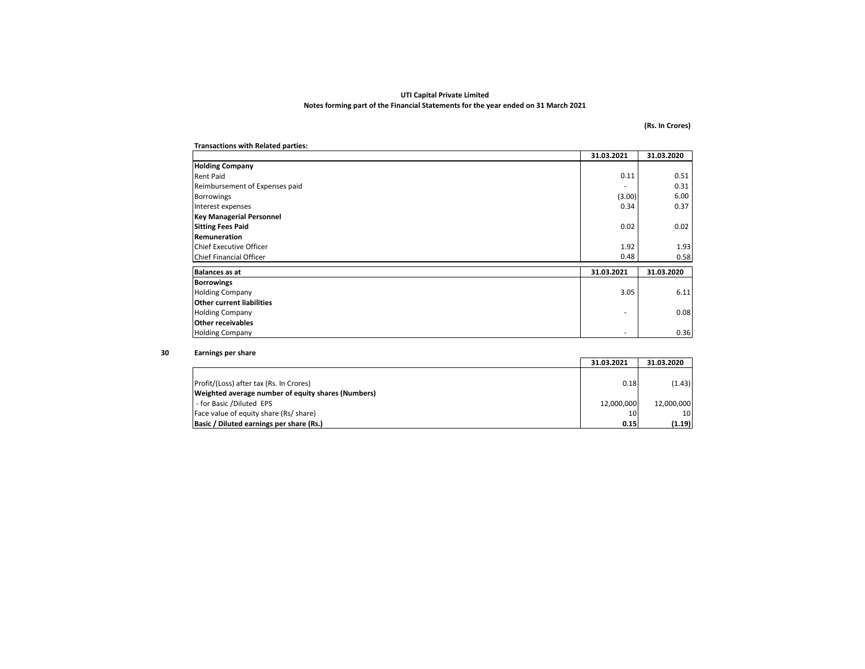## (Rs. In Crores)

| <b>Transactions with Related parties:</b> |            |            |  |
|-------------------------------------------|------------|------------|--|
|                                           | 31.03.2021 | 31.03.2020 |  |
| <b>Holding Company</b>                    |            |            |  |
| <b>Rent Paid</b>                          | 0.11       | 0.51       |  |
| Reimbursement of Expenses paid            |            | 0.31       |  |
| <b>Borrowings</b>                         | (3.00)     | 6.00       |  |
| Interest expenses                         | 0.34       | 0.37       |  |
| <b>Key Managerial Personnel</b>           |            |            |  |
| <b>Sitting Fees Paid</b>                  | 0.02       | 0.02       |  |
| Remuneration                              |            |            |  |
| <b>Chief Executive Officer</b>            | 1.92       | 1.93       |  |
| <b>Chief Financial Officer</b>            | 0.48       | 0.58       |  |
| <b>Balances as at</b>                     | 31.03.2021 | 31.03.2020 |  |
| <b>Borrowings</b>                         |            |            |  |
| <b>Holding Company</b>                    | 3.05       | 6.11       |  |
| <b>Other current liabilities</b>          |            |            |  |
| <b>Holding Company</b>                    | ٠          | 0.08       |  |
| <b>Other receivables</b>                  |            |            |  |
| <b>Holding Company</b>                    |            | 0.36       |  |

#### 30Earnings per share

|                                                    | 31.03.2021 | 31.03.2020      |
|----------------------------------------------------|------------|-----------------|
|                                                    |            |                 |
| Profit/(Loss) after tax (Rs. In Crores)            | 0.18       | (1.43)          |
| Weighted average number of equity shares (Numbers) |            |                 |
| - for Basic /Diluted EPS                           | 12.000.000 | 12,000,000      |
| Face value of equity share (Rs/ share)             | 10         | 10 <sup>1</sup> |
| Basic / Diluted earnings per share (Rs.)           | 0.15       | (1.19)          |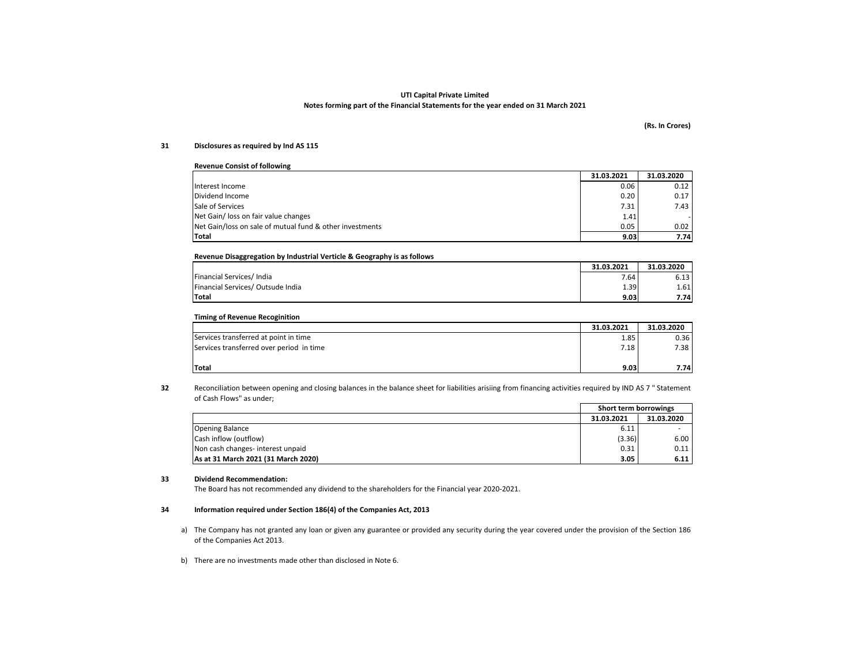#### (Rs. In Crores)

#### 31Disclosures as required by Ind AS 115

| <b>Revenue Consist of following</b>                      |            |            |  |  |
|----------------------------------------------------------|------------|------------|--|--|
|                                                          | 31.03.2021 | 31.03.2020 |  |  |
| Interest Income                                          | 0.06       | 0.12       |  |  |
| Dividend Income                                          | 0.20       | 0.17       |  |  |
| Sale of Services                                         | 7.31       | 7.43       |  |  |
| Net Gain/ loss on fair value changes                     | 1.41       |            |  |  |
| Net Gain/loss on sale of mutual fund & other investments | 0.05       | 0.02       |  |  |
| Total                                                    | 9.03       | 7.74       |  |  |

## Revenue Disaggregation by Industrial Verticle & Geography is as follows

|                                   | 31.03.2021 | 31.03.2020   |
|-----------------------------------|------------|--------------|
| Financial Services/India          | 7.64       | - 12<br>0.15 |
| Financial Services/ Outsude India | 1.39       | 1.61         |
| <b>Total</b>                      | 9.03       | 7.74         |

## Timing of Revenue Recoginition

|                                          | 31.03.2021 | 31.03.2020 |
|------------------------------------------|------------|------------|
| Services transferred at point in time    | 1.85       | 0.36       |
| Services transferred over period in time | 7.18       | 7.38       |
|                                          |            |            |
| <b>Total</b>                             | 9.03       | 7.74       |

32Reconciliation between opening and closing balances in the balance sheet for liabilities arisiing from financing activities required by IND AS <sup>7</sup> " Statement of Cash Flows" as under;

|                                     | Short term borrowings |            |
|-------------------------------------|-----------------------|------------|
|                                     | 31.03.2021            | 31.03.2020 |
| <b>Opening Balance</b>              | 6.11                  |            |
| Cash inflow (outflow)               | (3.36)                | 6.00       |
| Non cash changes- interest unpaid   | 0.31                  | 0.11       |
| As at 31 March 2021 (31 March 2020) | 3.05                  | 6.11       |

#### 33Dividend Recommendation:

The Board has not recommended any dividend to the shareholders for the Financial year 2020-2021.

#### 34Information required under Section 186(4) of the Companies Act, 2013

- a) The Company has not granted any loan or given any guarantee or provided any security during the year covered under the provision of the Section 186 of the Companies Act 2013.
- b) There are no investments made other than disclosed in Note 6.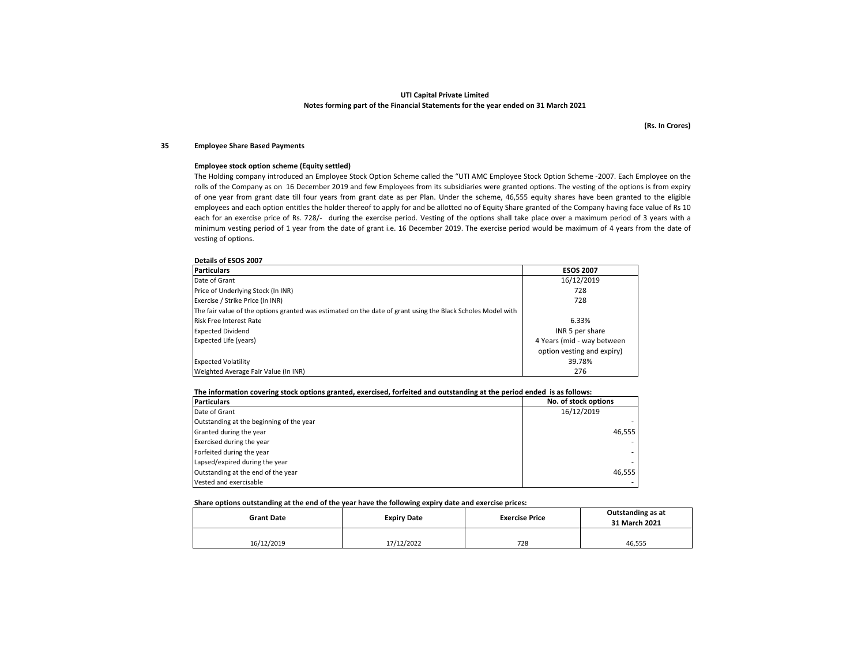(Rs. In Crores)

#### 35Employee Share Based Payments

#### Employee stock option scheme (Equity settled)

 The Holding company introduced an Employee Stock Option Scheme called the "UTI AMC Employee Stock Option Scheme -2007. Each Employee on the rolls of the Company as on 16 December 2019 and few Employees from its subsidiaries were granted options. The vesting of the options is from expiry of one year from grant date till four years from grant date as per Plan. Under the scheme, 46,555 equity shares have been granted to the eligible employees and each option entitles the holder thereof to apply for and be allotted no of Equity Share granted of the Company having face value of Rs <sup>10</sup> each for an exercise price of Rs. 728/- during the exercise period. Vesting of the options shall take place over <sup>a</sup> maximum period of <sup>3</sup> years with <sup>a</sup> minimum vesting period of <sup>1</sup> year from the date of grant i.e. <sup>16</sup> December 2019. The exercise period would be maximum of <sup>4</sup> years from the date of vesting of options.

#### Details of ESOS 2007

| <b>Particulars</b>                                                                                          | <b>ESOS 2007</b>           |
|-------------------------------------------------------------------------------------------------------------|----------------------------|
| Date of Grant                                                                                               | 16/12/2019                 |
| Price of Underlying Stock (In INR)                                                                          | 728                        |
| Exercise / Strike Price (In INR)                                                                            | 728                        |
| The fair value of the options granted was estimated on the date of grant using the Black Scholes Model with |                            |
| <b>Risk Free Interest Rate</b>                                                                              | 6.33%                      |
| <b>Expected Dividend</b>                                                                                    | INR 5 per share            |
| <b>Expected Life (years)</b>                                                                                | 4 Years (mid - way between |
|                                                                                                             | option vesting and expiry) |
| <b>Expected Volatility</b>                                                                                  | 39.78%                     |
| Weighted Average Fair Value (In INR)                                                                        | 276                        |

#### The information covering stock options granted, exercised, forfeited and outstanding at the period ended is as follows:

| <b>Particulars</b>                       | No. of stock options |
|------------------------------------------|----------------------|
| Date of Grant                            | 16/12/2019           |
| Outstanding at the beginning of the year |                      |
| Granted during the year                  | 46.555               |
| Exercised during the year                |                      |
| Forfeited during the year                |                      |
| Lapsed/expired during the year           |                      |
| Outstanding at the end of the year       | 46.555               |
| Vested and exercisable                   |                      |

#### Share options outstanding at the end of the year have the following expiry date and exercise prices:

| <b>Grant Date</b> | <b>Expiry Date</b> | <b>Exercise Price</b> | Outstanding as at<br>31 March 2021 |  |
|-------------------|--------------------|-----------------------|------------------------------------|--|
| 16/12/2019        | 17/12/2022         | 728                   | 46,555                             |  |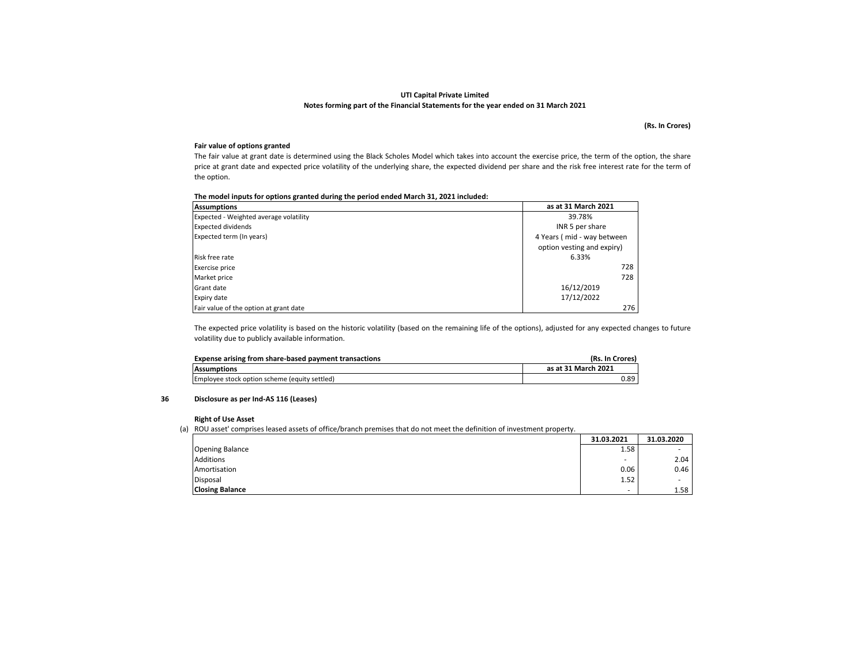(Rs. In Crores)

## Fair value of options granted

 The fair value at grant date is determined using the Black Scholes Model which takes into account the exercise price, the term of the option, the share price at grant date and expected price volatility of the underlying share, the expected dividend per share and the risk free interest rate for the term of the option.

| The model inputs for options granted during the period ended March 31, 2021 included: |
|---------------------------------------------------------------------------------------|
|---------------------------------------------------------------------------------------|

| <b>Assumptions</b>                     | as at 31 March 2021        |  |
|----------------------------------------|----------------------------|--|
| Expected - Weighted average volatility | 39.78%                     |  |
| <b>Expected dividends</b>              | INR 5 per share            |  |
| Expected term (In years)               | 4 Years (mid - way between |  |
|                                        | option vesting and expiry) |  |
| Risk free rate                         | 6.33%                      |  |
| Exercise price                         | 728                        |  |
| Market price                           | 728                        |  |
| Grant date                             | 16/12/2019                 |  |
| Expiry date                            | 17/12/2022                 |  |
| Fair value of the option at grant date | 276                        |  |

The expected price volatility is based on the historic volatility (based on the remaining life of the options), adjusted for any expected changes to future volatility due to publicly available information.

| Expense arising from share-based payment transactions | (Rs. In Crores)     |
|-------------------------------------------------------|---------------------|
| <b>Assumptions</b>                                    | as at 31 March 2021 |
| Employee stock option scheme (equity settled)         | 0.89                |

#### 36Disclosure as per Ind-AS 116 (Leases)

#### Right of Use Asset

(a) ROU asset' comprises leased assets of office/branch premises that do not meet the definition of investment property.

|                        | 31.03.2021               | 31.03.2020 |
|------------------------|--------------------------|------------|
| <b>Opening Balance</b> | 1.58                     | ۰          |
| <b>Additions</b>       | $\overline{\phantom{a}}$ | 2.04       |
| Amortisation           | 0.06                     | 0.46       |
| Disposal               | 1.52                     |            |
| <b>Closing Balance</b> |                          | 1.58       |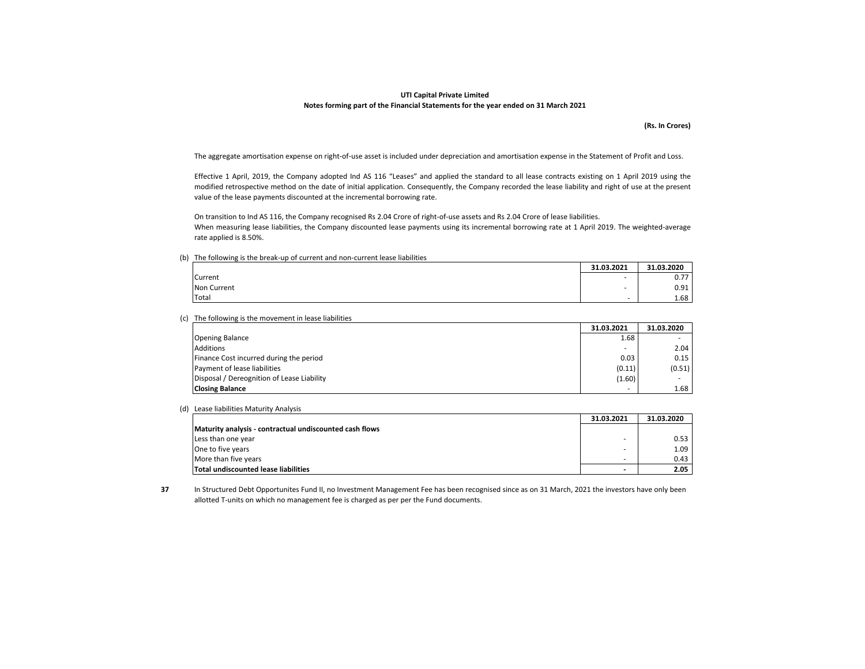(Rs. In Crores)

The aggregate amortisation expense on right-of-use asset is included under depreciation and amortisation expense in the Statement of Profit and Loss.

Effective <sup>1</sup> April, 2019, the Company adopted Ind AS <sup>116</sup> "Leases" and applied the standard to all lease contracts existing on <sup>1</sup> April <sup>2019</sup> using the modified retrospective method on the date of initial application. Consequently, the Company recorded the lease liability and right of use at the present value of the lease payments discounted at the incremental borrowing rate.

On transition to Ind AS 116, the Company recognised Rs 2.04 Crore of right-of-use assets and Rs 2.04 Crore of lease liabilities.When measuring lease liabilities, the Company discounted lease payments using its incremental borrowing rate at <sup>1</sup> April 2019. The weighted-average rate applied is 8.50%.

(b) The following is the break-up of current and non-current lease liabilities

|             | 31.03.2021               | 31.03.2020 |
|-------------|--------------------------|------------|
| Current     | $\overline{\phantom{a}}$ | 0.77       |
| Non Current |                          | 0.91       |
| Total       |                          | 1.68       |

(c) The following is the movement in lease liabilities

|                                            | 31.03.2021 | 31.03.2020 |
|--------------------------------------------|------------|------------|
| <b>Opening Balance</b>                     | 1.68       |            |
| <b>Additions</b>                           |            | 2.04       |
| Finance Cost incurred during the period    | 0.03       | 0.15       |
| Payment of lease liabilities               | (0.11)     | (0.51)     |
| Disposal / Dereognition of Lease Liability | (1.60)     |            |
| <b>Closing Balance</b>                     |            | 1.68       |

(d) Lease liabilities Maturity Analysis

|                                                         | 31.03.2021 | 31.03.2020 |
|---------------------------------------------------------|------------|------------|
| Maturity analysis - contractual undiscounted cash flows |            |            |
| Less than one year                                      |            | 0.53       |
| One to five years                                       |            | 1.09       |
| More than five years                                    |            | 0.43       |
| Total undiscounted lease liabilities                    | -          | 2.05       |

37 In Structured Debt Opportunites Fund II, no Investment Management Fee has been recognised since as on 31 March, 2021 the investors have only been allotted T-units on which no management fee is charged as per per the Fund documents.